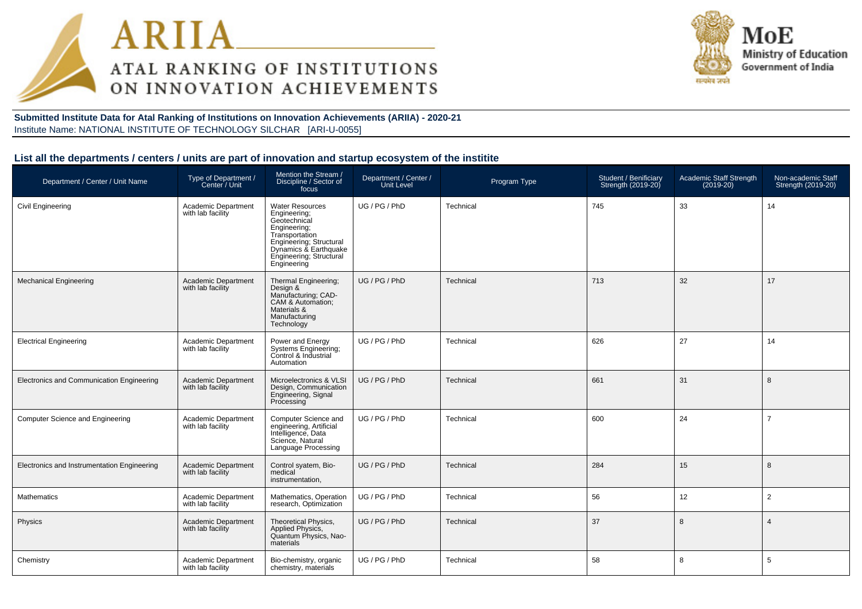



**Submitted Institute Data for Atal Ranking of Institutions on Innovation Achievements (ARIIA) - 2020-21**Institute Name: NATIONAL INSTITUTE OF TECHNOLOGY SILCHAR [ARI-U-0055]

#### **List all the departments / centers / units are part of innovation and startup ecosystem of the institite**

| Department / Center / Unit Name             | Type of Department /<br>Center / Unit           | Mention the Stream /<br>Discipline / Sector of<br>focus                                                                                                                                | Department / Center /<br><b>Unit Level</b> | Program Type | Student / Benificiary<br>Strength (2019-20) | Academic Staff Strength<br>$(2019-20)$ | Non-academic Staff<br>Strength (2019-20) |
|---------------------------------------------|-------------------------------------------------|----------------------------------------------------------------------------------------------------------------------------------------------------------------------------------------|--------------------------------------------|--------------|---------------------------------------------|----------------------------------------|------------------------------------------|
| Civil Engineering                           | Academic Department<br>with lab facility        | <b>Water Resources</b><br>Engineering;<br>Geotechnical<br>Engineering;<br>Transportation<br>Engineering; Structural<br>Dynamics & Earthquake<br>Engineering; Structural<br>Engineering | UG / PG / PhD                              | Technical    | 745                                         | 33                                     | 14                                       |
| <b>Mechanical Engineering</b>               | Academic Department<br>with lab facility        | Thermal Engineering;<br>Design &<br>Manufacturing; CAD-<br>CAM & Automation;<br>Materials &<br>Manufacturing<br>Technology                                                             | UG / PG / PhD                              | Technical    | 713                                         | 32                                     | 17                                       |
| <b>Electrical Engineering</b>               | Academic Department<br>with lab facility        | Power and Energy<br>Systems Engineering;<br>Control & Industrial<br>Automation                                                                                                         | UG / PG / PhD                              | Technical    | 626                                         | 27                                     | 14                                       |
| Electronics and Communication Engineering   | <b>Academic Department</b><br>with lab facility | Microelectronics & VLSI<br>Design, Communication<br>Engineering, Signal<br>Processing                                                                                                  | UG / PG / PhD                              | Technical    | 661                                         | 31                                     | 8                                        |
| <b>Computer Science and Engineering</b>     | Academic Department<br>with lab facility        | Computer Science and<br>engineering, Artificial<br>Intelligence, Data<br>Science, Natural<br>Language Processing                                                                       | UG / PG / PhD                              | Technical    | 600                                         | 24                                     | $\overline{7}$                           |
| Electronics and Instrumentation Engineering | <b>Academic Department</b><br>with lab facility | Control syatem, Bio-<br>medical<br>instrumentation,                                                                                                                                    | UG / PG / PhD                              | Technical    | 284                                         | 15                                     | 8                                        |
| <b>Mathematics</b>                          | Academic Department<br>with lab facility        | Mathematics, Operation<br>research, Optimization                                                                                                                                       | UG / PG / PhD                              | Technical    | 56                                          | 12                                     | $\overline{2}$                           |
| Physics                                     | <b>Academic Department</b><br>with lab facility | Theoretical Physics,<br>Applied Physics,<br>Quantum Physics, Nao-<br>materials                                                                                                         | UG / PG / PhD                              | Technical    | 37                                          | 8                                      | $\overline{4}$                           |
| Chemistry                                   | Academic Department<br>with lab facility        | Bio-chemistry, organic<br>chemistry, materials                                                                                                                                         | UG / PG / PhD                              | Technical    | 58                                          | 8                                      | 5                                        |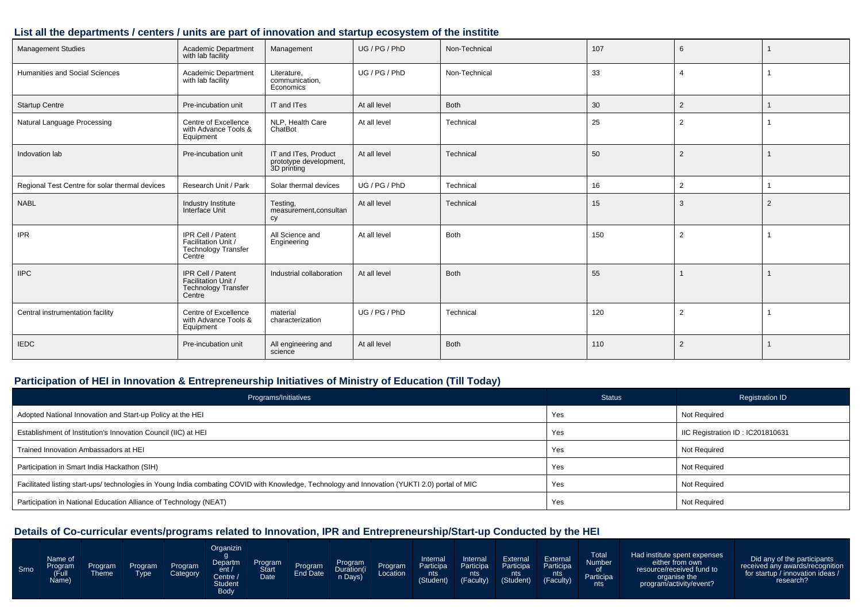#### **List all the departments / centers / units are part of innovation and startup ecosystem of the institite**

| <b>Management Studies</b>                      | Academic Department<br>with lab facility                                         | Management                                                    | UG / PG / PhD | Non-Technical | 107 | 6              |                |
|------------------------------------------------|----------------------------------------------------------------------------------|---------------------------------------------------------------|---------------|---------------|-----|----------------|----------------|
| Humanities and Social Sciences                 | Academic Department<br>with lab facility                                         | Literature,<br>communication,<br>Economics                    | UG / PG / PhD | Non-Technical | 33  | $\overline{4}$ |                |
| <b>Startup Centre</b>                          | Pre-incubation unit                                                              | IT and ITes                                                   | At all level  | Both          | 30  | $\overline{2}$ |                |
| Natural Language Processing                    | Centre of Excellence<br>with Advance Tools &<br>Equipment                        | NLP, Health Care<br>ChatBot                                   | At all level  | Technical     | 25  | $\overline{2}$ |                |
| Indovation lab                                 | Pre-incubation unit                                                              | IT and ITes, Product<br>prototype development,<br>3D printing | At all level  | Technical     | 50  | $\overline{2}$ |                |
| Regional Test Centre for solar thermal devices | Research Unit / Park                                                             | Solar thermal devices                                         | UG / PG / PhD | Technical     | 16  | $\overline{2}$ |                |
| <b>NABL</b>                                    | Industry Institute<br>Interface Unit                                             | Testing,<br>measurement, consultan<br>cy                      | At all level  | Technical     | 15  | 3              | $\overline{2}$ |
| <b>IPR</b>                                     | IPR Cell / Patent<br>Facilitation Unit /<br><b>Technology Transfer</b><br>Centre | All Science and<br>Engineering                                | At all level  | Both          | 150 | $\overline{2}$ |                |
| <b>IIPC</b>                                    | IPR Cell / Patent<br>Facilitation Unit /<br>Technology Transfer<br>Centre        | Industrial collaboration                                      | At all level  | Both          | 55  |                |                |
| Central instrumentation facility               | Centre of Excellence<br>with Advance Tools &<br>Equipment                        | material<br>characterization                                  | UG / PG / PhD | Technical     | 120 | $\overline{2}$ |                |
| <b>IEDC</b>                                    | Pre-incubation unit                                                              | All engineering and<br>science                                | At all level  | <b>Both</b>   | 110 | $\overline{2}$ |                |

### **Participation of HEI in Innovation & Entrepreneurship Initiatives of Ministry of Education (Till Today)**

| Programs/Initiatives                                                                                                                           | <b>Status</b> | <b>Registration ID</b>           |
|------------------------------------------------------------------------------------------------------------------------------------------------|---------------|----------------------------------|
| Adopted National Innovation and Start-up Policy at the HEI                                                                                     | Yes           | Not Required                     |
| Establishment of Institution's Innovation Council (IIC) at HEI                                                                                 | Yes           | IIC Registration ID: IC201810631 |
| Trained Innovation Ambassadors at HEI                                                                                                          | Yes           | Not Required                     |
| Participation in Smart India Hackathon (SIH)                                                                                                   | Yes           | Not Required                     |
| Facilitated listing start-ups/ technologies in Young India combating COVID with Knowledge, Technology and Innovation (YUKTI 2.0) portal of MIC | Yes           | Not Required                     |
| Participation in National Education Alliance of Technology (NEAT)                                                                              | Yes           | Not Required                     |

| Srno | Name of<br>Program<br>(Full<br>Name) | <b>Program</b><br>`heme | Program<br>⊺vpe | Program<br>Category | Organizin<br>Departm<br>ent/<br>Centre /<br><b>Student</b><br>Body | Program<br><b>Start</b><br><b>Date</b> | Program<br>End Date | Program<br>Duration(i<br>Days) | Program | Internal<br><b>Participa</b><br>nts<br>(Student) | Internal<br>Participa<br>nts <b>s</b><br>(Faculty) | External<br>Participa<br>nts:<br>(Student) | External<br>Participa<br>nts<br>(Faculty) | <b>Total</b><br><b>Number</b><br>Participa<br>nts | Had institute spent expenses<br>either from own<br>resource/received fund to<br>organise the<br>program/activity/event? | Did any of the participants<br>received any awards/recognition<br>for startup / innovation ideas /<br>research? |
|------|--------------------------------------|-------------------------|-----------------|---------------------|--------------------------------------------------------------------|----------------------------------------|---------------------|--------------------------------|---------|--------------------------------------------------|----------------------------------------------------|--------------------------------------------|-------------------------------------------|---------------------------------------------------|-------------------------------------------------------------------------------------------------------------------------|-----------------------------------------------------------------------------------------------------------------|
|------|--------------------------------------|-------------------------|-----------------|---------------------|--------------------------------------------------------------------|----------------------------------------|---------------------|--------------------------------|---------|--------------------------------------------------|----------------------------------------------------|--------------------------------------------|-------------------------------------------|---------------------------------------------------|-------------------------------------------------------------------------------------------------------------------------|-----------------------------------------------------------------------------------------------------------------|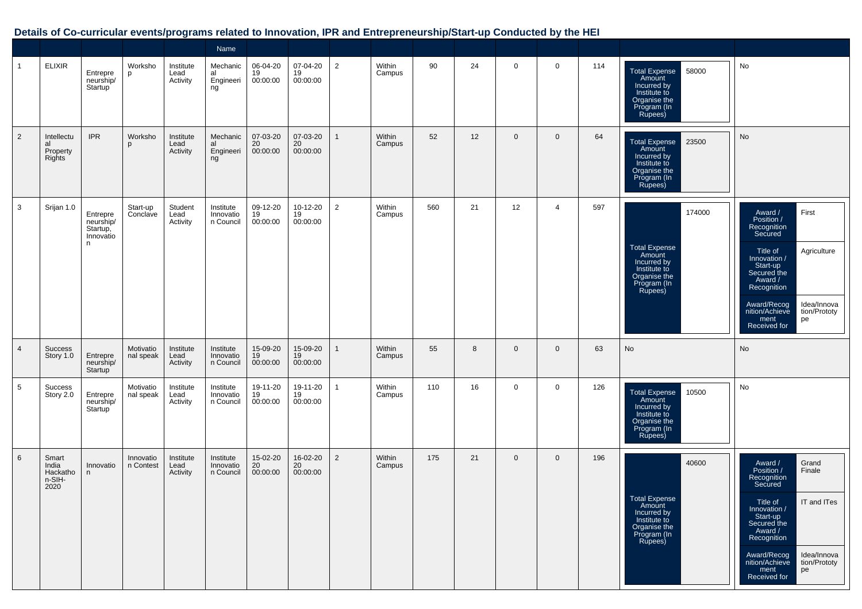|                |                                              |                                                      |                        |                               | Name                                |                            |                            |                |                  |     |    |             |                |     |                                                                                                                   |                                                                                                                                                                                                                                                                  |
|----------------|----------------------------------------------|------------------------------------------------------|------------------------|-------------------------------|-------------------------------------|----------------------------|----------------------------|----------------|------------------|-----|----|-------------|----------------|-----|-------------------------------------------------------------------------------------------------------------------|------------------------------------------------------------------------------------------------------------------------------------------------------------------------------------------------------------------------------------------------------------------|
| $\mathbf{1}$   | <b>ELIXIR</b>                                | Entrepre<br>neurship/<br>Startup                     | Worksho<br>p           | Institute<br>Lead<br>Activity | Mechanic<br>al<br>Engineeri<br>ng   | 06-04-20<br>19<br>00:00:00 | 07-04-20<br>19<br>00:00:00 | $\overline{2}$ | Within<br>Campus | 90  | 24 | $\mathbf 0$ | $\mathbf 0$    | 114 | <b>Total Expense</b><br>58000<br>Amount<br>Incurred by<br>Institute to<br>Organise the<br>Program (In<br>Rupees)  | No                                                                                                                                                                                                                                                               |
| $\overline{2}$ | Intellectu<br>al<br>Property<br>Rights       | <b>IPR</b>                                           | Worksho<br>p           | Institute<br>Lead<br>Activity | Mechanic<br>al<br>Engineeri<br>ng   | 07-03-20<br>20<br>00:00:00 | 07-03-20<br>20<br>00:00:00 | -1             | Within<br>Campus | 52  | 12 | $\mathbf 0$ | $\mathbf 0$    | 64  | 23500<br><b>Total Expense</b><br>Amount<br>Incurred by<br>Institute to<br>Organise the<br>Program (In<br>Rupees)  | No                                                                                                                                                                                                                                                               |
| 3              | Srijan 1.0                                   | Entrepre<br>neurship/<br>Startup,<br>Innovatio<br>n. | Start-up<br>Conclave   | Student<br>Lead<br>Activity   | Institute<br>Innovatio<br>n Council | 09-12-20<br>19<br>00:00:00 | 10-12-20<br>19<br>00:00:00 | 2              | Within<br>Campus | 560 | 21 | 12          | $\overline{4}$ | 597 | 174000<br><b>Total Expense</b><br>Amount<br>Incurred by<br>Institute to<br>Organise the<br>Program (In<br>Rupees) | First<br>Award /<br>Position /<br>Recognition<br>Secured<br>Title of<br>Agriculture<br>Innovation /<br>Start-up<br>Secured the<br>Award /<br>Recognition<br>Award/Recog<br>Idea/Innova<br>nition/Achieve<br>tion/Prototy<br>ment<br>pe<br>Received for           |
| $\overline{4}$ | <b>Success</b><br>Story 1.0                  | Entrepre<br>neurship/<br>Startup                     | Motivatio<br>nal speak | Institute<br>Lead<br>Activity | Institute<br>Innovatio<br>n Council | 15-09-20<br>19<br>00:00:00 | 15-09-20<br>19<br>00:00:00 | -1             | Within<br>Campus | 55  | 8  | $\mathbf 0$ | $\overline{0}$ | 63  | No                                                                                                                | No                                                                                                                                                                                                                                                               |
| 5              | Success<br>Story 2.0                         | Entrepre<br>neurship/<br>Startup                     | Motivatio<br>nal speak | Institute<br>Lead<br>Activity | Institute<br>Innovatio<br>n Council | 19-11-20<br>19<br>00:00:00 | 19-11-20<br>19<br>00:00:00 | $\mathbf{1}$   | Within<br>Campus | 110 | 16 | $\mathbf 0$ | 0              | 126 | Total Expense<br>Amount<br>10500<br>Incurred by<br>Institute to<br>Organise the<br>Program (In<br>Rupees)         | No                                                                                                                                                                                                                                                               |
| 6              | Smart<br>India<br>Hackatho<br>n-SIH-<br>2020 | Innovatio<br>n                                       | Innovatio<br>n Contest | Institute<br>Lead<br>Activity | Institute<br>Innovatio<br>n Council | 15-02-20<br>20<br>00:00:00 | 16-02-20<br>20<br>00:00:00 | $\overline{2}$ | Within<br>Campus | 175 | 21 | $\mathbf 0$ | $\mathbf{0}$   | 196 | 40600<br><b>Total Expense</b><br>Amount<br>Incurred by<br>Institute to<br>Organise the<br>Program (In<br>Rupees)  | Award /<br>Grand<br>Position /<br>Finale<br>Recognition<br>Secured<br>IT and ITes<br>Title of<br>Innovation /<br>Start-up<br>Secured the<br>Award /<br>Recognition<br>Award/Recog<br>Idea/Innova<br>nition/Achieve<br>tion/Prototy<br>pe<br>ment<br>Received for |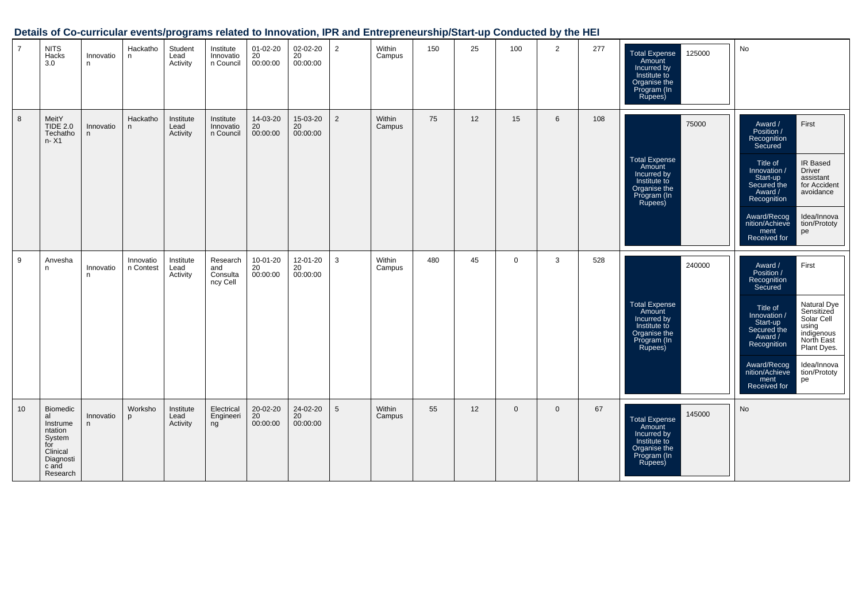| $\overline{7}$ | <b>NITS</b><br>Hacks<br>3.0                                                                                 | Innovatio<br>n | Hackatho<br>n          | Student<br>Lead<br>Activity   | Institute<br>Innovatio<br>n Council     | $01 - 02 - 20$<br>20<br>00:00:00 | 02-02-20<br>20<br>00:00:00 | 2              | Within<br>Campus | 150 | 25 | 100          | $\overline{2}$ | 277 | 125000<br><b>Total Expense</b><br>Amount<br>Incurred by<br>Institute to<br>Organise the<br>Program (In<br>Rupees) | No                                                                                                                                                                                                                                                                                                                                                   |
|----------------|-------------------------------------------------------------------------------------------------------------|----------------|------------------------|-------------------------------|-----------------------------------------|----------------------------------|----------------------------|----------------|------------------|-----|----|--------------|----------------|-----|-------------------------------------------------------------------------------------------------------------------|------------------------------------------------------------------------------------------------------------------------------------------------------------------------------------------------------------------------------------------------------------------------------------------------------------------------------------------------------|
| 8              | MeitY<br><b>TIDE 2.0</b><br>Techatho<br>n- X1                                                               | Innovatio<br>n | Hackatho<br>n          | Institute<br>Lead<br>Activity | Institute<br>Innovatio<br>n Council     | 14-03-20<br>20<br>00:00:00       | 15-03-20<br>20<br>00:00:00 | $\overline{2}$ | Within<br>Campus | 75  | 12 | 15           | 6              | 108 | 75000<br><b>Total Expense</b><br>Amount<br>Incurred by<br>Institute to<br>Organise the<br>Program (In<br>Rupees)  | First<br>Award /<br>Position /<br>Recognition<br>Secured<br>IR Based<br>Title of<br><b>Driver</b><br>Innovation /<br>Start-up<br>assistant<br>for Accident<br>Secured the<br>Award /<br>avoidance<br>Recognition<br>Idea/Innova<br>Award/Recog<br>nition/Achieve<br>tion/Prototy<br>ment<br>pe<br>Received for                                       |
| 9              | Anvesha<br>n                                                                                                | Innovatio<br>n | Innovatio<br>n Contest | Institute<br>Lead<br>Activity | Research<br>and<br>Consulta<br>ncy Cell | 10-01-20<br>20<br>00:00:00       | 12-01-20<br>20<br>00:00:00 | 3              | Within<br>Campus | 480 | 45 | $\mathbf{0}$ | 3              | 528 | 240000<br><b>Total Expense</b><br>Amount<br>Incurred by<br>Institute to<br>Organise the<br>Program (In<br>Rupees) | First<br>Award /<br>Position /<br>Recognition<br><b>Secured</b><br><b>Natural Dye</b><br>Title of<br>Sensitized<br>Innovation /<br>Solar Cell<br>Start-up<br>using<br>Secured the<br>indigenous<br>North East<br>Award /<br>Recognition<br>Plant Dyes.<br>Award/Recog<br>nition/Achieve<br>Idea/Innova<br>tion/Prototy<br>ment<br>pe<br>Received for |
| 10             | <b>Biomedic</b><br>al<br>Instrume<br>ntation<br>System<br>for<br>Clinical<br>Diagnosti<br>c and<br>Research | Innovatio<br>n | Worksho<br>D           | Institute<br>Lead<br>Activity | Electrical<br>Engineeri<br>ng           | 20-02-20<br>20<br>00:00:00       | 24-02-20<br>20<br>00:00:00 | 5              | Within<br>Campus | 55  | 12 | $\mathbf{0}$ | $\mathbf{0}$   | 67  | 145000<br><b>Total Expense</b><br>Amount<br>Incurred by<br>Institute to<br>Organise the<br>Program (In<br>Rupees) | No                                                                                                                                                                                                                                                                                                                                                   |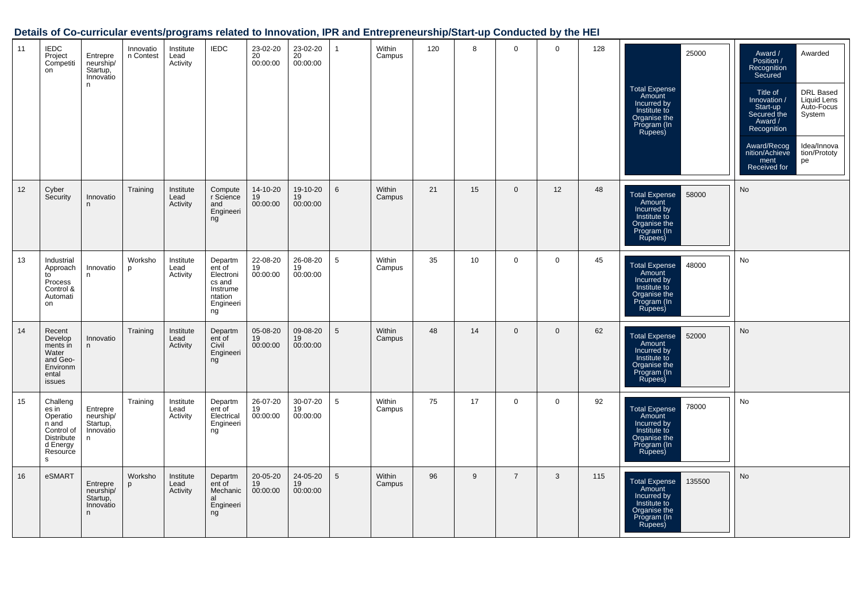| 11 | <b>IEDC</b><br>Project<br>Competiti<br>on                                                       | Entrepre<br>neurship/<br>Startup,<br>Innovatio<br>n. | Innovatio<br>n Contest | Institute<br>Lead<br>Activity | <b>IEDC</b>                                                                        | 23-02-20<br>$\overline{20}$<br>00:00:00 | 23-02-20<br>$\overline{20}$<br>00:00:00 | 1               | Within<br>Campus | 120 | 8  | $\mathbf 0$    | $\mathbf 0$ | 128 | 25000<br>Total Expense<br>Amount<br>Incurred by<br>Institute to<br>Organise the<br>Program (In<br>Rupees)        | Awarded<br>Award /<br>Position /<br>Recognition<br>Secured<br>DRL Based<br>Title of<br>Innovation /<br>Liquid Lens<br>Auto-Focus<br>Start-up<br>Secured the<br>System<br>Award /<br>Recognition<br>Idea/Innova<br>Award/Recog<br>nition/Achieve<br>tion/Prototy<br>ment<br>pe<br>Received for |
|----|-------------------------------------------------------------------------------------------------|------------------------------------------------------|------------------------|-------------------------------|------------------------------------------------------------------------------------|-----------------------------------------|-----------------------------------------|-----------------|------------------|-----|----|----------------|-------------|-----|------------------------------------------------------------------------------------------------------------------|-----------------------------------------------------------------------------------------------------------------------------------------------------------------------------------------------------------------------------------------------------------------------------------------------|
| 12 | Cyber<br>Security                                                                               | Innovatio<br>n                                       | Training               | Institute<br>Lead<br>Activity | Compute<br>r Science<br>and<br>Engineeri<br>ng                                     | 14-10-20<br>19<br>00:00:00              | 19-10-20<br>19<br>00:00:00              | 6               | Within<br>Campus | 21  | 15 | $\mathbf{0}$   | 12          | 48  | 58000<br>Total Expense<br>Amount<br>Incurred by<br>Institute to<br>Organise the<br>Program (In<br>Rupees)        | No                                                                                                                                                                                                                                                                                            |
| 13 | Industrial<br>Approach<br>to<br>Process<br>Control &<br>Automati<br>on                          | Innovatio<br>n.                                      | Worksho<br>p           | Institute<br>Lead<br>Activity | Departm<br>ent of<br>Electroni<br>cs and<br>Instrume<br>ntation<br>Engineeri<br>ng | 22-08-20<br>19<br>00:00:00              | 26-08-20<br>19<br>00:00:00              | 5               | Within<br>Campus | 35  | 10 | $\mathbf 0$    | $\mathbf 0$ | 45  | 48000<br>Total Expense<br>Amount<br>Incurred by<br>Institute to<br>Organise the<br>Program (In<br>Rupees)        | <b>No</b>                                                                                                                                                                                                                                                                                     |
| 14 | Recent<br>Develop<br>ments in<br>Water<br>and Geo-<br>Environm<br>ental<br>issues               | Innovatio<br>n.                                      | Training               | Institute<br>Lead<br>Activity | Departm<br>ent of<br>Civil<br>Engineeri<br>ng                                      | 05-08-20<br>19<br>00:00:00              | 09-08-20<br>19<br>00:00:00              | $5\overline{)}$ | Within<br>Campus | 48  | 14 | $\mathbf{0}$   | $\mathbf 0$ | 62  | 52000<br><b>Total Expense</b><br>Amount<br>Incurred by<br>Institute to<br>Organise the<br>Program (In<br>Rupees) | No                                                                                                                                                                                                                                                                                            |
| 15 | Challeng<br>es in<br>Operatio<br>n and<br>Control of<br>Distribute<br>d Energy<br>Resource<br>s | Entrepre<br>neurship/<br>Startup,<br>Innovatio<br>n. | Training               | Institute<br>Lead<br>Activity | Departm<br>ent of<br>Electrical<br>Engineeri<br>ng                                 | 26-07-20<br>19<br>00:00:00              | 30-07-20<br>19<br>00:00:00              | 5               | Within<br>Campus | 75  | 17 | $\mathbf 0$    | $\mathbf 0$ | 92  | 78000<br>Total Expense<br>Amount<br>Incurred by<br>Institute to<br>Organise the<br>Program (In<br>Rupees)        | No                                                                                                                                                                                                                                                                                            |
| 16 | eSMART                                                                                          | Entrepre<br>neurship/<br>Startup,<br>Innovatio<br>n  | Worksho<br>D           | Institute<br>Lead<br>Activity | Departm<br>ent of<br>Mechanic<br>al<br>Engineeri<br>ng                             | 20-05-20<br>$\overline{19}$<br>00:00:00 | 24-05-20<br>19<br>00:00:00              | $5\overline{)}$ | Within<br>Campus | 96  | 9  | $\overline{7}$ | 3           | 115 | 135500<br>Total Expense<br>Amount<br>Incurred by<br>Institute to<br>Organise the<br>Program (In<br>Rupees)       | <b>No</b>                                                                                                                                                                                                                                                                                     |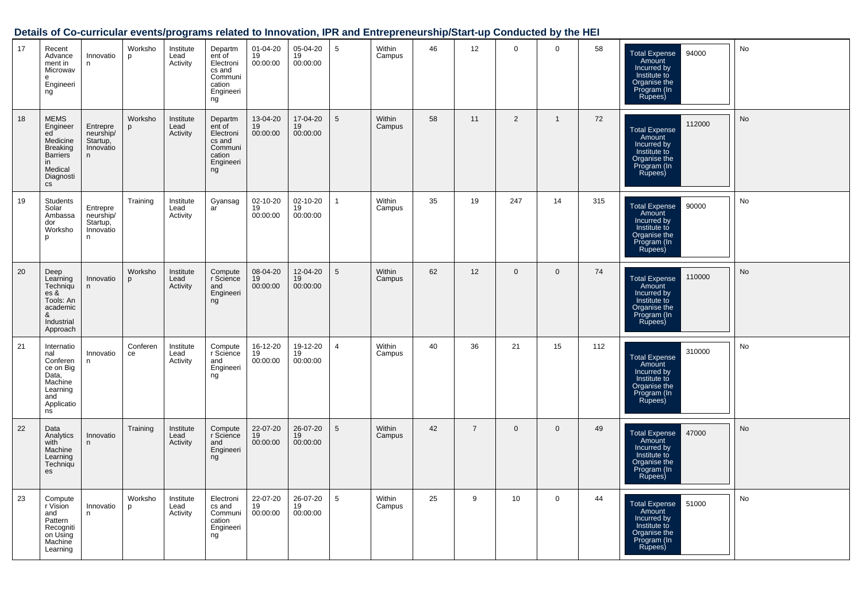| 17 | Recent<br>Advance<br>ment in<br>Microwav<br>e<br>Engineeri<br>ng                                                                       | Innovatio<br>n                                      | Worksho<br>p   | Institute<br>Lead<br>Activity | Departm<br>ent of<br>Electroni<br>cs and<br>Communi<br>cation<br>Engineeri<br>ng | 01-04-20<br>19<br>00:00:00 | 05-04-20<br>19<br>00:00:00 | 5               | Within<br>Campus | 46 | 12             | $\mathbf 0$    | $\mathbf 0$  | 58  | 94000<br><b>Total Expense</b><br>Amount<br>Incurred by<br>Institute to<br>Organise the<br>Program (In<br>Rupees)  | No |
|----|----------------------------------------------------------------------------------------------------------------------------------------|-----------------------------------------------------|----------------|-------------------------------|----------------------------------------------------------------------------------|----------------------------|----------------------------|-----------------|------------------|----|----------------|----------------|--------------|-----|-------------------------------------------------------------------------------------------------------------------|----|
| 18 | <b>MEMS</b><br>Engineer<br>ed<br>Medicine<br><b>Breaking</b><br><b>Barriers</b><br>in.<br>Medical<br>Diagnosti<br>$\mathsf{CS}\xspace$ | Entrepre<br>neurship/<br>Startup,<br>Innovatio<br>n | Worksho<br>p   | Institute<br>Lead<br>Activity | Departm<br>ent of<br>Electroni<br>cs and<br>Communi<br>cation<br>Engineeri<br>ng | 13-04-20<br>19<br>00:00:00 | 17-04-20<br>19<br>00:00:00 | $5\phantom{.0}$ | Within<br>Campus | 58 | 11             | $\overline{2}$ | $\mathbf{1}$ | 72  | 112000<br><b>Total Expense</b><br>Amount<br>Incurred by<br>Institute to<br>Organise the<br>Program (In<br>Rupees) | No |
| 19 | Students<br>Solar<br>Ambassa<br>dor<br>Worksho<br>D                                                                                    | Entrepre<br>neurship/<br>Startup,<br>Innovatio<br>n | Training       | Institute<br>Lead<br>Activity | Gyansag<br>ar                                                                    | 02-10-20<br>19<br>00:00:00 | 02-10-20<br>19<br>00:00:00 | $\mathbf{1}$    | Within<br>Campus | 35 | 19             | 247            | 14           | 315 | <b>Total Expense</b><br>90000<br>Amount<br>Incurred by<br>Institute to<br>Organise the<br>Program (In<br>Rupees)  | No |
| 20 | Deep<br>Learning<br>Techniqu<br>es &<br>Tools: An<br>academic<br>&<br>Industrial<br>Approach                                           | Innovatio<br>n                                      | Worksho<br>p   | Institute<br>Lead<br>Activity | Compute<br>r Science<br>and<br>Engineeri<br>ng                                   | 08-04-20<br>19<br>00:00:00 | 12-04-20<br>19<br>00:00:00 | $5\phantom{.0}$ | Within<br>Campus | 62 | 12             | $\mathbf{0}$   | $\mathbf{0}$ | 74  | 110000<br><b>Total Expense</b><br>Amount<br>Incurred by<br>Institute to<br>Organise the<br>Program (In<br>Rupees) | No |
| 21 | Internatio<br>nal<br>Conferen<br>ce on Big<br>Data,<br>Machine<br>Learning<br>and<br>Applicatio<br>ns                                  | Innovatio<br>n                                      | Conferen<br>ce | Institute<br>Lead<br>Activity | Compute<br>r Science<br>and<br>Engineeri<br>ng                                   | 16-12-20<br>19<br>00:00:00 | 19-12-20<br>19<br>00:00:00 | $\overline{4}$  | Within<br>Campus | 40 | 36             | 21             | 15           | 112 | 310000<br>Total Expense<br>Amount<br>Incurred by<br>Institute to<br>Organise the<br>Program (In<br>Rupees)        | No |
| 22 | Data<br>Analytics<br>with<br>Machine<br>Learning<br>Techniqu<br>es                                                                     | Innovatio<br>n                                      | Training       | Institute<br>Lead<br>Activity | Compute<br>r Science<br>and<br>Engineeri<br>ng                                   | 22-07-20<br>19<br>00:00:00 | 26-07-20<br>19<br>00:00:00 | $5\phantom{.0}$ | Within<br>Campus | 42 | $\overline{7}$ | $\mathbf 0$    | $\mathbf{0}$ | 49  | <b>Total Expense</b><br>47000<br>Amount<br>Incurred by<br>Institute to<br>Organise the<br>Program (In<br>Rupees)  | No |
| 23 | Compute<br>r Vision<br>and<br>Pattern<br>Recogniti<br>on Using<br>Machine<br>Learning                                                  | Innovatio<br>n                                      | Worksho<br>D   | Institute<br>Lead<br>Activity | Electroni<br>cs and<br>Communi<br>cation<br>Engineeri<br>ng                      | 22-07-20<br>19<br>00:00:00 | 26-07-20<br>19<br>00:00:00 | 5               | Within<br>Campus | 25 | 9              | 10             | 0            | 44  | Total Expense<br>Amount<br>51000<br>Incurred by<br>Institute to<br>Organise the<br>Program (In<br>Rupees)         | No |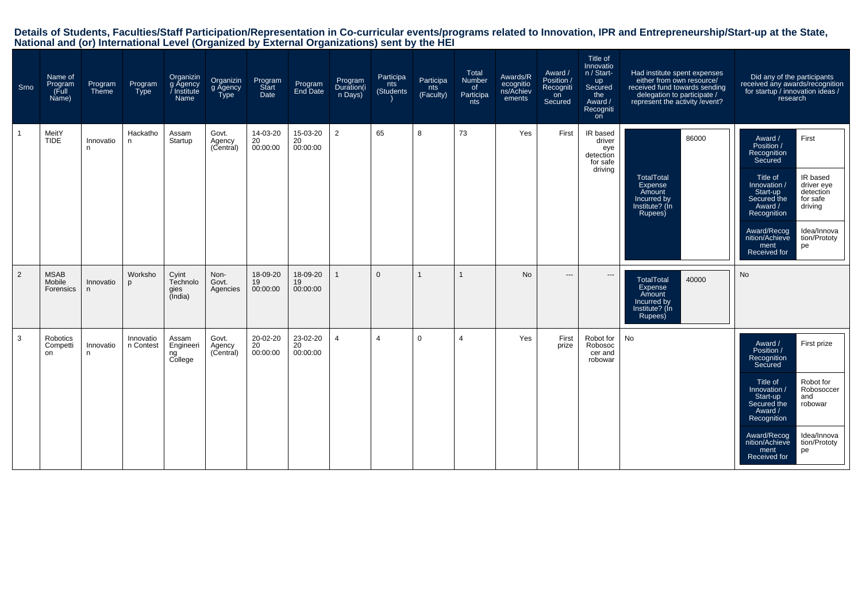| Srno | Name of<br>Program<br>(Full<br>Name) | Program<br>Theme | Program<br>Type        | Organizin<br>g Agency<br>/ Institute<br>Name | Organizin<br>g Agency<br>Type | Program<br>Start<br>Date   | Program<br>End Date        | Program<br>Duration(i<br>n Days) | Participa<br>nts<br>(Students | Participa<br>nts<br>(Faculty) | Total<br>Number<br>of<br>Participa<br>nts | Awards/R<br>ecognitio<br>ns/Achiev<br>ements | Award /<br>Position /<br>Recogniti<br>on<br>Secured | Title of<br>Innovatio<br>n / Start-<br>up<br>Secured<br>the<br>Award /<br>Recogniti<br>on | Had institute spent expenses<br>either from own resource/<br>received fund towards sending<br>delegation to participate /<br>represent the activity / event? | Did any of the participants<br>received any awards/recognition<br>for startup / innovation ideas /<br>research                                                                                                                                                                                        |
|------|--------------------------------------|------------------|------------------------|----------------------------------------------|-------------------------------|----------------------------|----------------------------|----------------------------------|-------------------------------|-------------------------------|-------------------------------------------|----------------------------------------------|-----------------------------------------------------|-------------------------------------------------------------------------------------------|--------------------------------------------------------------------------------------------------------------------------------------------------------------|-------------------------------------------------------------------------------------------------------------------------------------------------------------------------------------------------------------------------------------------------------------------------------------------------------|
|      | MeitY<br><b>TIDE</b>                 | Innovatio<br>n   | Hackatho<br>n.         | Assam<br>Startup                             | Govt.<br>Agency<br>(Central)  | 14-03-20<br>20<br>00:00:00 | 15-03-20<br>20<br>00:00:00 | $\overline{2}$                   | 65                            | 8                             | 73                                        | Yes                                          | First                                               | IR based<br>driver<br>eye<br>detection<br>for safe<br>driving                             | 86000<br><b>TotalTotal</b><br>Expense<br>Amount<br>Incurred by<br>Institute? (In<br>Rupees)                                                                  | First<br>Award /<br>Position /<br>Recognition<br>Secured<br>Title of<br>IR based<br>driver eye<br>Innovation /<br>detection<br>Start-up<br>Secured the<br>for safe<br>driving<br>Award /<br>Recognition<br>Idea/Innova<br>Award/Recog<br>nition/Achieve<br>tion/Prototy<br>ment<br>pe<br>Received for |
| 2    | <b>MSAB</b><br>Mobile<br>Forensics   | Innovatio<br>n   | Worksho<br>D           | Cyint<br>Technolo<br>gies<br>(India)         | Non-<br>Govt.<br>Agencies     | 18-09-20<br>19<br>00:00:00 | 18-09-20<br>19<br>00:00:00 |                                  | $\Omega$                      | $\mathbf{1}$                  | $\mathbf{1}$                              | <b>No</b>                                    | $\hspace{0.05cm} \ldots$                            | $\cdots$                                                                                  | <b>TotalTotal</b><br>40000<br>Expense<br>Amount<br>Incurred by<br>Institute? (In<br>Rupees)                                                                  | <b>No</b>                                                                                                                                                                                                                                                                                             |
| 3    | Robotics<br>Competti<br>on           | Innovatio<br>n   | Innovatio<br>n Contest | Assam<br>Engineeri<br>ng<br>College          | Govt.<br>Agency<br>(Central)  | 20-02-20<br>20<br>00:00:00 | 23-02-20<br>20<br>00:00:00 | $\overline{4}$                   | 4                             | $\Omega$                      | 4                                         | Yes                                          | First<br>prize                                      | Robot for<br>Robosoc<br>cer and<br>robowar                                                | No                                                                                                                                                           | Award /<br>First prize<br>Position /<br>Recognition<br>Secured<br>Title of<br>Robot for<br>Robosoccer<br>Innovation /<br>Start-up<br>and<br>Secured the<br>robowar<br>Award /<br>Recognition<br>Award/Recog<br>Idea/Innova<br>nition/Achieve<br>tion/Prototy<br>ment<br>pe<br>Received for            |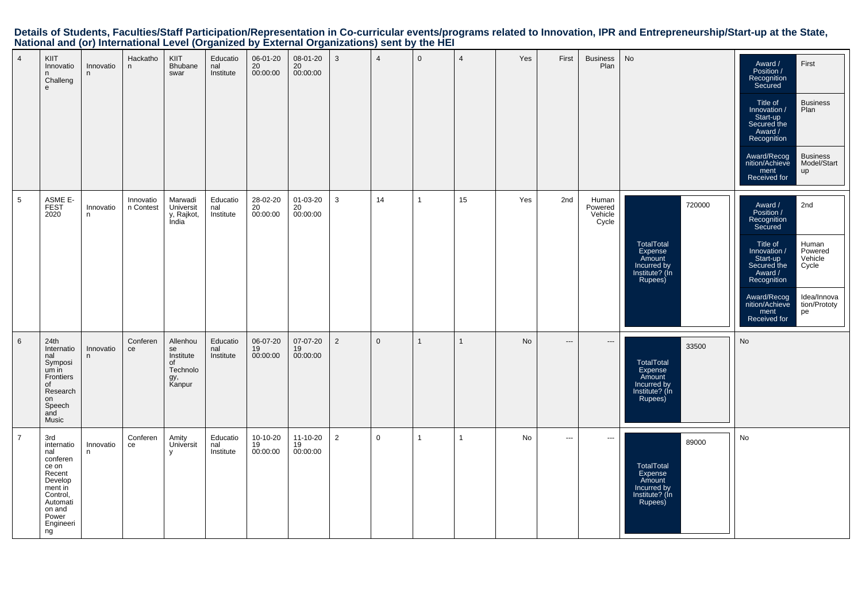| $\overline{4}$  | KIIT<br>Innovatio<br>n.<br>Challeng<br>${\bf e}$                                                                                            | Innovatio<br>n | Hackatho<br>n          | <b>KIIT</b><br>Bhubane<br>swar                                 | Educatio<br>nal<br>Institute | 06-01-20<br>$\frac{20}{20}$<br>00:00:00 | 08-01-20<br>$20\,$<br>00:00:00 | 3              | $\overline{4}$ | $\mathbf 0$    | $\overline{4}$ | Yes | First                    | <b>Business</b><br>Plan              | No                                                                                           | Award /<br>First<br>Position /<br>Recognition<br>Secured<br>Title of<br><b>Business</b><br>Innovation /<br>Plan<br>Start-up<br>Secured the<br>Award /<br>Recognition<br>Award/Recog<br><b>Business</b><br>nition/Achieve<br>Model/Start<br>ment<br>up<br>Received for         |
|-----------------|---------------------------------------------------------------------------------------------------------------------------------------------|----------------|------------------------|----------------------------------------------------------------|------------------------------|-----------------------------------------|--------------------------------|----------------|----------------|----------------|----------------|-----|--------------------------|--------------------------------------|----------------------------------------------------------------------------------------------|-------------------------------------------------------------------------------------------------------------------------------------------------------------------------------------------------------------------------------------------------------------------------------|
| $5\phantom{.0}$ | ASME E-<br>FEST<br>2020                                                                                                                     | Innovatio<br>n | Innovatio<br>n Contest | Marwadi<br>Universit<br>y, Rajkot,<br>India                    | Educatio<br>nal<br>Institute | 28-02-20<br>20<br>00:00:00              | 01-03-20<br>20<br>00:00:00     | 3              | 14             | $\overline{1}$ | 15             | Yes | 2nd                      | Human<br>Powered<br>Vehicle<br>Cycle | 720000<br><b>TotalTotal</b><br>Expense<br>Amount<br>Incurred by<br>Institute? (Ín<br>Rupees) | Award /<br>2nd<br>Position /<br>Recognition<br>Secured<br>Title of<br>Human<br>Powered<br>Innovation /<br>Start-up<br>Vehicle<br>Secured the<br>Cycle<br>Award /<br>Recognition<br>Idea/Innova<br>Award/Recog<br>nition/Achieve<br>tion/Prototy<br>ment<br>pe<br>Received for |
| $\,6\,$         | 24th<br>Internatio<br>nal<br>Symposi<br>um in<br>Frontiers<br>of<br>Research<br>on<br>Speech<br>and<br>Music                                | Innovatio<br>n | Conferen<br>ce         | Allenhou<br>se<br>Institute<br>of<br>Technolo<br>gy,<br>Kanpur | Educatio<br>nal<br>Institute | 06-07-20<br>19<br>00:00:00              | 07-07-20<br>19<br>00:00:00     | $\overline{2}$ | $\overline{0}$ | $\mathbf{1}$   | $\mathbf{1}$   | No  | $---$                    | $\hspace{0.05cm} \ldots$             | 33500<br><b>TotalTotal</b><br>Expense<br>Amount<br>Incurred by<br>Institute? (In<br>Rupees)  | No                                                                                                                                                                                                                                                                            |
| $\overline{7}$  | 3rd<br>internatio<br>nal<br>conferen<br>ce on<br>Recent<br>Develop<br>ment in<br>Control,<br>Automati<br>on and<br>Power<br>Engineeri<br>ng | Innovatio<br>n | Conferen<br>ce         | Amity<br>Universit<br>$\mathsf{v}$                             | Educatio<br>nal<br>Institute | 10-10-20<br>19<br>00:00:00              | 11-10-20<br>19<br>00:00:00     | $\overline{2}$ | $\mathbf 0$    | $\overline{1}$ | $\mathbf{1}$   | No  | $\hspace{0.05cm} \ldots$ | $\hspace{0.05cm} \cdots$             | 89000<br>TotalTotal<br>Expense<br>Amount<br>Incurred by<br>Institute? (In<br>Rupees)         | No                                                                                                                                                                                                                                                                            |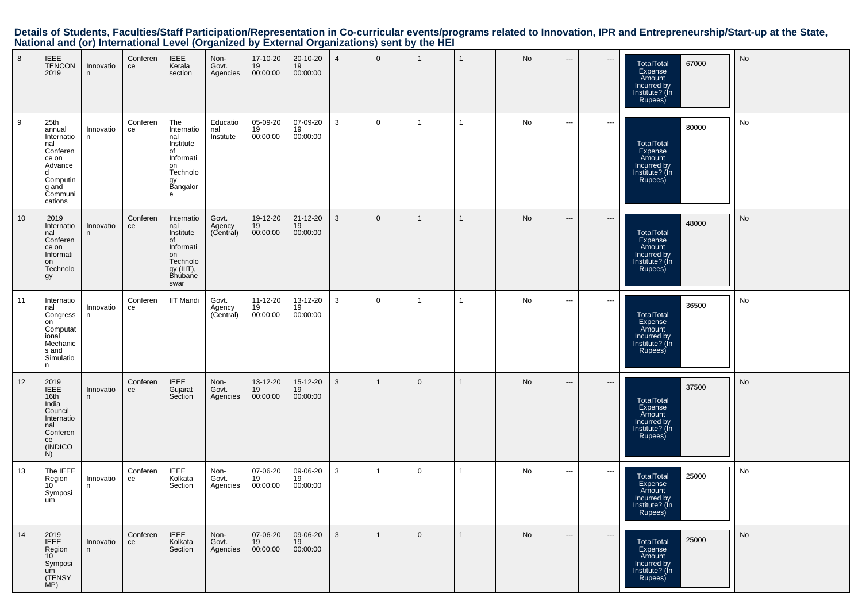| 8  | $IEEE$<br><b>TENCON</b><br>2019                                                                                     | Innovatio<br>n  | Conferen<br>ce | <b>IEEE</b><br>Kerala<br>section                                                                     | Non-<br>Govt.<br>Agencies    | 17-10-20<br>19<br>00:00:00 | 20-10-20<br>19<br>00:00:00 | $\overline{4}$ | $\mathbf 0$    | $\mathbf{1}$   | $\mathbf{1}$ | No        | $---$                                    | $\hspace{0.05cm} \ldots \hspace{0.05cm}$ | 67000<br>TotalTotal<br>Expense<br>Amount<br>Incurred by<br>Institute? (In<br>Rupees)        | No        |
|----|---------------------------------------------------------------------------------------------------------------------|-----------------|----------------|------------------------------------------------------------------------------------------------------|------------------------------|----------------------------|----------------------------|----------------|----------------|----------------|--------------|-----------|------------------------------------------|------------------------------------------|---------------------------------------------------------------------------------------------|-----------|
| 9  | 25th<br>annual<br>Internatio<br>nal<br>Conferen<br>ce on<br>Advance<br>d<br>Computin<br>g anḋ<br>Communi<br>cations | Innovatio<br>n  | Conferen<br>ce | The<br>Internatio<br>nal<br>Institute<br>of<br>Informati<br>on<br>Technolo<br>gy<br>Bangalor<br>e    | Educatio<br>nal<br>Institute | 05-09-20<br>19<br>00:00:00 | 07-09-20<br>19<br>00:00:00 | 3              | $\mathbf 0$    | $\overline{1}$ | $\mathbf{1}$ | No        | $---$                                    | $\hspace{0.05cm} \ldots$                 | 80000<br>TotalTotal<br>Expense<br>Amount<br>Incurred by<br>Institute? (In<br>Rupees)        | No        |
| 10 | 2019<br>Internatio<br>nal<br>Conferen<br>ce on<br>Informati<br>on<br>Technolo<br>gy                                 | Innovatio<br>n  | Conferen<br>ce | Internatio<br>nal<br>Institute<br>of<br>Informati<br>on<br>Technolo<br>gy (IIIT),<br>Bhubane<br>swar | Govt.<br>Agency<br>(Central) | 19-12-20<br>19<br>00:00:00 | 21-12-20<br>19<br>00:00:00 | 3              | $\mathbf 0$    | $\overline{1}$ | $\mathbf{1}$ | <b>No</b> | $\hspace{0.05cm} \cdots$                 | $\hspace{0.05cm} \cdots$                 | 48000<br>TotalTotal<br>Expense<br>Amount<br>Incurred by<br>Institute? (In<br>Rupees)        | No        |
| 11 | Internatio<br>nal<br>Congress<br>on<br>Computat<br>ional<br>Mechanic<br>s and<br>Simulatio<br>n                     | Innovatio<br>n. | Conferen<br>ce | <b>IIT Mandi</b>                                                                                     | Govt.<br>Agency<br>(Central) | 11-12-20<br>19<br>00:00:00 | 13-12-20<br>19<br>00:00:00 | 3              | $\mathbf 0$    | $\overline{1}$ | $\mathbf{1}$ | No        | $---$                                    | $\hspace{0.05cm} \cdots$                 | 36500<br><b>TotalTotal</b><br>Expense<br>Amount<br>Incurred by<br>Institute? (In<br>Rupees) | No        |
| 12 | 2019<br>IEEE<br>16th<br>India<br>Council<br>Internatio<br>nal<br>Conferen<br>ce<br>(INDICO)<br>N)                   | Innovatio<br>n  | Conferen<br>ce | <b>IEEE</b><br>Gujarat<br>Section                                                                    | Non-<br>Govt.<br>Agencies    | 13-12-20<br>19<br>00:00:00 | 15-12-20<br>19<br>00:00:00 | 3              | $\mathbf{1}$   | $\mathbf 0$    | $\mathbf{1}$ | No        | $---$                                    | ---                                      | 37500<br><b>TotalTotal</b><br>Expense<br>Amount<br>Incurred by<br>Institute? (In<br>Rupees) | <b>No</b> |
| 13 | The IEEE<br>Region<br>10<br>Symposi<br>um                                                                           | Innovatio<br>n. | Conferen<br>ce | <b>IEEE</b><br>Kolkata<br>Section                                                                    | Non-<br>Govt.<br>Agencies    | 07-06-20<br>19<br>00:00:00 | 09-06-20<br>19<br>00:00:00 | 3              | 1              | $\mathbf 0$    | $\mathbf{1}$ | No        | $\hspace{0.05cm} \ldots \hspace{0.05cm}$ | $\scriptstyle\cdots$                     | 25000<br>TotalTotal<br>Expense<br>Amount<br>Incurred by<br>Institute? (In<br>Rupees)        | No        |
| 14 | 2019<br><b>IEEE</b><br>Region<br>$10^{\degree}$<br>Symposi<br>um<br>(TENSY<br>MP)                                   | Innovatio<br>n  | Conferen<br>ce | <b>IEEE</b><br>Kolkata<br>Section                                                                    | Non-<br>Govt.<br>Agencies    | 07-06-20<br>19<br>00:00:00 | 09-06-20<br>19<br>00:00:00 | 3              | $\overline{1}$ | $\mathbf 0$    | $\mathbf{1}$ | No        | $\hspace{0.05cm} \cdots$                 | $\hspace{0.05cm} \ldots \hspace{0.05cm}$ | 25000<br><b>TotalTotal</b><br>Expense<br>Amount<br>Incurred by<br>Institute? (In<br>Rupees) | <b>No</b> |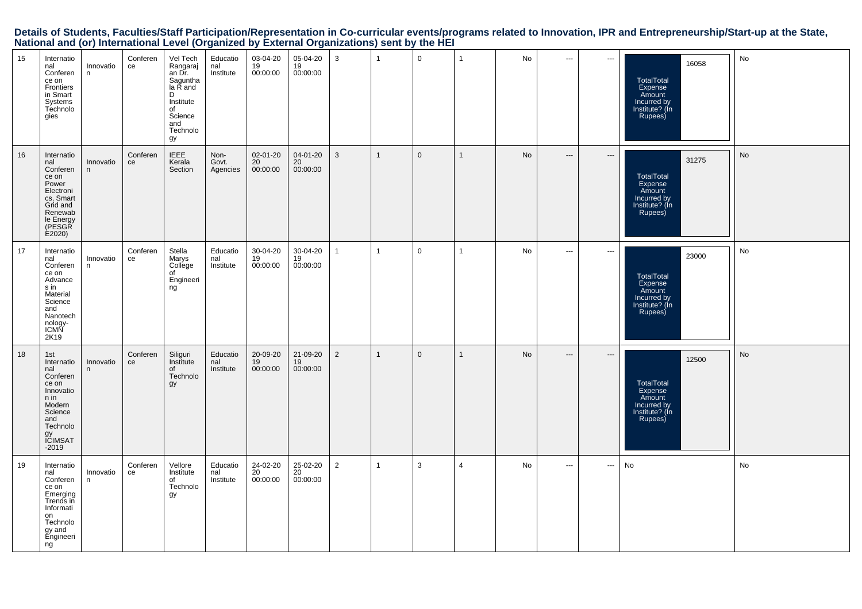| 19                                                                                                                          | 18                                                                                                                                     | 17                                                                                                                             | 16                                                                                                                               | 15                                                                                                                 |
|-----------------------------------------------------------------------------------------------------------------------------|----------------------------------------------------------------------------------------------------------------------------------------|--------------------------------------------------------------------------------------------------------------------------------|----------------------------------------------------------------------------------------------------------------------------------|--------------------------------------------------------------------------------------------------------------------|
| Internatio<br>nal<br>Conferen<br>ce on<br>Emerging<br>Trends in<br>Informati<br>on<br>Technolo<br>gy and<br>Engineeri<br>ng | 1st<br>Internatio<br>nal<br>Conferen<br>ce on<br>Innovatio<br>n in<br>Modern<br>Science<br>and<br>Technolo<br>gy<br>ICIMSAT<br>$-2019$ | Internatio<br>nal<br>Conferen<br>ce on<br>Advance<br>s in<br>Material<br>Science<br>and<br>Nanotech<br>nology-<br>ICMN<br>2K19 | Internatio<br>nal<br>Conferen<br>ce on<br>Power<br>Electroni<br>cs, Smart<br>Grid and<br>Renewab<br>le Energy<br>(PESGR<br>E2020 | Internatio<br>nal<br>Conferen<br>ce on<br>Frontiers<br>in Smart<br>Systems<br>Technolo<br>gies                     |
| Innovatio<br>n.                                                                                                             | Innovatio<br>n                                                                                                                         | Innovatio<br>n                                                                                                                 | Innovatio<br>n                                                                                                                   | Innovatio<br>n                                                                                                     |
| Conferen<br>ce                                                                                                              | Conferen<br>ce                                                                                                                         | Conferen<br>ce                                                                                                                 | Conferen<br>ce                                                                                                                   | Conferen<br>ce                                                                                                     |
| Vellore<br>Institute<br>of<br>Technolo<br>gy                                                                                | Siliguri<br>Institute<br>of<br>Technolo<br>gy                                                                                          | Stella<br>Marys<br>College<br>of<br>Engineeri<br>ng                                                                            | <b>IEEE</b><br>Kerala<br>Section                                                                                                 | Vel Tech<br>Rangaraj<br>an Dr.<br>Saguntha<br>la R and<br>D<br>Institute<br>of<br>Science<br>and<br>Technolo<br>gy |
| Educatio<br>nal<br>Institute                                                                                                | Educatio<br>nal<br>Institute                                                                                                           | Educatio<br>nal<br>Institute                                                                                                   | Non-<br>Govt.<br>Agencies                                                                                                        | Educatio<br>nal<br>Institute                                                                                       |
| 24-02-20<br>20<br>00:00:00                                                                                                  | 20-09-20<br>19<br>00:00:00                                                                                                             | 30-04-20<br>19<br>00:00:00                                                                                                     | 02-01-20<br>20<br>00:00:00                                                                                                       | 03-04-20<br>19<br>00:00:00                                                                                         |
| 25-02-20<br>20<br>00:00:00                                                                                                  | 21-09-20<br>19<br>00:00:00                                                                                                             | 30-04-20<br>19<br>00:00:00                                                                                                     | 04-01-20<br>20<br>00:00:00                                                                                                       | 05-04-20<br>19<br>00:00:00                                                                                         |
| 2                                                                                                                           | $\overline{2}$                                                                                                                         | $\mathbf{1}$                                                                                                                   | 3                                                                                                                                | 3                                                                                                                  |
| $\overline{1}$                                                                                                              | $\mathbf{1}$                                                                                                                           | $\overline{1}$                                                                                                                 | $\mathbf{1}$                                                                                                                     | $\overline{1}$                                                                                                     |
| $\mathbf{3}$                                                                                                                | $\mathbf{0}$                                                                                                                           | $\mathbf 0$                                                                                                                    | $\mathbf{0}$                                                                                                                     | $\mathbf 0$                                                                                                        |
| $\overline{4}$                                                                                                              | $\mathbf{1}$                                                                                                                           | $\overline{1}$                                                                                                                 | $\overline{1}$                                                                                                                   | $\overline{1}$                                                                                                     |
| No                                                                                                                          | No                                                                                                                                     | No                                                                                                                             | No                                                                                                                               | No                                                                                                                 |
| $\overline{a}$                                                                                                              | $\hspace{0.05cm} \ldots$                                                                                                               | $\overline{\phantom{a}}$                                                                                                       | $---$                                                                                                                            | $\hspace{0.05cm} \ldots$                                                                                           |
| $\sim$ $\sim$                                                                                                               | $\hspace{0.05cm} \cdots$                                                                                                               | $\overline{\phantom{a}}$                                                                                                       | $\hspace{0.05cm} \ldots$                                                                                                         | $\hspace{0.05cm} \ldots$                                                                                           |
| No                                                                                                                          | 12500<br>TotalTotal<br>Expense<br>Amount<br>Incurred by<br>Institute? (In<br>Rupees)                                                   | 23000<br>TotalTotal<br>Expense<br>Amount<br>Incurred by<br>Institute? (In<br>Rupees)                                           | 31275<br>TotalTotal<br>Expense<br>Amount<br>Incurred by<br>Institute? (In<br>Rupees)                                             | 16058<br>TotalTotal<br>Expense<br>Amount<br>Incurred by<br>Institute? (In<br>Rupees)                               |
| No                                                                                                                          | No                                                                                                                                     | No                                                                                                                             | No                                                                                                                               | No                                                                                                                 |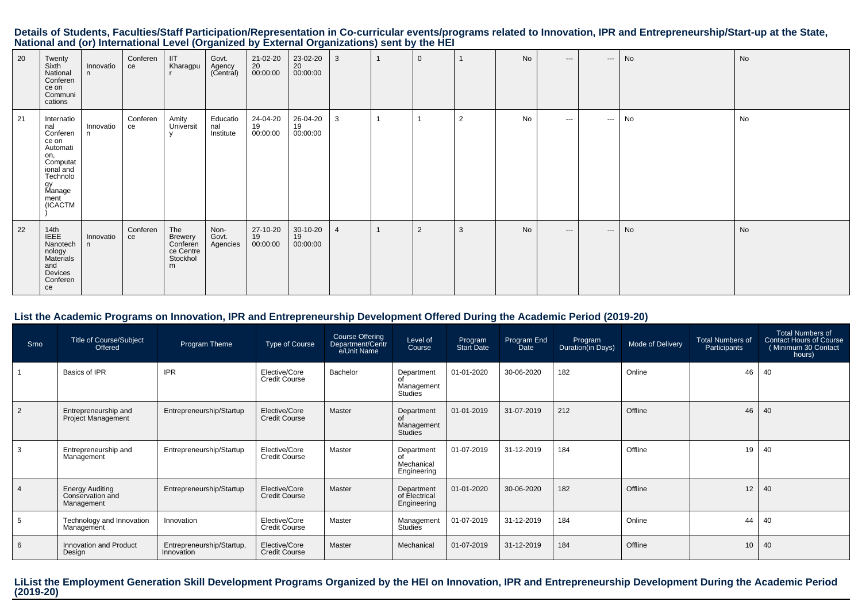|                                                                                             |  | Details of Students, Faculties/Staff Participation/Representation in Co-curricular events/programs related to Innovation, IPR and Entrepreneurship/Start-up at the State, |
|---------------------------------------------------------------------------------------------|--|---------------------------------------------------------------------------------------------------------------------------------------------------------------------------|
| National and (or) International Level (Organized by External Organizations) sent by the HEI |  |                                                                                                                                                                           |

| 20 | Twenty<br>Sixth<br>National<br>Conferen<br>ce on<br>Communi<br>cations                                                            | Innovatio<br>n | Conferen<br>ce | IIT<br>Kharagpu                                          | Govt.<br>Agency<br>(Central) | 21-02-20<br>20<br>00:00:00 | 23-02-20<br>20<br>00:00:00 | 3              | $\mathbf{0}$   |                | No | $---$         | $\cdots$             | No | <b>No</b> |
|----|-----------------------------------------------------------------------------------------------------------------------------------|----------------|----------------|----------------------------------------------------------|------------------------------|----------------------------|----------------------------|----------------|----------------|----------------|----|---------------|----------------------|----|-----------|
| 21 | Internatio<br>nal<br>Conferen<br>ce on<br>Automati<br>on,<br>Computat<br>ional and<br>Technolo<br>gy<br>Manage<br>ment<br>(ICACTM | Innovatio<br>n | Conferen<br>ce | Amity<br>Universit<br>$\mathbf{v}$                       | Educatio<br>nal<br>Institute | 24-04-20<br>19<br>00:00:00 | 26-04-20<br>19<br>00:00:00 | 3              |                | $\overline{2}$ | No | $\sim$ $\sim$ | $\sim$ $\sim$ $\sim$ | No | No        |
| 22 | 14th<br>IEEE<br>Nanotech<br>nology<br>Materials<br>and<br>Devices<br>Conferen<br>ce                                               | Innovatio<br>n | Conferen<br>ce | The<br>Brewery<br>Conferen<br>ce Centre<br>Stockhol<br>m | Non-<br>Govt.<br>Agencies    | 27-10-20<br>19<br>00:00:00 | 30-10-20<br>19<br>00:00:00 | $\overline{4}$ | $\overline{2}$ | 3              | No | $---$         | $\cdots$             | No | <b>No</b> |

# **List the Academic Programs on Innovation, IPR and Entrepreneurship Development Offered During the Academic Period (2019-20)**

| Srno           | <b>Title of Course/Subject</b><br>Offered                | Program Theme                           | Type of Course                        | Course Offering<br>Department/Centr<br>e/Unit Name | Level of<br>Course                         | Program<br>Start Date | Program End<br>Date | Program<br>Duration(in Days) | Mode of Delivery | <b>Total Numbers of</b><br>Participants | <b>Total Numbers of</b><br><b>Contact Hours of Course</b><br>(Minimum 30 Contact<br>hours) |
|----------------|----------------------------------------------------------|-----------------------------------------|---------------------------------------|----------------------------------------------------|--------------------------------------------|-----------------------|---------------------|------------------------------|------------------|-----------------------------------------|--------------------------------------------------------------------------------------------|
|                | Basics of IPR                                            | <b>IPR</b>                              | Elective/Core<br><b>Credit Course</b> | Bachelor                                           | Department<br>Management<br>Studies        | 01-01-2020            | 30-06-2020          | 182                          | Online           | 46                                      | 40                                                                                         |
| $\overline{2}$ | Entrepreneurship and<br>Project Management               | Entrepreneurship/Startup                | Elective/Core<br><b>Credit Course</b> | Master                                             | Department<br>Management<br><b>Studies</b> | 01-01-2019            | 31-07-2019          | 212                          | Offline          | 46                                      | 40                                                                                         |
| -3             | Entrepreneurship and<br>Management                       | Entrepreneurship/Startup                | Elective/Core<br><b>Credit Course</b> | Master                                             | Department<br>Mechanical<br>Engineering    | 01-07-2019            | 31-12-2019          | 184                          | Offline          | 19                                      | 40                                                                                         |
| $\overline{4}$ | <b>Energy Auditing</b><br>Conservation and<br>Management | Entrepreneurship/Startup                | Elective/Core<br><b>Credit Course</b> | Master                                             | Department<br>of Electrical<br>Engineering | 01-01-2020            | 30-06-2020          | 182                          | Offline          | 12                                      | 40                                                                                         |
| 5              | Technology and Innovation<br>Management                  | Innovation                              | Elective/Core<br><b>Credit Course</b> | Master                                             | Management<br>Studies                      | 01-07-2019            | 31-12-2019          | 184                          | Online           | 44                                      | 40                                                                                         |
| - 6            | Innovation and Product<br>Design                         | Entrepreneurship/Startup,<br>Innovation | Elective/Core<br><b>Credit Course</b> | Master                                             | Mechanical                                 | 01-07-2019            | 31-12-2019          | 184                          | Offline          | 10                                      | 40                                                                                         |

**LiList the Employment Generation Skill Development Programs Organized by the HEI on Innovation, IPR and Entrepreneurship Development During the Academic Period (2019-20)**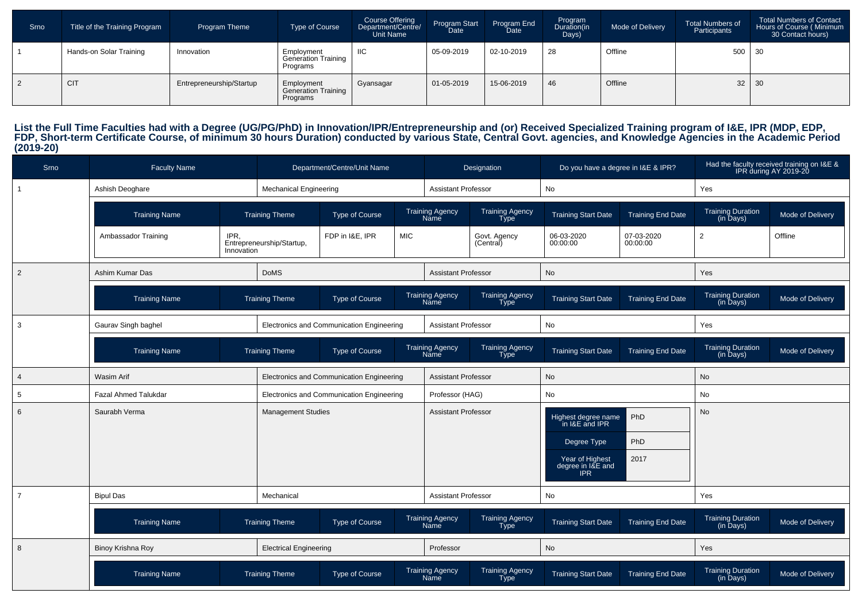| Srno | Title of the Training Program | <b>Program Theme</b>     | Type of Course                                       | Course Offering<br>Department/Centre/<br><b>Unit Name</b> | Program Start<br>Date <sup>'</sup> | Program End<br><b>Date</b> | Program<br>Duration(in<br>Days) | Mode of Delivery | <b>Total Numbers of</b><br>Participants | <b>Total Numbers of Contact</b><br>Hours of Course (Minimum<br>30 Contact hours) |
|------|-------------------------------|--------------------------|------------------------------------------------------|-----------------------------------------------------------|------------------------------------|----------------------------|---------------------------------|------------------|-----------------------------------------|----------------------------------------------------------------------------------|
|      | Hands-on Solar Training       | Innovation               | Employment<br><b>Generation Training</b><br>Programs | IIC                                                       | 05-09-2019                         | 02-10-2019                 | 28                              | Offline          | 500                                     | $\vert$ 30                                                                       |
|      | <b>CIT</b>                    | Entrepreneurship/Startup | Employment<br><b>Generation Training</b><br>Programs | Gyansagar                                                 | $01 - 05 - 2019$                   | 15-06-2019                 | 46                              | Offline          | $32 \mid 30$                            |                                                                                  |

List the Full Time Faculties had with a Degree (UG/PG/PhD) in Innovation/IPR/Entrepreneurship and (or) Received Specialized Training program of I&E, IPR (MDP, EDP,<br>FDP, Short-term Certificate Course, of minimum 30 hours Du

| Srno           | <b>Faculty Name</b>         |                    |                               | Department/Centre/Unit Name               |            |                                | Designation                    | Do you have a degree in I&E & IPR?                                |                          |                                                      | Had the faculty received training on I&E &<br>IPR during AY 2019-20 |
|----------------|-----------------------------|--------------------|-------------------------------|-------------------------------------------|------------|--------------------------------|--------------------------------|-------------------------------------------------------------------|--------------------------|------------------------------------------------------|---------------------------------------------------------------------|
| $\mathbf{1}$   | Ashish Deoghare             |                    | <b>Mechanical Engineering</b> |                                           |            | <b>Assistant Professor</b>     |                                | No                                                                |                          | Yes                                                  |                                                                     |
|                | <b>Training Name</b>        |                    | <b>Training Theme</b>         | <b>Type of Course</b>                     |            | <b>Training Agency</b><br>Name | Training Agency<br><b>Type</b> | <b>Training Start Date</b>                                        | <b>Training End Date</b> | <b>Training Duration</b><br>$(in \overline{$ } Days) | Mode of Delivery                                                    |
|                | Ambassador Training         | IPR.<br>Innovation | Entrepreneurship/Startup,     | FDP in I&E, IPR                           | <b>MIC</b> |                                | Govt. Agency<br>(Central)      | 06-03-2020<br>00:00:00                                            | 07-03-2020<br>00:00:00   | $\overline{2}$                                       | Offline                                                             |
| $\overline{2}$ | Ashim Kumar Das             |                    | <b>DoMS</b>                   |                                           |            | <b>Assistant Professor</b>     |                                | <b>No</b>                                                         |                          | Yes                                                  |                                                                     |
|                | <b>Training Name</b>        |                    | <b>Training Theme</b>         | <b>Type of Course</b>                     |            | <b>Training Agency</b><br>Name | <b>Training Agency</b><br>Type | <b>Training Start Date</b>                                        | <b>Training End Date</b> | <b>Training Duration</b><br>(in Days)                | Mode of Delivery                                                    |
| 3              | Gaurav Singh baghel         |                    |                               | Electronics and Communication Engineering |            | <b>Assistant Professor</b>     |                                | $\mathsf{No}$                                                     |                          | Yes                                                  |                                                                     |
|                | <b>Training Name</b>        |                    | <b>Training Theme</b>         | <b>Type of Course</b>                     |            | <b>Training Agency</b><br>Name | <b>Training Agency</b><br>Type | <b>Training Start Date</b>                                        | <b>Training End Date</b> | <b>Training Duration</b><br>(in Days)                | Mode of Delivery                                                    |
| $\overline{4}$ | <b>Wasim Arif</b>           |                    |                               | Electronics and Communication Engineering |            | <b>Assistant Professor</b>     |                                | No                                                                |                          | No                                                   |                                                                     |
| 5              | <b>Fazal Ahmed Talukdar</b> |                    |                               | Electronics and Communication Engineering |            | Professor (HAG)                |                                | No                                                                |                          | No                                                   |                                                                     |
| 6              | Saurabh Verma               |                    | <b>Management Studies</b>     |                                           |            | <b>Assistant Professor</b>     |                                | Highest degree name<br>in I&E and IPR                             | PhD<br>PhD               | <b>No</b>                                            |                                                                     |
|                |                             |                    |                               |                                           |            |                                |                                | Degree Type<br>Year of Highest<br>degree in I&E and<br><b>IPR</b> | 2017                     |                                                      |                                                                     |
| $\overline{7}$ | <b>Bipul Das</b>            |                    | Mechanical                    |                                           |            | <b>Assistant Professor</b>     |                                | No                                                                |                          | Yes                                                  |                                                                     |
|                | <b>Training Name</b>        |                    | <b>Training Theme</b>         | <b>Type of Course</b>                     |            | <b>Training Agency</b><br>Name | Training Agency<br>Type        | <b>Training Start Date</b>                                        | <b>Training End Date</b> | <b>Training Duration</b><br>$(in \bar{D}$ ays $)$    | Mode of Delivery                                                    |
| 8              | Binoy Krishna Roy           |                    | <b>Electrical Engineering</b> |                                           |            | Professor                      |                                | No                                                                |                          | Yes                                                  |                                                                     |
|                | <b>Training Name</b>        |                    | <b>Training Theme</b>         | <b>Type of Course</b>                     |            | <b>Training Agency</b><br>Name | Training Agency<br>Type        | <b>Training Start Date</b>                                        | <b>Training End Date</b> | Training Duration<br>(in Days)                       | Mode of Delivery                                                    |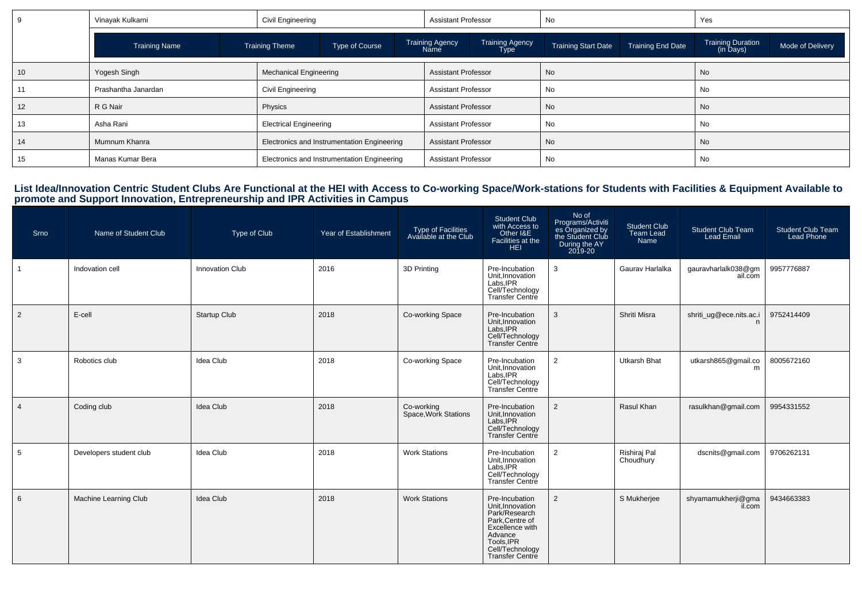|    | Vinayak Kulkarni     | Civil Engineering             |                                                  | <b>Assistant Professor</b> |                                       | No                         |                          | Yes                                   |                  |
|----|----------------------|-------------------------------|--------------------------------------------------|----------------------------|---------------------------------------|----------------------------|--------------------------|---------------------------------------|------------------|
|    | <b>Training Name</b> | <b>Training Theme</b>         | <b>Training Agency</b><br>Type of Course<br>Name |                            | <b>Training Agency</b><br><b>Type</b> | <b>Training Start Date</b> | <b>Training End Date</b> | <b>Training Duration</b><br>(in Days) | Mode of Delivery |
| 10 | Yogesh Singh         | <b>Mechanical Engineering</b> |                                                  | <b>Assistant Professor</b> |                                       | No                         |                          | No                                    |                  |
|    | Prashantha Janardan  | Civil Engineering             |                                                  | <b>Assistant Professor</b> |                                       | No                         |                          | No                                    |                  |
| 12 | R G Nair             | Physics                       |                                                  |                            | <b>Assistant Professor</b>            | No                         |                          | <b>No</b>                             |                  |
| 13 | Asha Rani            |                               | <b>Electrical Engineering</b>                    |                            | <b>Assistant Professor</b>            | No                         |                          | <b>No</b>                             |                  |
| 14 | Mumnum Khanra        |                               | Electronics and Instrumentation Engineering      | <b>Assistant Professor</b> |                                       | No                         |                          | No                                    |                  |
| 15 | Manas Kumar Bera     |                               | Electronics and Instrumentation Engineering      |                            | <b>Assistant Professor</b>            | No                         |                          | No                                    |                  |

List Idea/Innovation Centric Student Clubs Are Functional at the HEI with Access to Co-working Space/Work-stations for Students with Facilities & Equipment Available to<br>promote and Support Innovation, Entrepreneurship and

| Srno           | Name of Student Club    | Type of Club           | Year of Establishment | Type of Facilities<br>Available at the Club | <b>Student Club</b><br>with Access to<br>Other I&E<br>Facilities at the<br><b>HEI</b>                                                                          | No of<br>Programs/Activiti<br>es Organized by<br>the Student Club<br>During the AY<br>2019-20 | <b>Student Club</b><br><b>Team Lead</b><br>Name | <b>Student Club Team</b><br><b>Lead Email</b> | <b>Student Club Team</b><br><b>Lead Phone</b> |
|----------------|-------------------------|------------------------|-----------------------|---------------------------------------------|----------------------------------------------------------------------------------------------------------------------------------------------------------------|-----------------------------------------------------------------------------------------------|-------------------------------------------------|-----------------------------------------------|-----------------------------------------------|
|                | Indovation cell         | <b>Innovation Club</b> | 2016                  | 3D Printing                                 | Pre-Incubation<br>Unit, Innovation<br>Labs, IPR<br>Cell/Technology<br>Transfer Centre                                                                          | 3                                                                                             | Gaurav Harlalka                                 | gauravharlalk038@gm<br>ail.com                | 9957776887                                    |
| 2              | E-cell                  | <b>Startup Club</b>    | 2018                  | Co-working Space                            | Pre-Incubation<br>Unit.Innovation<br>Labs.IPR<br>Cell/Technology<br>Transfer Centre                                                                            | $\mathbf{3}$                                                                                  | Shriti Misra                                    | shriti_ug@ece.nits.ac.i                       | 9752414409                                    |
| 3              | Robotics club           | <b>Idea Club</b>       | 2018                  | Co-working Space                            | Pre-Incubation<br>Unit, Innovation<br>Labs.IPR<br>Cell/Technology<br>Transfer Centre                                                                           | 2                                                                                             | <b>Utkarsh Bhat</b>                             | utkarsh865@gmail.co<br>m                      | 8005672160                                    |
| $\overline{4}$ | Coding club             | <b>Idea Club</b>       | 2018                  | Co-working<br>Space, Work Stations          | Pre-Incubation<br>Unit, Innovation<br>Labs.IPR<br>Cell/Technology<br><b>Transfer Centre</b>                                                                    | $\overline{2}$                                                                                | Rasul Khan                                      | rasulkhan@gmail.com                           | 9954331552                                    |
| 5              | Developers student club | <b>Idea Club</b>       | 2018                  | <b>Work Stations</b>                        | Pre-Incubation<br>Unit, Innovation<br>Labs.IPR<br>Cell/Technology<br>Transfer Centre                                                                           | 2                                                                                             | Rishiraj Pal<br>Choudhury                       | dscnits@gmail.com                             | 9706262131                                    |
| 6              | Machine Learning Club   | Idea Club              | 2018                  | <b>Work Stations</b>                        | Pre-Incubation<br>Unit, Innovation<br>Park/Research<br>Park.Centre of<br>Excellence with<br>Advance<br>Tools, IPR<br>Cell/Technology<br><b>Transfer Centre</b> | 2                                                                                             | S Mukherjee                                     | shyamamukherji@gma<br>il.com                  | 9434663383                                    |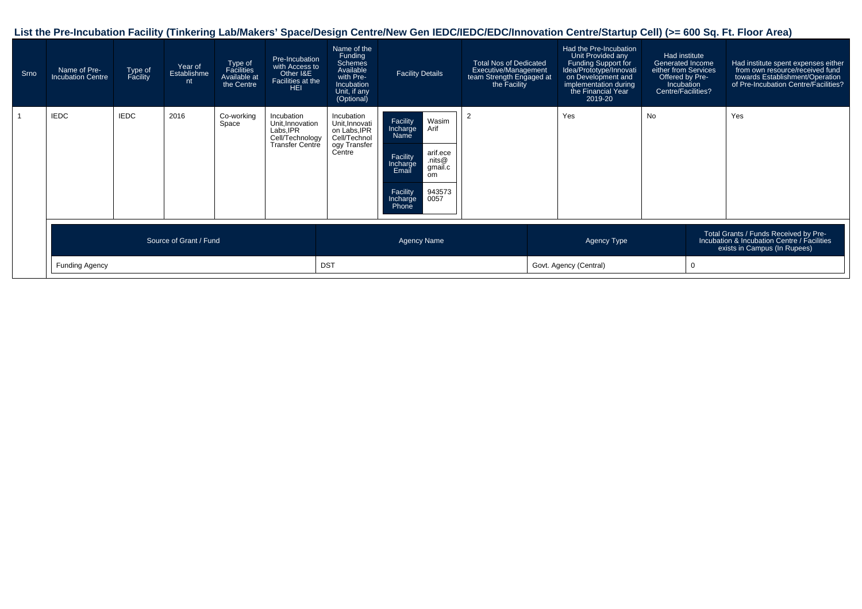# **List the Pre-Incubation Facility (Tinkering Lab/Makers' Space/Design Centre/New Gen IEDC/IEDC/EDC/Innovation Centre/Startup Cell) (>= 600 Sq. Ft. Floor Area)**

| Srno | Name of Pre-<br><b>Incubation Centre</b> | Type of<br>Facility    | Year of<br>Establishme<br>nt ! | Type of<br>Facilities<br>Available at<br>the Centre | Pre-Incubation<br>with Access to<br>Other I&E<br>Facilities at the<br><b>HEI</b>        | Name of the<br>Funding<br><b>Schemes</b><br>Available<br>with Pre-<br><b>Incubation</b><br>Unit, if any<br>(Optional) | <b>Facility Details</b>                                                                                                                                                     | <b>Total Nos of Dedicated</b><br>Executive/Management<br>team Strength Engaged at<br>the Facility | Had the Pre-Incubation<br>Unit Provided any<br>Funding Support for<br>Idea/Prototype/Innovati<br>on Development and<br>implementation during<br>the Financial Year<br>2019-20 | Had institute<br>Generated Income<br>either from Services<br>Offered by Pre-<br>Incubation<br>Centre/Facilities? |             | Had institute spent expenses either<br>from own resource/received fund<br>towards Establishment/Operation<br>of Pre-Incubation Centre/Facilities? |  |
|------|------------------------------------------|------------------------|--------------------------------|-----------------------------------------------------|-----------------------------------------------------------------------------------------|-----------------------------------------------------------------------------------------------------------------------|-----------------------------------------------------------------------------------------------------------------------------------------------------------------------------|---------------------------------------------------------------------------------------------------|-------------------------------------------------------------------------------------------------------------------------------------------------------------------------------|------------------------------------------------------------------------------------------------------------------|-------------|---------------------------------------------------------------------------------------------------------------------------------------------------|--|
|      | <b>IEDC</b>                              | <b>IEDC</b>            | 2016                           | Co-working<br>Space                                 | Incubation<br>Unit, Innovation<br>Labs.IPR<br>Cell/Technology<br><b>Transfer Centre</b> | Incubation<br>Unit, Innovati<br>on Labs, IPR<br>Cell/Technol<br>ogy Transfer<br>Centre                                | Wasim<br>Arif<br>Facility<br>Incharge<br>Name<br>arif.ece<br>Facility<br>.nits $@$<br>Incharge<br>gmail.c<br>Email<br>om<br>943573<br>0057<br>Facility<br>Incharge<br>Phone | $\overline{2}$                                                                                    | Yes                                                                                                                                                                           | <b>No</b>                                                                                                        |             | Yes                                                                                                                                               |  |
|      |                                          | Source of Grant / Fund |                                |                                                     |                                                                                         | <b>Agency Name</b>                                                                                                    |                                                                                                                                                                             |                                                                                                   | Agency Type                                                                                                                                                                   |                                                                                                                  |             | Total Grants / Funds Received by Pre-<br>Incubation & Incubation Centre / Facilities<br>exists in Campus (In Rupees)                              |  |
|      | Funding Agency                           |                        |                                |                                                     |                                                                                         | <b>DST</b>                                                                                                            |                                                                                                                                                                             |                                                                                                   | Govt. Agency (Central)                                                                                                                                                        |                                                                                                                  | $\mathbf 0$ |                                                                                                                                                   |  |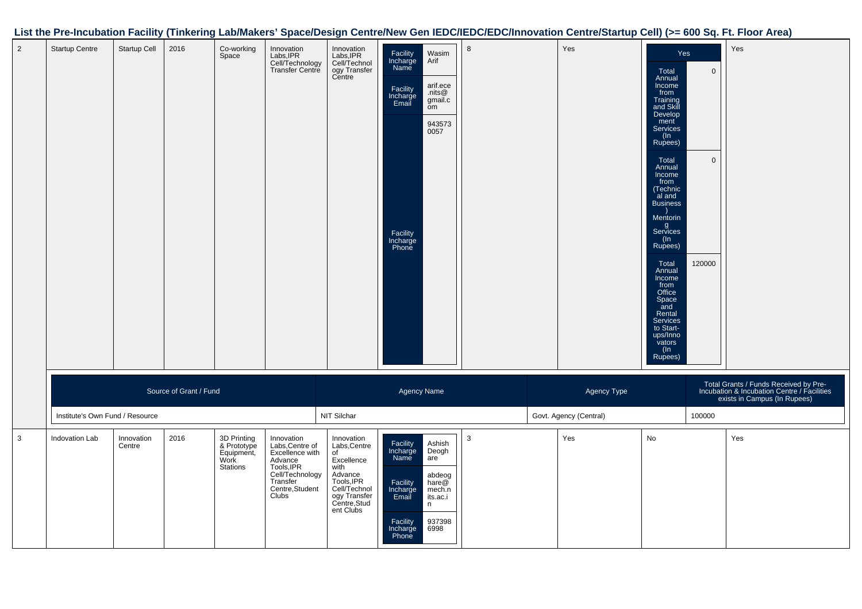# **List the Pre-Incubation Facility (Tinkering Lab/Makers' Space/Design Centre/New Gen IEDC/IEDC/EDC/Innovation Centre/Startup Cell) (>= 600 Sq. Ft. Floor Area)**

| $\overline{2}$ | <b>Startup Centre</b>           | Startup Cell         | 2016                   | Co-working<br>Space                                          | Innovation<br>Labs, IPR<br>Cell/Technology<br>Transfer Centre                                                                        | Innovation<br>Labs, IPR<br>Cell/Technol<br>ogy Transfer<br>Centre                                                                            | Facility<br>Incharge<br>Name<br>Facility<br>Incharge<br>Email<br>Facility<br>Incharge<br>Phone | Wasim<br>Arif<br>arif.ece<br>.nits $@$<br>gmail.c<br>ŏm<br>943573<br>0057              | 8 | Yes                                   | Yes<br>Total<br>Annual<br>Income<br>from<br>Training<br>and Skill<br>Develop<br>ment<br><b>Services</b><br>(In<br>Rupees)<br>Total<br>Annual<br>Income<br>from<br>(Technic<br>al and<br><b>Business</b><br>Mentorin<br>g<br>Services<br>(ln<br>Rupees)<br>Total<br>Annual<br>Income<br>from<br>Office<br>Space<br>and<br>Rental<br>Services<br>to Start-<br>ups/Inno<br>vators<br>(ln<br>Rupees) | $\mathbf{0}$<br>$\mathbf{0}$<br>120000 | Yes                                                                                                                  |
|----------------|---------------------------------|----------------------|------------------------|--------------------------------------------------------------|--------------------------------------------------------------------------------------------------------------------------------------|----------------------------------------------------------------------------------------------------------------------------------------------|------------------------------------------------------------------------------------------------|----------------------------------------------------------------------------------------|---|---------------------------------------|--------------------------------------------------------------------------------------------------------------------------------------------------------------------------------------------------------------------------------------------------------------------------------------------------------------------------------------------------------------------------------------------------|----------------------------------------|----------------------------------------------------------------------------------------------------------------------|
|                | Institute's Own Fund / Resource |                      | Source of Grant / Fund |                                                              |                                                                                                                                      | NIT Silchar                                                                                                                                  | <b>Agency Name</b>                                                                             |                                                                                        |   | Agency Type<br>Govt. Agency (Central) |                                                                                                                                                                                                                                                                                                                                                                                                  | 100000                                 | Total Grants / Funds Received by Pre-<br>Incubation & Incubation Centre / Facilities<br>exists in Campus (In Rupees) |
| 3              | Indovation Lab                  | Innovation<br>Centre | 2016                   | 3D Printing<br>& Prototype<br>Equipment,<br>Work<br>Stations | Innovation<br>Labs, Centre of<br>Excellence with<br>Advance<br>Tools, IPR<br>Cell/Technology<br>Transfer<br>Centre, Student<br>Clubs | Innovation<br>Labs, Centre<br>of<br>Excellence<br>with<br>Advance<br>Tools, IPR<br>Cell/Technol<br>ogy Transfer<br>Centre, Stud<br>ent Clubs | Facility<br>Incharge<br>Name<br>Facility<br>Incharge<br>Email<br>Facility<br>Incharge<br>Phone | Ashish<br>Deogh<br>are<br>abdeog<br>hare@<br>mech.n<br>its.ac.i<br>n<br>937398<br>6998 | 3 | Yes                                   | No                                                                                                                                                                                                                                                                                                                                                                                               |                                        | Yes                                                                                                                  |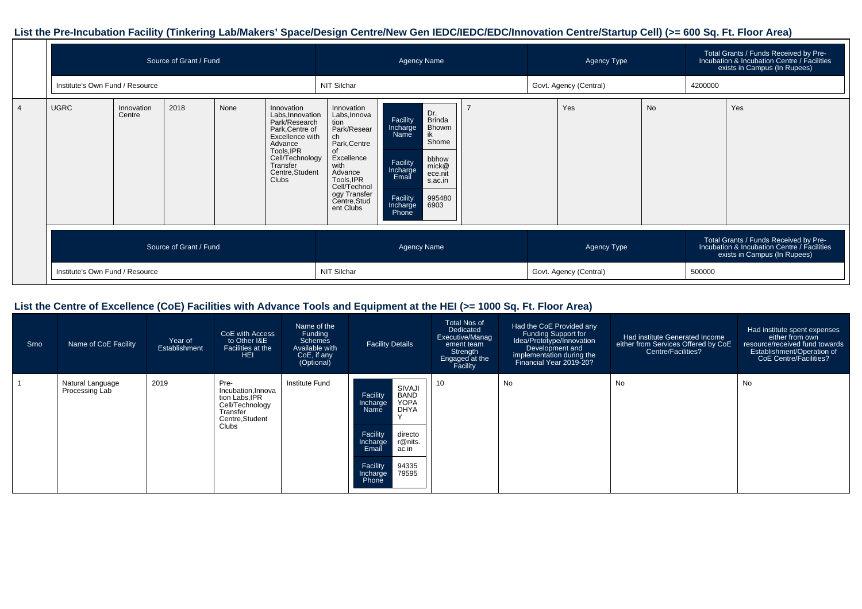# **List the Pre-Incubation Facility (Tinkering Lab/Makers' Space/Design Centre/New Gen IEDC/IEDC/EDC/Innovation Centre/Startup Cell) (>= 600 Sq. Ft. Floor Area)**

|                        | Source of Grant / Fund<br>Institute's Own Fund / Resource |      |      |                                                                                                                                                                           | <b>Agency Name</b>                                                                                                                                                                  |                                                                                                                                                                                                          |                        |             | <b>Agency Type</b>     |           |                                                                                                                      | Total Grants / Funds Received by Pre-<br>Incubation & Incubation Centre / Facilities<br>exists in Campus (In Rupees) |  |
|------------------------|-----------------------------------------------------------|------|------|---------------------------------------------------------------------------------------------------------------------------------------------------------------------------|-------------------------------------------------------------------------------------------------------------------------------------------------------------------------------------|----------------------------------------------------------------------------------------------------------------------------------------------------------------------------------------------------------|------------------------|-------------|------------------------|-----------|----------------------------------------------------------------------------------------------------------------------|----------------------------------------------------------------------------------------------------------------------|--|
|                        |                                                           |      |      |                                                                                                                                                                           | NIT Silchar                                                                                                                                                                         |                                                                                                                                                                                                          |                        |             | Govt. Agency (Central) |           | 4200000                                                                                                              |                                                                                                                      |  |
| <b>UGRC</b>            | Innovation<br>Centre                                      | 2018 | None | Innovation<br>Labs, Innovation<br>Park/Research<br>Park, Centre of<br>Excellence with<br>Advance<br>Tools, IPR<br>Cell/Technology<br>Transfer<br>Centre, Student<br>Clubs | Innovation<br>Labs, Innova<br>tion<br>Park/Resear<br>ch<br>Park, Centre<br>Excellence<br>with<br>Advance<br>Tools, IPR<br>Cell/Technol<br>ogy Transfer<br>Centre, Stud<br>ent Clubs | Dr.<br><b>Brinda</b><br>Facility<br>Bhowm<br>Incharge<br>ik<br>Namĕ<br>Shome<br>bbhow<br>Facility<br>Incharge<br>mick@<br>ece.nit<br>Email<br>s.ac.in<br>Facility<br>995480<br>6903<br>Incharge<br>Phone |                        |             | Yes                    | <b>No</b> |                                                                                                                      | Yes                                                                                                                  |  |
| Source of Grant / Fund |                                                           |      |      |                                                                                                                                                                           | <b>Agency Name</b>                                                                                                                                                                  |                                                                                                                                                                                                          |                        | Agency Type |                        |           | Total Grants / Funds Received by Pre-<br>Incubation & Incubation Centre / Facilities<br>exists in Campus (In Rupees) |                                                                                                                      |  |
|                        | Institute's Own Fund / Resource                           |      |      |                                                                                                                                                                           | NIT Silchar                                                                                                                                                                         |                                                                                                                                                                                                          | Govt. Agency (Central) |             |                        | 500000    |                                                                                                                      |                                                                                                                      |  |

### **List the Centre of Excellence (CoE) Facilities with Advance Tools and Equipment at the HEI (>= 1000 Sq. Ft. Floor Area)**

| Srno | Name of CoE Facility               | Year of<br>Establishment | CoE with Access<br>to Other I&E<br>Facilities at the<br><b>HEI</b>                                      | Name of the<br>Funding<br>Schemes<br>Available with<br>CoE, if any<br>(Optional) | <b>Facility Details</b>                                                                                                                                                                                             | <b>Total Nos of</b><br>Dedicated<br>Executive/Manag<br>ement team<br>Strength<br>Engaged at the<br>Facility | Had the CoE Provided any<br>Funding Support for<br>Idea/Prototype/Innovation<br>Development and<br>implementation during the<br>Financial Year 2019-20? | Had institute Generated Income<br>either from Services Offered by CoE<br><b>Centre/Facilities?</b> | Had institute spent expenses<br>either from own<br>resource/received fund towards<br>Establishment/Operation of<br>CoE Centre/Facilities? |
|------|------------------------------------|--------------------------|---------------------------------------------------------------------------------------------------------|----------------------------------------------------------------------------------|---------------------------------------------------------------------------------------------------------------------------------------------------------------------------------------------------------------------|-------------------------------------------------------------------------------------------------------------|---------------------------------------------------------------------------------------------------------------------------------------------------------|----------------------------------------------------------------------------------------------------|-------------------------------------------------------------------------------------------------------------------------------------------|
|      | Natural Language<br>Processing Lab | 2019                     | Pre-<br>Incubation, Innova<br>tion Labs, IPR<br>Cell/Technology<br>Transfer<br>Centre, Student<br>Clubs | <b>Institute Fund</b>                                                            | SIVAJI<br><b>BAND</b><br>Facility<br><b>YOPA</b><br>Incharge<br><b>DHYA</b><br>Name<br>$\lambda$<br>directo<br>Facility<br>r@nits.<br>Incharge<br>Email<br>ac.in<br>94335<br>Facility<br>79595<br>Incharge<br>Phone | 10 <sup>°</sup>                                                                                             | No                                                                                                                                                      | No                                                                                                 | No                                                                                                                                        |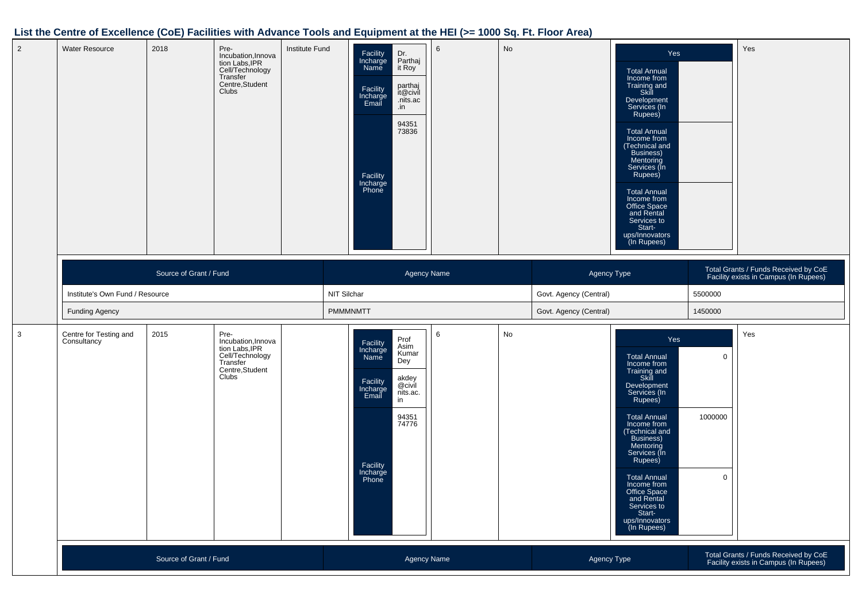#### **List the Centre of Excellence (CoE) Facilities with Advance Tools and Equipment at the HEI (>= 1000 Sq. Ft. Floor Area)**

| $\overline{2}$ | <b>Water Resource</b>                 | 2018                            | Pre-<br>Incubation, Innova<br>tion Labs, IPR<br>Cell/Technology<br>Transfer<br>Centre, Student<br>Clubs | Institute Fund | Facility<br>Incharge<br>Name<br>Facility<br>Incharge<br>Email<br>Facility<br>Incharge<br>Phone | Dr.<br>Parthaj<br>it Roy<br>parthaj<br>it@civil<br>.nits.ac<br>.in<br>94351<br>73836 | 6 | No |                                                                                              | Yes<br><b>Total Annual</b><br>Income from<br>Training and<br>Skill<br>Development<br>Services (In<br>Rupees)<br><b>Total Annual</b><br>Income from<br>(Technical and<br>Business)<br>Mentoring<br>Services (In<br>Rupees)<br><b>Total Annual</b><br>Income from<br>Office Space<br>and Rental<br>Services to<br>Start-<br>ups/Innovators<br>(In Rupees) |                                                                               | Yes |
|----------------|---------------------------------------|---------------------------------|---------------------------------------------------------------------------------------------------------|----------------|------------------------------------------------------------------------------------------------|--------------------------------------------------------------------------------------|---|----|----------------------------------------------------------------------------------------------|---------------------------------------------------------------------------------------------------------------------------------------------------------------------------------------------------------------------------------------------------------------------------------------------------------------------------------------------------------|-------------------------------------------------------------------------------|-----|
|                |                                       | Source of Grant / Fund          |                                                                                                         |                |                                                                                                | <b>Agency Name</b>                                                                   |   |    | Agency Type                                                                                  |                                                                                                                                                                                                                                                                                                                                                         | Total Grants / Funds Received by CoE<br>Facility exists in Campus (In Rupees) |     |
|                |                                       | Institute's Own Fund / Resource |                                                                                                         |                | NIT Silchar                                                                                    |                                                                                      |   |    | Govt. Agency (Central)                                                                       |                                                                                                                                                                                                                                                                                                                                                         | 5500000                                                                       |     |
|                | <b>Funding Agency</b>                 |                                 |                                                                                                         |                | <b>PMMMNMTT</b>                                                                                |                                                                                      |   |    | Govt. Agency (Central)                                                                       |                                                                                                                                                                                                                                                                                                                                                         | 1450000                                                                       |     |
| $\mathbf{3}$   | Centre for Testing and<br>Consultancy | 2015                            | Pre-<br>Incubation, Innova<br>tion Labs, IPR<br>Cell/Technology<br>Transfer<br>Centre, Student<br>Clubs |                | Facility<br>Incharge<br>Name<br>Facility<br>Incharge<br>Email<br>Facility<br>Incharge<br>Phone | Prof<br>Asim<br>Kumar<br>Dey<br>akdey<br>@civil<br>nits.ac.<br>in<br>94351<br>74776  | 6 | No |                                                                                              | Yes<br><b>Total Annual</b><br>Income from<br>Training and<br>Skill<br>Development<br>Services (In<br>Rupees)<br><b>Total Annual</b><br>Income from<br>(Technical and<br>Business)<br>Mentoring<br>Services (In<br>Rupees)<br><b>Total Annual</b><br>Income from<br>Office Space<br>and Rental<br>Services to<br>Start-<br>ups/Innovators<br>(In Rupees) | $\mathbf 0$<br>1000000<br>$\mathbf 0$                                         | Yes |
|                | Source of Grant / Fund                |                                 |                                                                                                         |                | Agency Name                                                                                    |                                                                                      |   |    | Total Grants / Funds Received by CoE<br>Facility exists in Campus (In Rupees)<br>Agency Type |                                                                                                                                                                                                                                                                                                                                                         |                                                                               |     |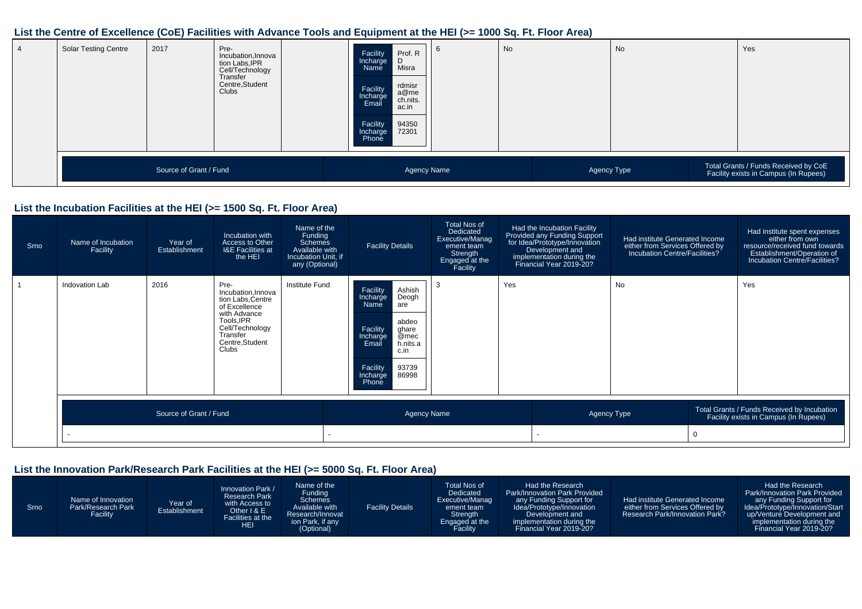#### **List the Centre of Excellence (CoE) Facilities with Advance Tools and Equipment at the HEI (>= 1000 Sq. Ft. Floor Area)**

| <b>Solar Testing Centre</b> | 2017                   | Pre-<br>Incubation, Innova<br>tion Labs, IPR<br>Cell/Technology<br>Transfer<br>Centre, Student<br>Clubs | Prof. R<br>Facility<br>Incharge<br>D<br>Misra<br>Name<br>rdmisr<br>Facility<br>Incharge<br>Email<br>a@me<br>ch.nits.<br>ac.in<br>Facility<br>94350<br>72301<br>Incharge<br>Phone | O                  | No | No          | Yes                                                                           |
|-----------------------------|------------------------|---------------------------------------------------------------------------------------------------------|----------------------------------------------------------------------------------------------------------------------------------------------------------------------------------|--------------------|----|-------------|-------------------------------------------------------------------------------|
|                             | Source of Grant / Fund |                                                                                                         |                                                                                                                                                                                  | <b>Agency Name</b> |    | Agency Type | Total Grants / Funds Received by CoE<br>Facility exists in Campus (In Rupees) |

# **List the Incubation Facilities at the HEI (>= 1500 Sq. Ft. Floor Area)**

| Srno | Name of Incubation<br>Facility | Year of<br>Establishment | Incubation with<br>Access to Other<br><b>I&amp;E Facilities at</b><br>the HEI                                                                            | Name of the<br>Funding<br><b>Schemes</b><br>Available with<br>Incubation Unit, if<br>any (Optional) | <b>Facility Details</b>                                                                                                                                                                  | <b>Total Nos of</b><br>Dedicated<br>Executive/Manag<br>ement team<br>Strength<br>Engaged at the<br>Facility |     | Had the Incubation Facility<br>Provided any Funding Support<br>for Idea/Prototype/Innovation<br>Development and<br>implementation during the<br>Financial Year 2019-20? | Had institute Generated Income<br>either from Services Offered by<br>Incubation Centre/Facilities? | Had institute spent expenses<br>either from own<br>resource/received fund towards<br>Establishment/Operation of<br>Incubation Centre/Facilities? |
|------|--------------------------------|--------------------------|----------------------------------------------------------------------------------------------------------------------------------------------------------|-----------------------------------------------------------------------------------------------------|------------------------------------------------------------------------------------------------------------------------------------------------------------------------------------------|-------------------------------------------------------------------------------------------------------------|-----|-------------------------------------------------------------------------------------------------------------------------------------------------------------------------|----------------------------------------------------------------------------------------------------|--------------------------------------------------------------------------------------------------------------------------------------------------|
|      | Indovation Lab                 | 2016                     | Pre-<br>Incubation.Innova<br>tion Labs, Centre<br>of Excellence<br>with Advance<br>Tools, IPR<br>Cell/Technology<br>Transfer<br>Centre, Student<br>Clubs | Institute Fund                                                                                      | Ashish<br>Deogh<br>Facility<br>Incharge<br>Name<br>are<br>abdeo<br>Facility<br>ghare<br>Incharge<br>@mec<br>h.nits.a<br>Email<br>c.in<br>Facility<br>Incharge<br>93739<br>86998<br>Phone | 3                                                                                                           | Yes |                                                                                                                                                                         | No                                                                                                 | Yes                                                                                                                                              |
|      |                                | Source of Grant / Fund   |                                                                                                                                                          |                                                                                                     | <b>Agency Name</b>                                                                                                                                                                       |                                                                                                             |     |                                                                                                                                                                         | Agency Type                                                                                        | Total Grants / Funds Received by Incubation<br>Facility exists in Campus (In Rupees)                                                             |
|      |                                |                          |                                                                                                                                                          |                                                                                                     |                                                                                                                                                                                          |                                                                                                             |     |                                                                                                                                                                         |                                                                                                    |                                                                                                                                                  |

#### **List the Innovation Park/Research Park Facilities at the HEI (>= 5000 Sq. Ft. Floor Area)**

| Srno | Name of Innovation<br>Park/Research Park<br>Facility | Year of<br>Establishment | Innovation Park /<br><b>Research Park</b><br>with Access to<br>Other $1 & 8 \text{ E}$<br>Facilities at the<br><b>HEI</b> | Name of the<br>Funding<br><b>Schemes</b><br>Available with<br>Research/Innovat<br>ion Park, if any<br>(Optional) | <b>Facility Details</b> | Total Nos of<br>Dedicated<br>Executive/Manag<br>ement team<br>Strength<br>Engaged at the<br>Facility | Had the Research<br><b>Park/Innovation Park Provided</b><br>any Funding Support for<br>Idea/Prototype/Innovation<br>Development and<br>implementation during the<br>Financial Year 2019-20? | Had institute Generated Income<br>either from Services Offered by<br><b>Research Park/Innovation Park?</b> | Had the Research<br>Park/Innovation Park Provided<br>any Funding Support for<br>Idea/Prototype/Innovation/Start<br>up/Venture Development and<br>implementation during the 1<br>Financial Year 2019-20? |
|------|------------------------------------------------------|--------------------------|---------------------------------------------------------------------------------------------------------------------------|------------------------------------------------------------------------------------------------------------------|-------------------------|------------------------------------------------------------------------------------------------------|---------------------------------------------------------------------------------------------------------------------------------------------------------------------------------------------|------------------------------------------------------------------------------------------------------------|---------------------------------------------------------------------------------------------------------------------------------------------------------------------------------------------------------|
|------|------------------------------------------------------|--------------------------|---------------------------------------------------------------------------------------------------------------------------|------------------------------------------------------------------------------------------------------------------|-------------------------|------------------------------------------------------------------------------------------------------|---------------------------------------------------------------------------------------------------------------------------------------------------------------------------------------------|------------------------------------------------------------------------------------------------------------|---------------------------------------------------------------------------------------------------------------------------------------------------------------------------------------------------------|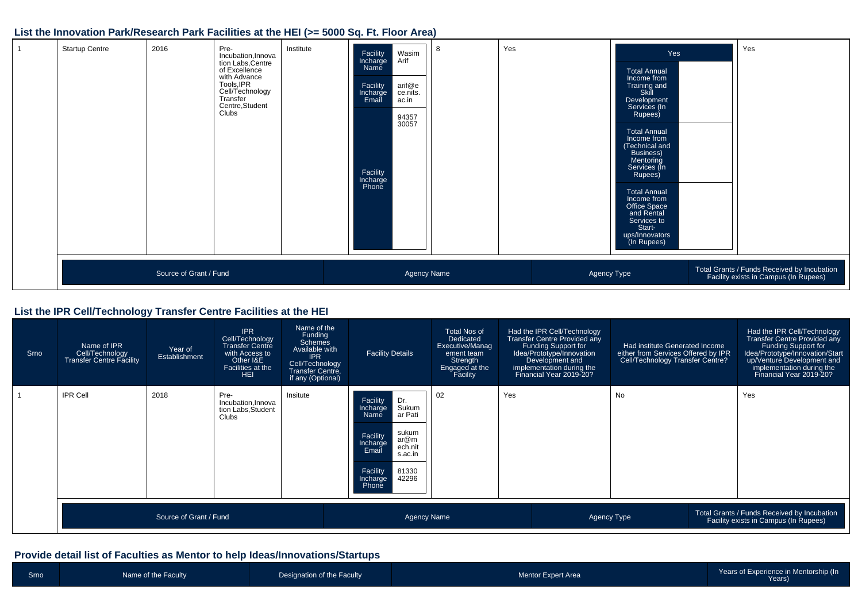#### **List the Innovation Park/Research Park Facilities at the HEI (>= 5000 Sq. Ft. Floor Area)**

| <b>Startup Centre</b> | 2016                   | Pre-<br>Incubation, Innova<br>tion Labs,Ćentre<br>of Excellence<br>with Advance<br>Tools, IPR<br>Cell/Technology<br>Transfer<br>Centre, Student<br>Clubs | Institute | Facility<br>Incharge<br>Name<br>Facility<br>Incharge<br>Email<br>Facility<br>Incharge<br>Phone | Wasim<br>Arif<br>arif@e<br>ce.nits.<br>ac.in<br>94357<br>30057 | 8 | Yes |             | Yes<br><b>Total Annual</b><br>Income from<br>Training and<br>Skill<br>Development<br>Services (In<br>Rupees)<br><b>Total Annual</b><br>Income from<br>(Technical and<br>Business)<br>Mentoring<br>Services (In<br>Rupees)<br><b>Total Annual</b><br>Income from<br>Office Space<br>and Rental<br>Services to<br>Start-<br>ups/Innovators<br>(In Rupees) | Yes                                                                                  |
|-----------------------|------------------------|----------------------------------------------------------------------------------------------------------------------------------------------------------|-----------|------------------------------------------------------------------------------------------------|----------------------------------------------------------------|---|-----|-------------|---------------------------------------------------------------------------------------------------------------------------------------------------------------------------------------------------------------------------------------------------------------------------------------------------------------------------------------------------------|--------------------------------------------------------------------------------------|
|                       | Source of Grant / Fund |                                                                                                                                                          |           |                                                                                                | Agency Name                                                    |   |     | Agency Type |                                                                                                                                                                                                                                                                                                                                                         | Total Grants / Funds Received by Incubation<br>Facility exists in Campus (In Rupees) |

#### **List the IPR Cell/Technology Transfer Centre Facilities at the HEI**

| Srno | Name of IPR<br>Cell/Technology<br><b>Transfer Centre Facility</b> | Year of<br>Establishment | <b>IPR</b><br>Cell/Technology<br><b>Transfer Centre</b><br>with Access to<br>Other I&E<br>Facilities at the<br><b>HEI</b> | Name of the<br>Funding<br><b>Schemes</b><br>Available with<br><b>IPR</b><br>Cell/Technology<br>Transfer Centre,<br>if any (Optional) | <b>Facility Details</b>                                                                                                                                                            | <b>Total Nos of</b><br>Dedicated<br>Executive/Manag<br>ement team<br>Strength<br>Engaged at the<br>Facility | Had the IPR Cell/Technology<br>Transfer Centre Provided any<br>Funding Support for<br>Idea/Prototype/Innovation<br>Development and<br>implementation during the<br>Financial Year 2019-20? | Had institute Generated Income<br>either from Services Offered by IPR<br>Cell/Technology Transfer Centre? | Had the IPR Cell/Technology<br>Transfer Centre Provided any<br>Funding Support for<br>Idea/Prototype/Innovation/Start<br>up/Venture Development and<br>implementation during the<br>Financial Year 2019-20? |
|------|-------------------------------------------------------------------|--------------------------|---------------------------------------------------------------------------------------------------------------------------|--------------------------------------------------------------------------------------------------------------------------------------|------------------------------------------------------------------------------------------------------------------------------------------------------------------------------------|-------------------------------------------------------------------------------------------------------------|--------------------------------------------------------------------------------------------------------------------------------------------------------------------------------------------|-----------------------------------------------------------------------------------------------------------|-------------------------------------------------------------------------------------------------------------------------------------------------------------------------------------------------------------|
|      | <b>IPR Cell</b>                                                   | 2018                     | Pre-<br>Incubation, Innova<br>tion Labs, Student<br>Clubs                                                                 | Insitute                                                                                                                             | Dr.<br>Facility<br>Sukum<br>Incharge<br>ar Pati<br>Name<br>sukum<br>Facility<br>ar@m<br>Incharge<br>Email<br>ech.nit<br>s.ac.in<br>Facility<br>81330<br>42296<br>Incharge<br>Phone | 02                                                                                                          | Yes                                                                                                                                                                                        | No                                                                                                        | Yes                                                                                                                                                                                                         |
|      |                                                                   | Source of Grant / Fund   |                                                                                                                           |                                                                                                                                      | <b>Agency Name</b>                                                                                                                                                                 |                                                                                                             |                                                                                                                                                                                            | Agency Type                                                                                               | Total Grants / Funds Received by Incubation<br>Facility exists in Campus (In Rupees)                                                                                                                        |

#### **Provide detail list of Faculties as Mentor to help Ideas/Innovations/Startups**

| Srno | Name of the Faculty | Designation of the Faculty | <b>Mentor Expert Area</b> | Years of Experience in Mentorship (In<br>Years) |
|------|---------------------|----------------------------|---------------------------|-------------------------------------------------|
|      |                     |                            |                           |                                                 |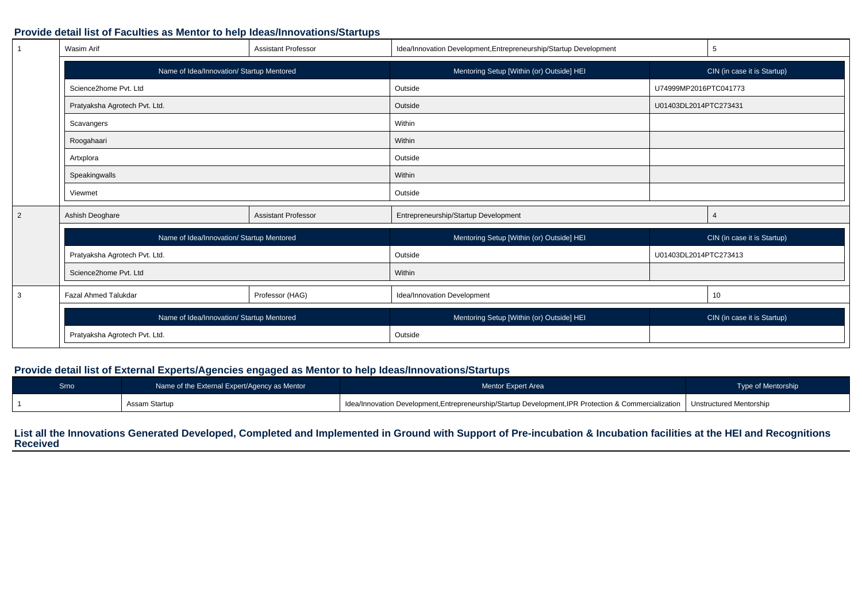#### **Provide detail list of Faculties as Mentor to help Ideas/Innovations/Startups**

|   | Wasim Arif                                | <b>Assistant Professor</b> | Idea/Innovation Development, Entrepreneurship/Startup Development |                       | 5                           |
|---|-------------------------------------------|----------------------------|-------------------------------------------------------------------|-----------------------|-----------------------------|
|   | Name of Idea/Innovation/ Startup Mentored |                            | Mentoring Setup [Within (or) Outside] HEI                         |                       | CIN (in case it is Startup) |
|   | Science2home Pvt. Ltd                     |                            | Outside                                                           | U74999MP2016PTC041773 |                             |
|   | Pratyaksha Agrotech Pvt. Ltd.             |                            | Outside                                                           | U01403DL2014PTC273431 |                             |
|   | Scavangers                                |                            | Within                                                            |                       |                             |
|   | Roogahaari                                |                            | Within                                                            |                       |                             |
|   | Artxplora                                 |                            | Outside                                                           |                       |                             |
|   | Speakingwalls                             |                            | Within                                                            |                       |                             |
|   | Viewmet                                   |                            | Outside                                                           |                       |                             |
| 2 | Ashish Deoghare                           | <b>Assistant Professor</b> | Entrepreneurship/Startup Development                              |                       |                             |
|   | Name of Idea/Innovation/ Startup Mentored |                            | Mentoring Setup [Within (or) Outside] HEI                         |                       | CIN (in case it is Startup) |
|   | Pratyaksha Agrotech Pvt. Ltd.             |                            | Outside                                                           | U01403DL2014PTC273413 |                             |
|   | Science2home Pvt. Ltd                     |                            | Within                                                            |                       |                             |
| 3 | <b>Fazal Ahmed Talukdar</b>               | Professor (HAG)            | Idea/Innovation Development                                       |                       | 10                          |
|   | Name of Idea/Innovation/ Startup Mentored |                            | Mentoring Setup [Within (or) Outside] HEI                         |                       | CIN (in case it is Startup) |
|   | Pratyaksha Agrotech Pvt. Ltd.             |                            | Outside                                                           |                       |                             |

#### **Provide detail list of External Experts/Agencies engaged as Mentor to help Ideas/Innovations/Startups**

| Srno | Name of the External Expert/Agency as Mentor | <b>Mentor Expert Area</b>                                                                                                       | Type of Mentorship |
|------|----------------------------------------------|---------------------------------------------------------------------------------------------------------------------------------|--------------------|
|      | Assam Startup                                | Idea/Innovation Development, Entrepreneurship/Startup Development, IPR Protection & Commercialization   Unstructured Mentorship |                    |

# **List all the Innovations Generated Developed, Completed and Implemented in Ground with Support of Pre-incubation & Incubation facilities at the HEI and Recognitions Received**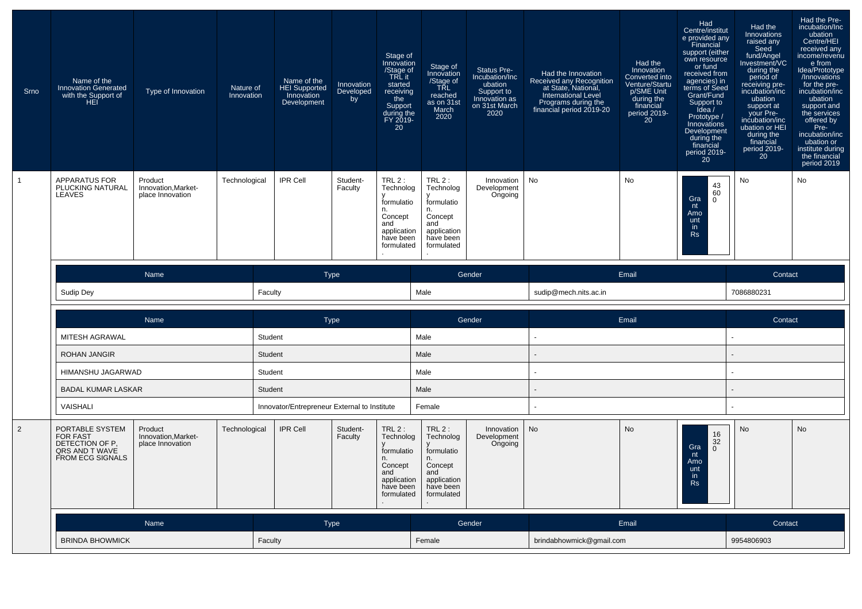| Srno           | Name of the<br><b>Innovation Generated</b><br>with the Support of<br>HEI                           | Type of Innovation                                 | Nature of<br>Innovation | Name of the<br>HEI Supported<br>Innovation<br>Development<br><b>IPR Cell</b> | <b>Innovation</b><br>Developed<br>by | Stage of<br>Innovation<br>/Stage of<br>TRL it<br>started<br>receiving<br>the<br>Support<br>during the<br>FY 2019-<br>20<br>TRL $2:$ | Stage of<br>Innovation<br>/Stage of<br><b>TŘL</b><br>reached<br>as on 31st<br>March<br>2020           | <b>Status Pre-</b><br>Incubation/Inc<br>ubation<br>Support to<br>Innovation as<br>on 31st March<br>2020 | Had the Innovation<br>Received any Recognition<br>at State, National,<br><b>International Level</b><br>Programs during the<br>financial period 2019-20 | Had the<br>Innovation<br>Converted into<br>Venture/Startu<br>p/SME Unit<br>during the<br>financial<br>period 2019-<br>20<br>No | Had<br>Centre/institut<br>e provided any<br>Financial<br>support (either<br>own resource<br>or fund<br>received from<br>agencies) in<br>terms of Seed<br>Grant/Fund<br>Support to<br>idea/<br>Prototype /<br>Innovations<br>Development<br>during the<br>financial<br>period 2019-<br>20 | Had the<br>Innovations<br>raised any<br>Seed<br>fund/Angel<br>Investment/VC<br>during the<br>period of<br>receiving pre-<br>incubation/inc<br>ubation<br>support at<br>your Pre-<br>incubation/inc<br>ubation or HEI<br>during the<br>financial<br>period 2019-<br>20 <sub>2</sub> | Had the Pre-<br>incubation/Inc<br>ubation<br>Centre/HEI<br>received any<br>income/revenu<br>e from<br>Idea/Prototype<br>/Innovations<br>for the pre-<br>incubation/inc<br>ubation<br>support and<br>the services<br>offered by<br>Pre-<br>incubation/inc<br>ubation or<br>institute during<br>the financial<br>period 2019 |
|----------------|----------------------------------------------------------------------------------------------------|----------------------------------------------------|-------------------------|------------------------------------------------------------------------------|--------------------------------------|-------------------------------------------------------------------------------------------------------------------------------------|-------------------------------------------------------------------------------------------------------|---------------------------------------------------------------------------------------------------------|--------------------------------------------------------------------------------------------------------------------------------------------------------|--------------------------------------------------------------------------------------------------------------------------------|------------------------------------------------------------------------------------------------------------------------------------------------------------------------------------------------------------------------------------------------------------------------------------------|------------------------------------------------------------------------------------------------------------------------------------------------------------------------------------------------------------------------------------------------------------------------------------|----------------------------------------------------------------------------------------------------------------------------------------------------------------------------------------------------------------------------------------------------------------------------------------------------------------------------|
|                | <b>APPARATUS FOR</b><br>PLUCKING NATURAL<br>LEAVES                                                 | Product<br>Innovation, Market-<br>place Innovation | Technological           |                                                                              | Student-<br>Faculty                  | Technolog<br>formulatio<br>n.<br>Concept<br>and<br>application<br>have been<br>formulated                                           | TRL2:<br>Technolog<br>formulatio<br>n.<br>Concept<br>and<br>application<br>have been<br>formulated    | Innovation<br>Development<br>Ongoing                                                                    | No                                                                                                                                                     |                                                                                                                                | 43<br>60<br>Gra<br>0<br>nt<br>Amo<br>unt<br>in.<br><b>Rs</b>                                                                                                                                                                                                                             | No                                                                                                                                                                                                                                                                                 | No                                                                                                                                                                                                                                                                                                                         |
|                |                                                                                                    | Name                                               |                         |                                                                              | <b>Type</b>                          |                                                                                                                                     |                                                                                                       | Gender                                                                                                  |                                                                                                                                                        | Email                                                                                                                          |                                                                                                                                                                                                                                                                                          | Contact                                                                                                                                                                                                                                                                            |                                                                                                                                                                                                                                                                                                                            |
|                | Sudip Dey                                                                                          |                                                    |                         | Faculty                                                                      |                                      |                                                                                                                                     | Male                                                                                                  |                                                                                                         | sudip@mech.nits.ac.in                                                                                                                                  |                                                                                                                                |                                                                                                                                                                                                                                                                                          | 7086880231                                                                                                                                                                                                                                                                         |                                                                                                                                                                                                                                                                                                                            |
|                |                                                                                                    | Name                                               |                         |                                                                              | <b>Type</b>                          |                                                                                                                                     |                                                                                                       | Gender                                                                                                  |                                                                                                                                                        | Email                                                                                                                          |                                                                                                                                                                                                                                                                                          | Contact                                                                                                                                                                                                                                                                            |                                                                                                                                                                                                                                                                                                                            |
|                | MITESH AGRAWAL                                                                                     |                                                    |                         | Student                                                                      |                                      |                                                                                                                                     | Male                                                                                                  |                                                                                                         |                                                                                                                                                        |                                                                                                                                |                                                                                                                                                                                                                                                                                          |                                                                                                                                                                                                                                                                                    |                                                                                                                                                                                                                                                                                                                            |
|                | <b>ROHAN JANGIR</b>                                                                                |                                                    |                         | Student                                                                      |                                      |                                                                                                                                     | Male                                                                                                  |                                                                                                         |                                                                                                                                                        |                                                                                                                                |                                                                                                                                                                                                                                                                                          |                                                                                                                                                                                                                                                                                    |                                                                                                                                                                                                                                                                                                                            |
|                | HIMANSHU JAGARWAD                                                                                  |                                                    |                         | Student                                                                      |                                      |                                                                                                                                     | Male                                                                                                  |                                                                                                         |                                                                                                                                                        |                                                                                                                                |                                                                                                                                                                                                                                                                                          |                                                                                                                                                                                                                                                                                    |                                                                                                                                                                                                                                                                                                                            |
|                | <b>BADAL KUMAR LASKAR</b>                                                                          |                                                    |                         | Student                                                                      |                                      |                                                                                                                                     | Male                                                                                                  |                                                                                                         |                                                                                                                                                        |                                                                                                                                |                                                                                                                                                                                                                                                                                          |                                                                                                                                                                                                                                                                                    |                                                                                                                                                                                                                                                                                                                            |
|                | VAISHALI                                                                                           |                                                    |                         | Innovator/Entrepreneur External to Institute                                 |                                      |                                                                                                                                     | Female                                                                                                |                                                                                                         |                                                                                                                                                        |                                                                                                                                |                                                                                                                                                                                                                                                                                          |                                                                                                                                                                                                                                                                                    |                                                                                                                                                                                                                                                                                                                            |
| $\overline{2}$ | PORTABLE SYSTEM<br><b>FOR FAST</b><br>DETECTION OF P.<br>QRS AND T WAVE<br><b>FROM ECG SIGNALS</b> | Product<br>Innovation, Market-<br>place Innovation | Technological           | <b>IPR Cell</b>                                                              | Student-<br>Faculty                  | $TRL2$ :<br>Technolog<br>formulatio<br>n.<br>Concept<br>and<br>application<br>have been<br>formulated                               | $TRL2$ :<br>Technolog<br>formulatio<br>n.<br>Concept<br>and<br>application<br>have been<br>formulated | Innovation<br>Development<br>Ongoing                                                                    | No                                                                                                                                                     | No                                                                                                                             | 16<br>32<br>Gra<br>$\mathbf{0}$<br>nt<br>Amo<br>unt<br>in.<br>Rs                                                                                                                                                                                                                         | No                                                                                                                                                                                                                                                                                 | No                                                                                                                                                                                                                                                                                                                         |
|                |                                                                                                    | Name                                               |                         |                                                                              | Type                                 |                                                                                                                                     |                                                                                                       | Gender                                                                                                  |                                                                                                                                                        | Email                                                                                                                          |                                                                                                                                                                                                                                                                                          | Contact                                                                                                                                                                                                                                                                            |                                                                                                                                                                                                                                                                                                                            |
|                |                                                                                                    |                                                    |                         |                                                                              |                                      |                                                                                                                                     |                                                                                                       |                                                                                                         |                                                                                                                                                        |                                                                                                                                |                                                                                                                                                                                                                                                                                          |                                                                                                                                                                                                                                                                                    |                                                                                                                                                                                                                                                                                                                            |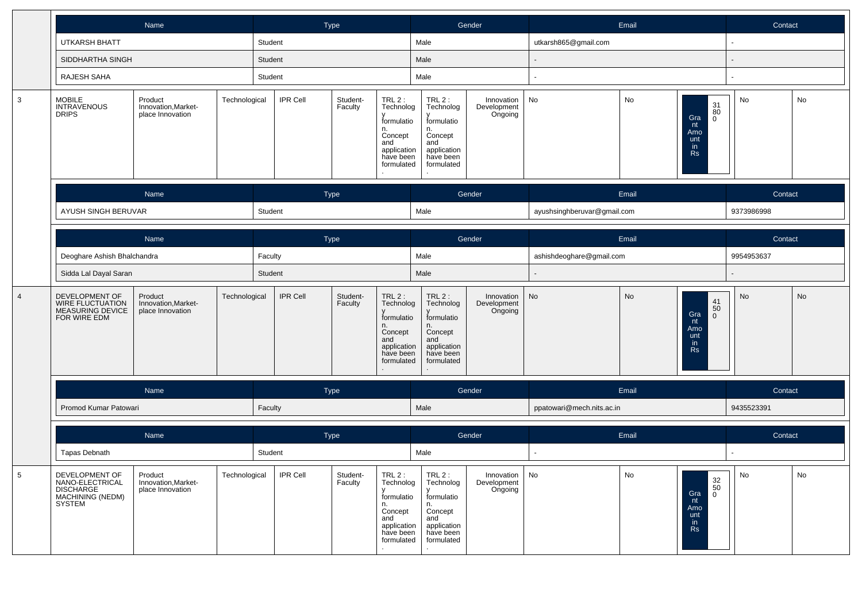|                 |                                                                                            | Name                                               |               |                 | <b>Type</b>         |                                                                                                      |                                                                                                      | Gender                                          |                             | Email |                                                                                            | Contact    |    |
|-----------------|--------------------------------------------------------------------------------------------|----------------------------------------------------|---------------|-----------------|---------------------|------------------------------------------------------------------------------------------------------|------------------------------------------------------------------------------------------------------|-------------------------------------------------|-----------------------------|-------|--------------------------------------------------------------------------------------------|------------|----|
|                 | <b>UTKARSH BHATT</b>                                                                       |                                                    | Student       |                 |                     |                                                                                                      | Male                                                                                                 |                                                 | utkarsh865@gmail.com        |       |                                                                                            |            |    |
|                 | SIDDHARTHA SINGH                                                                           |                                                    | Student       |                 |                     |                                                                                                      | Male                                                                                                 |                                                 |                             |       |                                                                                            |            |    |
|                 | RAJESH SAHA                                                                                |                                                    | Student       |                 |                     |                                                                                                      | Male                                                                                                 |                                                 |                             |       |                                                                                            |            |    |
| $\mathbf{3}$    | MOBILE<br>INTRAVENOUS<br><b>DRIPS</b>                                                      | Product<br>Innovation, Market-<br>place Innovation | Technological | IPR Cell        | Student-<br>Faculty | TRL 2 :<br>Technolog<br>formulatio<br>n.<br>Concept<br>and<br>application<br>have been<br>formulated | TRL 2 :<br>Technolog<br>formulatio<br>n.<br>Concept<br>and<br>application<br>have been<br>formulated | Innovation<br>Development<br>Ongoing            | No                          | No    | $\frac{31}{80}$<br>Gra<br>$\overline{0}$<br>nt<br>Amo<br>unt<br>in.<br><b>Rs</b>           | No         | No |
|                 |                                                                                            | Name                                               |               |                 | Type                |                                                                                                      |                                                                                                      | Gender                                          |                             | Email |                                                                                            | Contact    |    |
|                 | AYUSH SINGH BERUVAR                                                                        |                                                    | Student       |                 |                     |                                                                                                      | Male                                                                                                 |                                                 | ayushsinghberuvar@gmail.com |       |                                                                                            | 9373986998 |    |
|                 |                                                                                            | Name                                               |               |                 | Type                |                                                                                                      |                                                                                                      | Gender                                          |                             | Email |                                                                                            | Contact    |    |
|                 | Deoghare Ashish Bhalchandra                                                                |                                                    | Faculty       |                 |                     |                                                                                                      | Male                                                                                                 |                                                 | ashishdeoghare@gmail.com    |       |                                                                                            | 9954953637 |    |
|                 | Sidda Lal Dayal Saran                                                                      |                                                    | Student       |                 |                     |                                                                                                      | Male                                                                                                 |                                                 |                             |       |                                                                                            |            |    |
| $\overline{4}$  | DEVELOPMENT OF<br>WIRE FLUCTUATION<br>MEASURING DEVICE<br>FOR WIRE EDM                     | Product<br>Innovation, Market-<br>place Innovation | Technological | <b>IPR Cell</b> | Student-<br>Faculty | TRL 2 :<br>Technolog<br>formulatio<br>n.<br>Concept<br>and<br>application<br>have been<br>formulated | TRL 2 :<br>Technolog<br>formulatio<br>n.<br>Concept<br>and<br>application<br>have been<br>formulated | Innovation<br>Development<br>Ongoing            | No                          | No    | $\frac{41}{50}$<br>Gra<br>$\overline{0}$<br>nt<br>Amo<br>unt<br>in.<br><b>Rs</b>           | <b>No</b>  | No |
|                 |                                                                                            | Name                                               |               |                 | Type                |                                                                                                      |                                                                                                      | Gender                                          |                             | Email |                                                                                            | Contact    |    |
|                 | Promod Kumar Patowari                                                                      |                                                    | Faculty       |                 |                     |                                                                                                      | Male                                                                                                 |                                                 | ppatowari@mech.nits.ac.in   |       |                                                                                            | 9435523391 |    |
|                 |                                                                                            | Name                                               |               |                 | Type                |                                                                                                      |                                                                                                      | Gender                                          |                             | Email |                                                                                            | Contact    |    |
|                 | Tapas Debnath                                                                              |                                                    | Student       |                 |                     |                                                                                                      | Male                                                                                                 |                                                 |                             |       |                                                                                            |            |    |
| $5\phantom{.0}$ | DEVELOPMENT OF<br>NANO-ELECTRICAL<br><b>DISCHARGE</b><br><b>MACHINING (NEDM)</b><br>SYSTEM | Product<br>Innovation, Market-<br>place Innovation | Technological | <b>IPR Cell</b> | Student-<br>Faculty | TRL2:<br>Technolog<br>formulatio<br>n.<br>Concept<br>and<br>application<br>have been<br>formulated   | TRL2:<br>Technolog<br>formulatio<br>n.<br>Concept<br>and<br>application<br>have been<br>formulated   | Innovation $\vert$ No<br>Development<br>Ongoing |                             | No    | $\begin{array}{c} 32 \\ 50 \\ 0 \end{array}$<br>Gra<br>nt<br>Amo<br>unt<br>in<br><b>Rs</b> | No         | No |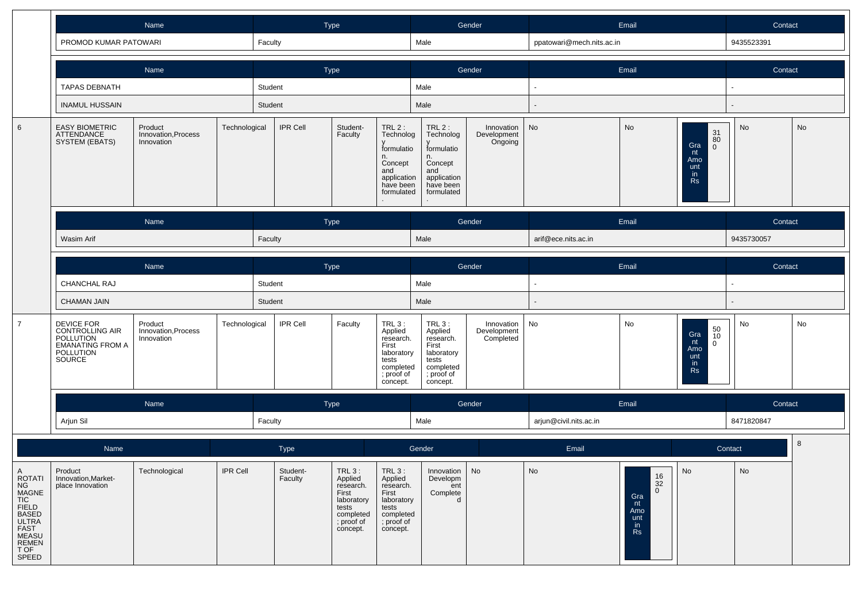|                                                                                                                                           |                                                                                                     | Name                                         |               |                     | <b>Type</b> |                                                                                                         |                                                                                                         |                                                                                                         | Gender                                 |                           | Email                                                                        |                                                                                                       | Contact       |    |
|-------------------------------------------------------------------------------------------------------------------------------------------|-----------------------------------------------------------------------------------------------------|----------------------------------------------|---------------|---------------------|-------------|---------------------------------------------------------------------------------------------------------|---------------------------------------------------------------------------------------------------------|---------------------------------------------------------------------------------------------------------|----------------------------------------|---------------------------|------------------------------------------------------------------------------|-------------------------------------------------------------------------------------------------------|---------------|----|
|                                                                                                                                           | PROMOD KUMAR PATOWARI                                                                               |                                              |               | Faculty             |             |                                                                                                         |                                                                                                         | Male                                                                                                    |                                        | ppatowari@mech.nits.ac.in |                                                                              |                                                                                                       | 9435523391    |    |
|                                                                                                                                           |                                                                                                     | Name                                         |               |                     | Type        |                                                                                                         |                                                                                                         |                                                                                                         | Gender                                 |                           | Email                                                                        |                                                                                                       | Contact       |    |
|                                                                                                                                           | <b>TAPAS DEBNATH</b>                                                                                |                                              |               | Student             |             |                                                                                                         |                                                                                                         | Male                                                                                                    |                                        |                           |                                                                              |                                                                                                       |               |    |
|                                                                                                                                           | <b>INAMUL HUSSAIN</b>                                                                               |                                              |               | Student             |             |                                                                                                         |                                                                                                         | Male                                                                                                    |                                        |                           |                                                                              |                                                                                                       |               |    |
| 6                                                                                                                                         | <b>EASY BIOMETRIC</b><br>ATTENDANCE<br>SYSTEM (EBATS)                                               | Product<br>Innovation, Process<br>Innovation | Technological | <b>IPR Cell</b>     |             | Student-<br>Faculty                                                                                     | TRL $2$ :<br>Technolog<br>formulatio<br>n.<br>Concept<br>and<br>application<br>have been<br>formulated  | $TRL2$ :<br>Technolog<br>formulatio<br>n.<br>Concept<br>and<br>application<br>have been<br>formulated   | Innovation<br>Development<br>Ongoing   | <b>No</b>                 | <b>No</b>                                                                    | $\frac{31}{80}$<br>Gra<br>$\mathbf{0}$<br>nt<br>Amo<br>unt<br>in.<br><b>Rs</b>                        | No            | No |
|                                                                                                                                           |                                                                                                     | Name                                         |               |                     | Type        |                                                                                                         |                                                                                                         |                                                                                                         | Gender                                 |                           | Email                                                                        |                                                                                                       | Contact       |    |
|                                                                                                                                           | Wasim Arif                                                                                          |                                              |               | Faculty             |             |                                                                                                         |                                                                                                         | Male                                                                                                    |                                        | arif@ece.nits.ac.in       |                                                                              |                                                                                                       | 9435730057    |    |
|                                                                                                                                           |                                                                                                     | Name                                         |               |                     | Type        |                                                                                                         |                                                                                                         |                                                                                                         | Gender                                 |                           | Email                                                                        |                                                                                                       | Contact       |    |
|                                                                                                                                           | CHANCHAL RAJ                                                                                        |                                              |               | Student             |             |                                                                                                         |                                                                                                         | Male                                                                                                    |                                        |                           |                                                                              |                                                                                                       |               |    |
|                                                                                                                                           | <b>CHAMAN JAIN</b>                                                                                  |                                              |               | Student             |             |                                                                                                         |                                                                                                         | Male                                                                                                    |                                        |                           |                                                                              |                                                                                                       |               |    |
| $\overline{7}$                                                                                                                            | DEVICE FOR<br>CONTROLLING AIR<br>POLLUTION<br><b>EMANATING FROM A</b><br><b>POLLUTION</b><br>SOURCE | Product<br>Innovation, Process<br>Innovation | Technological | <b>IPR Cell</b>     |             | Faculty                                                                                                 | $TRL3$ :<br>Applied<br>research.<br>First<br>laboratory<br>tests<br>completed<br>; proof of<br>concept. | $TRL3$ :<br>Applied<br>research.<br>First<br>laboratory<br>tests<br>completed<br>; proof of<br>concept. | Innovation<br>Development<br>Completed | No                        | No                                                                           | $\begin{array}{c} 50 \\ 10 \end{array}$<br>Gra<br>nt<br>$\mathbf 0$<br>Amo<br>unt<br>in.<br><b>Rs</b> | No            | No |
|                                                                                                                                           |                                                                                                     | Name                                         |               |                     | <b>Type</b> |                                                                                                         |                                                                                                         |                                                                                                         | Gender                                 |                           | Email                                                                        |                                                                                                       | Contact       |    |
|                                                                                                                                           | Arjun Sil                                                                                           |                                              |               | Faculty             |             |                                                                                                         |                                                                                                         | Male                                                                                                    |                                        | arjun@civil.nits.ac.in    |                                                                              |                                                                                                       | 8471820847    |    |
|                                                                                                                                           | Name                                                                                                |                                              |               | Type                |             |                                                                                                         |                                                                                                         | Gender                                                                                                  |                                        | Email                     |                                                                              |                                                                                                       | Contact       | 8  |
| $\overline{A}$<br>ROTATI<br>NG<br>MAGNE<br>TIC<br>FIELD<br>BASED<br><b>ULTRA</b><br>FAST<br><b>MEASU</b><br><b>REMEN</b><br>T OF<br>SPEED | Product<br>Innovation, Market-<br>place Innovation                                                  | Technological                                | IPR Cell      | Student-<br>Faculty |             | $TRL3$ :<br>Applied<br>research.<br>First<br>laboratory<br>tests<br>completed<br>; proof of<br>concept. | TRL 3 :<br>Applied<br>research.<br>First<br>laboratory<br>tests<br>completed<br>; proof of<br>concept.  | Innovation<br>Developm<br>ent<br>Complete<br>d                                                          | $\operatorname{\mathsf{No}}$           | No                        | $\frac{16}{32}$<br>$\mathbf 0$<br>Gra<br>nt<br>Amo<br>unt<br>in<br><b>Rs</b> | I No                                                                                                  | $\mathsf{No}$ |    |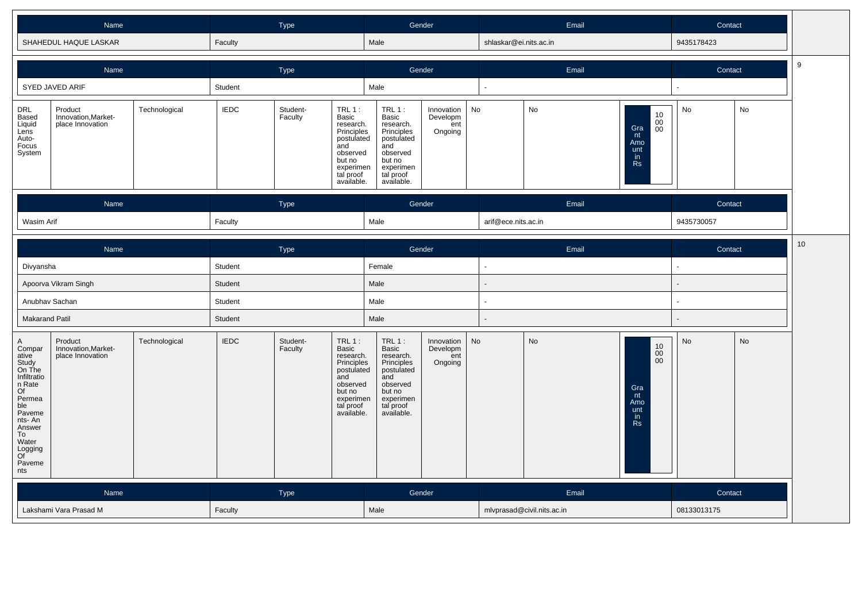| Name                  | Type    | Gender | Email                  | Contact    |
|-----------------------|---------|--------|------------------------|------------|
| SHAHEDUL HAQUE LASKAR | Faculty | Male   | shlaskar@ei.nits.ac.in | 9435178423 |

|                                                                                                                                                                                | Name                                               |               |             | Type                |                                                                                                                                      |                                                                                                                                      | Gender                                   |    |                     |                            | Email                                                                                | Contact     |           | 9  |
|--------------------------------------------------------------------------------------------------------------------------------------------------------------------------------|----------------------------------------------------|---------------|-------------|---------------------|--------------------------------------------------------------------------------------------------------------------------------------|--------------------------------------------------------------------------------------------------------------------------------------|------------------------------------------|----|---------------------|----------------------------|--------------------------------------------------------------------------------------|-------------|-----------|----|
|                                                                                                                                                                                | SYED JAVED ARIF                                    |               | Student     |                     |                                                                                                                                      | Male                                                                                                                                 |                                          |    |                     |                            |                                                                                      |             |           |    |
| DRL<br><b>Based</b><br>Liquid<br>Lens<br>Auto-<br>Focus<br>System                                                                                                              | Product<br>Innovation, Market-<br>place Innovation | Technological | <b>IEDC</b> | Student-<br>Faculty | $TRL1$ :<br>Basic<br>research.<br>Principles<br>postulated<br>and<br>observed<br>but no<br>experimen<br>tal proof<br>available.      | TRL 1:<br>Basic<br>research.<br>Principles<br>postulated<br>and<br>observed<br>but no<br>experimen<br>tal proof<br>available.        | Innovation<br>Developm<br>ent<br>Ongoing | No |                     | No                         | $\begin{array}{c} 10 \\ 00 \\ 00 \end{array}$<br>Gra<br>nt<br>Amo<br>unt<br>in<br>Rs | No          | No        |    |
|                                                                                                                                                                                | Name                                               |               |             | Type                |                                                                                                                                      | Gender                                                                                                                               |                                          |    |                     |                            | Email                                                                                | Contact     |           |    |
| <b>Wasim Arif</b>                                                                                                                                                              |                                                    |               | Faculty     |                     |                                                                                                                                      | Male                                                                                                                                 |                                          |    | arif@ece.nits.ac.in |                            |                                                                                      | 9435730057  |           |    |
|                                                                                                                                                                                | Name                                               |               |             | Type                |                                                                                                                                      |                                                                                                                                      | Gender                                   |    |                     |                            | Email                                                                                | Contact     |           | 10 |
| Divyansha                                                                                                                                                                      |                                                    |               | Student     |                     |                                                                                                                                      | Female                                                                                                                               |                                          |    |                     |                            |                                                                                      |             |           |    |
|                                                                                                                                                                                | Apoorva Vikram Singh                               |               | Student     |                     |                                                                                                                                      | Male                                                                                                                                 |                                          |    |                     |                            |                                                                                      |             |           |    |
| Anubhav Sachan                                                                                                                                                                 |                                                    |               | Student     |                     |                                                                                                                                      | Male                                                                                                                                 |                                          |    |                     |                            |                                                                                      | ÷.          |           |    |
| <b>Makarand Patil</b>                                                                                                                                                          |                                                    |               | Student     |                     |                                                                                                                                      | Male                                                                                                                                 |                                          |    |                     |                            |                                                                                      |             |           |    |
| A<br>Compar<br>ative<br>Study<br>On The<br>Infiltratio<br>n Rate<br>Of<br>Permea<br>ble<br>Paveme<br>nts-An<br>Answer<br>${\tt To}$<br>Water<br>Logging<br>Of<br>Paveme<br>nts | Product<br>Innovation, Market-<br>place Innovation | Technological | <b>IEDC</b> | Student-<br>Faculty | <b>TRL 1:</b><br>Basic<br>research.<br>Principles<br>postulated<br>and<br>observed<br>but no<br>experimen<br>tal proof<br>available. | <b>TRL 1:</b><br>Basic<br>research.<br>Principles<br>postulated<br>and<br>observed<br>but no<br>experimen<br>tal proof<br>available. | Innovation<br>Developm<br>ent<br>Ongoing | No |                     | <b>No</b>                  | $\substack{10\\00}$<br>$00\,$<br>Gra<br>nt<br>Amo<br>unt<br>in<br>Rs                 | No          | <b>No</b> |    |
|                                                                                                                                                                                | Name                                               |               |             | Type                |                                                                                                                                      |                                                                                                                                      | Gender                                   |    |                     |                            | Email                                                                                | Contact     |           |    |
|                                                                                                                                                                                | Lakshami Vara Prasad M                             |               | Faculty     |                     |                                                                                                                                      | Male                                                                                                                                 |                                          |    |                     | mlvprasad@civil.nits.ac.in |                                                                                      | 08133013175 |           |    |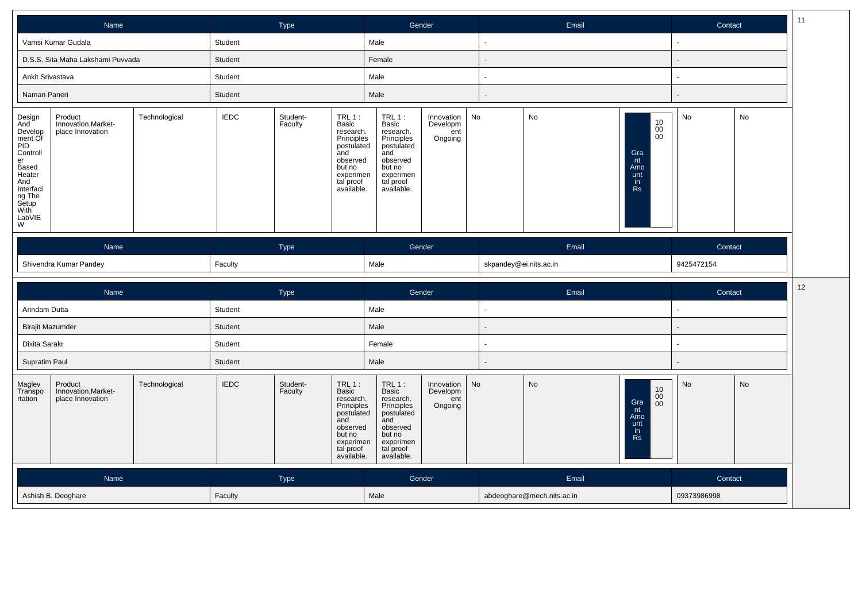|                                                                                                                                               | Name                                               |               |             | Type                       |                                                                                                                                 | Gender                                                                                                                               |                                          | Email                  |             |                                                                                             | Contact    |    |  |
|-----------------------------------------------------------------------------------------------------------------------------------------------|----------------------------------------------------|---------------|-------------|----------------------------|---------------------------------------------------------------------------------------------------------------------------------|--------------------------------------------------------------------------------------------------------------------------------------|------------------------------------------|------------------------|-------------|---------------------------------------------------------------------------------------------|------------|----|--|
|                                                                                                                                               | Vamsi Kumar Gudala                                 |               | Student     |                            |                                                                                                                                 | Male                                                                                                                                 |                                          |                        |             |                                                                                             |            |    |  |
|                                                                                                                                               | D.S.S. Sita Maha Lakshami Puvvada                  |               | Student     |                            |                                                                                                                                 | Female                                                                                                                               |                                          |                        |             |                                                                                             |            |    |  |
| Ankit Srivastava                                                                                                                              |                                                    |               | Student     |                            |                                                                                                                                 | Male                                                                                                                                 |                                          |                        |             |                                                                                             |            |    |  |
| Naman Paneri                                                                                                                                  |                                                    |               | Student     |                            |                                                                                                                                 | Male                                                                                                                                 |                                          |                        |             |                                                                                             |            |    |  |
| Design<br>And<br>Develop<br>ment Of<br>PID<br>Controll<br>er<br>Based<br>Heater<br>And<br>Interfaci<br>ng The<br>Setup<br>With<br>LabVIE<br>W | Product<br>Innovation, Market-<br>place Innovation | Technological | <b>IEDC</b> | Student-<br>Faculty        | $TRL1$ :<br>Basic<br>research.<br>Principles<br>postulated<br>and<br>observed<br>but no<br>experimen<br>tal proof<br>available. | <b>TRL 1:</b><br>Basic<br>research.<br>Principles<br>postulated<br>and<br>observed<br>but no<br>experimen<br>tal proof<br>available. | Innovation<br>Developm<br>ent<br>Ongoing | No                     | No          | $\begin{array}{c} 10 \\ 00 \\ 00 \end{array}$<br>Gra<br>nt<br>Amo<br>unt<br>in<br><b>Rs</b> | No         | No |  |
|                                                                                                                                               | Name                                               |               |             | Type                       |                                                                                                                                 | Gender                                                                                                                               |                                          |                        | Email       |                                                                                             | Contact    |    |  |
|                                                                                                                                               | Shivendra Kumar Pandey<br>Faculty                  |               |             |                            |                                                                                                                                 | Male                                                                                                                                 |                                          | skpandey@ei.nits.ac.in |             |                                                                                             | 9425472154 |    |  |
|                                                                                                                                               | Name                                               |               |             | Type                       |                                                                                                                                 | Gender                                                                                                                               |                                          |                        | Email       |                                                                                             | Contact    | 12 |  |
| Arindam Dutta                                                                                                                                 |                                                    |               | Student     |                            |                                                                                                                                 | Male                                                                                                                                 |                                          |                        |             |                                                                                             |            |    |  |
| <b>Birajit Mazumder</b>                                                                                                                       |                                                    |               | Student     |                            |                                                                                                                                 | Male                                                                                                                                 |                                          |                        |             |                                                                                             |            |    |  |
| Dixita Sarakr                                                                                                                                 |                                                    |               | Student     |                            |                                                                                                                                 | Female                                                                                                                               |                                          |                        |             |                                                                                             |            |    |  |
| Supratim Paul                                                                                                                                 |                                                    |               | Student     |                            |                                                                                                                                 | Male                                                                                                                                 |                                          |                        |             |                                                                                             |            |    |  |
| Maglev<br>Transpo<br>rtation                                                                                                                  | Product<br>Innovation, Market-<br>place Innovation | Technological | <b>IEDC</b> | Student-<br>Faculty<br>and | $TRL1$ :<br><b>Basic</b><br>research.<br>Principles<br>postulated<br>observed<br>but no<br>experimen<br>tal proof<br>available. | <b>TRL 1:</b><br>Basic<br>research.<br>Principles<br>postulated<br>and<br>observed<br>but no<br>experimen<br>tal proof<br>available. | Innovation<br>Developm<br>ent<br>Ongoing | No                     | No          | $\begin{array}{c} 10 \\ 00 \\ 00 \end{array}$<br>Gra<br>nt<br>Amo<br>unt<br>in<br><b>Rs</b> | No         | No |  |
|                                                                                                                                               | <b>Name</b>                                        |               |             | Type                       |                                                                                                                                 | Gender                                                                                                                               |                                          |                        | Email       |                                                                                             | Contact    |    |  |
|                                                                                                                                               | Ashish B. Deoghare<br>Faculty                      |               |             |                            | Male                                                                                                                            |                                                                                                                                      | abdeoghare@mech.nits.ac.in               |                        | 09373986998 |                                                                                             |            |    |  |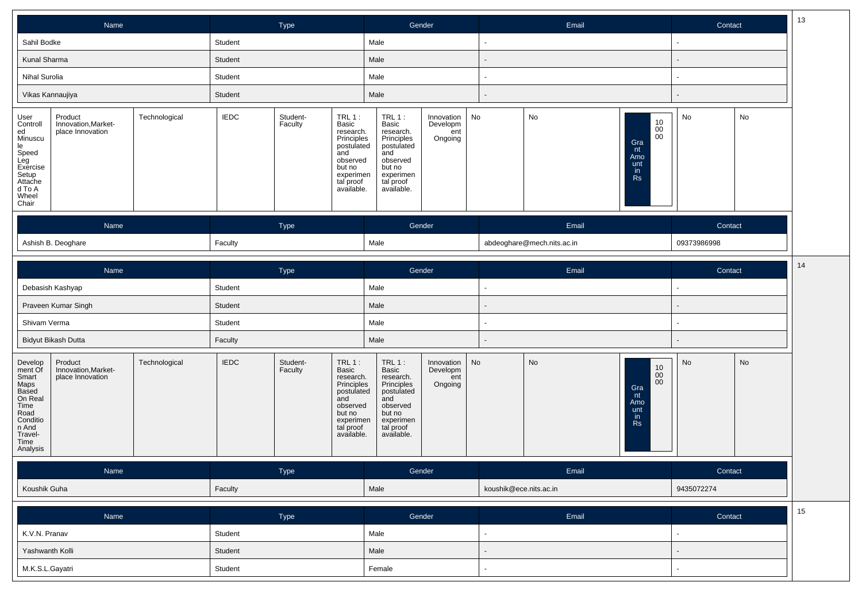| Name                                                                                                                                                                                               | Type                                                                                                                                                                       | Gender                                                                                                                                                                            | Email                                                                      | 13<br>Contact |
|----------------------------------------------------------------------------------------------------------------------------------------------------------------------------------------------------|----------------------------------------------------------------------------------------------------------------------------------------------------------------------------|-----------------------------------------------------------------------------------------------------------------------------------------------------------------------------------|----------------------------------------------------------------------------|---------------|
| Sahil Bodke                                                                                                                                                                                        | Student                                                                                                                                                                    | Male                                                                                                                                                                              | $\overline{\phantom{a}}$                                                   |               |
| Kunal Sharma                                                                                                                                                                                       | Student                                                                                                                                                                    | Male                                                                                                                                                                              |                                                                            |               |
| Nihal Surolia                                                                                                                                                                                      | Student                                                                                                                                                                    | Male                                                                                                                                                                              |                                                                            |               |
| Vikas Kannaujiya                                                                                                                                                                                   | Student                                                                                                                                                                    | Male                                                                                                                                                                              |                                                                            |               |
| Product<br>Technological<br>User<br>Controll<br>Innovation, Market-<br>place Innovation<br>ed<br>Minuscu<br>le<br>Speed<br>Leg<br>Exercise<br>Setup<br>Attache<br>d To A<br>Wheel<br>Chair         | <b>IEDC</b><br>Student-<br>$TRL1$ :<br>Faculty<br>Basic<br>research.<br>Principles<br>postulated<br>and<br>observed<br>but no<br>experimen<br>tal proof<br>available.      | No<br>$TRL1$ :<br>Innovation<br>Basic<br>Developm<br>research.<br>ent<br>Principles<br>Ongoing<br>postulated<br>and<br>observed<br>but no<br>experimen<br>tal proof<br>available. | No<br>10<br>0 <sup>0</sup><br>00<br>Gra<br>nt<br>Amo<br>unt<br>in<br>Rs    | No<br>No      |
| Name                                                                                                                                                                                               | Type                                                                                                                                                                       | Gender                                                                                                                                                                            | Email                                                                      | Contact       |
| Ashish B. Deoghare                                                                                                                                                                                 | Faculty                                                                                                                                                                    | Male                                                                                                                                                                              | abdeoghare@mech.nits.ac.in                                                 | 09373986998   |
|                                                                                                                                                                                                    |                                                                                                                                                                            |                                                                                                                                                                                   |                                                                            | 14            |
| Name                                                                                                                                                                                               | Type                                                                                                                                                                       | Gender                                                                                                                                                                            | Email                                                                      | Contact       |
| Debasish Kashyap                                                                                                                                                                                   | Student                                                                                                                                                                    | Male                                                                                                                                                                              |                                                                            |               |
| Praveen Kumar Singh                                                                                                                                                                                | Student                                                                                                                                                                    | Male                                                                                                                                                                              |                                                                            |               |
| Shivam Verma                                                                                                                                                                                       | Student                                                                                                                                                                    | Male                                                                                                                                                                              |                                                                            |               |
| Bidyut Bikash Dutta                                                                                                                                                                                | Faculty                                                                                                                                                                    | Male                                                                                                                                                                              |                                                                            |               |
| Product<br>Technological<br>Develop<br>ment Of<br>Innovation, Market-<br>Smart<br>Maps<br>Based<br>place Innovation<br>On Real<br>Time<br>Road<br>Conditio<br>n And<br>Travel-<br>Time<br>Analysis | <b>IEDC</b><br>Student-<br><b>TRL 1:</b><br>Faculty<br>Basic<br>research.<br>Principles<br>postulated<br>and<br>observed<br>but no<br>experimen<br>tal proof<br>available. | No<br>$TRL1$ :<br>Innovation<br>Basic<br>Developm<br>research.<br>Principles<br>postulated<br>ent<br>Ongoing<br>and<br>observed<br>but no<br>experimen<br>tal proof<br>available. | No<br>$\substack{10\\00}$<br>$00\,$<br>Gra<br>nt<br>Amo<br>unt<br>in<br>Rs | No<br>No      |
| Name                                                                                                                                                                                               | Type                                                                                                                                                                       | Gender                                                                                                                                                                            | Email                                                                      | Contact       |
| Koushik Guha                                                                                                                                                                                       | Faculty                                                                                                                                                                    | Male                                                                                                                                                                              | koushik@ece.nits.ac.in                                                     | 9435072274    |
| Name                                                                                                                                                                                               | Type                                                                                                                                                                       | Gender                                                                                                                                                                            | Email                                                                      | 15<br>Contact |
| K.V.N. Pranav                                                                                                                                                                                      | Student                                                                                                                                                                    | Male                                                                                                                                                                              |                                                                            |               |
| Yashwanth Kolli                                                                                                                                                                                    | Student                                                                                                                                                                    | Male                                                                                                                                                                              |                                                                            |               |
| M.K.S.L.Gayatri                                                                                                                                                                                    | Student                                                                                                                                                                    | Female                                                                                                                                                                            |                                                                            |               |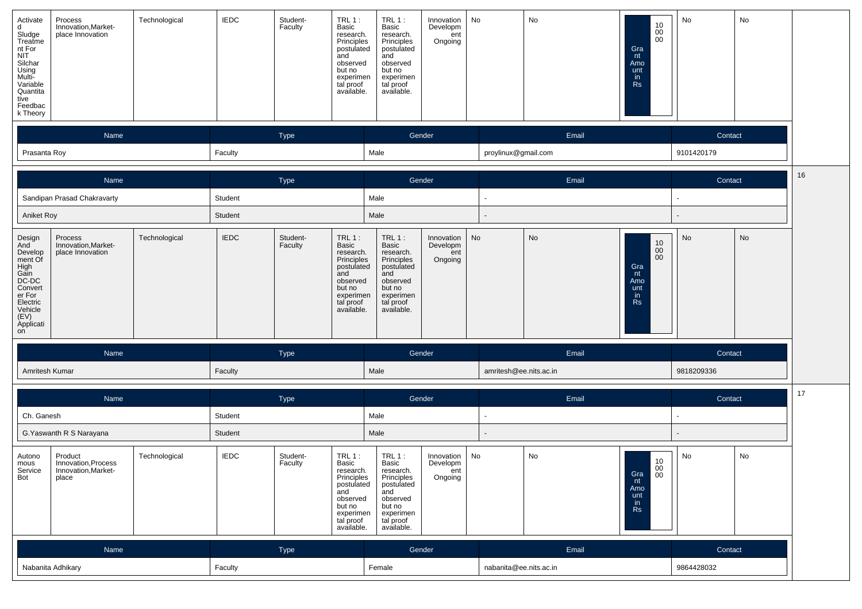| Activate<br>Process<br>Innovation, Market-<br>d<br>Sludge<br>Treatme<br>nt For<br>place Innovation<br><b>NIT</b><br>Silchar<br>Using<br>Multi-<br>Variable<br>Quantita<br>tive<br>Feedbac<br>k Theory | Technological | <b>IEDC</b>        | Student-<br>Faculty<br>and | $TRL$ <sub>1</sub> :<br>Basic<br>research.<br>Principles<br>postulated<br>observed<br>but no<br>experimen<br>tal proof<br>available. | $TRL1$ :<br>Basic<br>research.<br>Principles<br>postulated<br>and<br>observed<br>but no<br>experimen<br>tal proof<br>available.      | Innovation<br>Developm<br>ent<br>Ongoing | No                     | No        | 10<br>$\overline{00}$<br>Gra<br>nt<br>Amo<br>unt<br>in<br>Rs                                | No                    | No |    |
|-------------------------------------------------------------------------------------------------------------------------------------------------------------------------------------------------------|---------------|--------------------|----------------------------|--------------------------------------------------------------------------------------------------------------------------------------|--------------------------------------------------------------------------------------------------------------------------------------|------------------------------------------|------------------------|-----------|---------------------------------------------------------------------------------------------|-----------------------|----|----|
| Name<br>Prasanta Roy                                                                                                                                                                                  |               | Faculty            | Type                       |                                                                                                                                      | Gender<br>Male                                                                                                                       |                                          | proylinux@gmail.com    | Email     |                                                                                             | Contact<br>9101420179 |    |    |
|                                                                                                                                                                                                       |               |                    |                            |                                                                                                                                      |                                                                                                                                      |                                          |                        |           |                                                                                             |                       |    | 16 |
| Name                                                                                                                                                                                                  |               |                    | Type                       |                                                                                                                                      | Gender                                                                                                                               |                                          |                        | Email     |                                                                                             | Contact               |    |    |
| Sandipan Prasad Chakravarty                                                                                                                                                                           |               | Student<br>Student |                            |                                                                                                                                      | Male<br>Male                                                                                                                         |                                          |                        |           |                                                                                             | $\blacksquare$        |    |    |
| Aniket Roy                                                                                                                                                                                            |               |                    |                            |                                                                                                                                      |                                                                                                                                      |                                          |                        |           |                                                                                             |                       |    |    |
| Process<br>Design<br>And<br>Innovation, Market-<br>Develop<br>place Innovation<br>ment Of<br>High<br>Gain<br>DC-DC<br>Convert<br>er For<br>Electric<br>Vehicle<br>(EV)<br>Applicati<br>on             | Technological | <b>IEDC</b>        | Student-<br>Faculty<br>and | $TRL$ 1:<br>Basic<br>research.<br>Principles<br>postulated<br>observed<br>but no<br>experimen<br>tal proof<br>available.             | $TRL_1$ :<br>Basic<br>research.<br>Principles<br>postulated<br>and<br>observed<br>but no<br>experimen<br>tal proof<br>available.     | Innovation<br>Developm<br>ent<br>Ongoing | No                     | <b>No</b> | $\begin{array}{c} 10 \\ 00 \\ 00 \end{array}$<br>Gra<br>nt<br>Amo<br>unt<br>in<br><b>Rs</b> | No                    | No |    |
| Name                                                                                                                                                                                                  |               |                    | Type                       |                                                                                                                                      | Gender                                                                                                                               |                                          |                        | Email     |                                                                                             | Contact               |    |    |
| Amritesh Kumar                                                                                                                                                                                        |               | Faculty            |                            |                                                                                                                                      | Male                                                                                                                                 |                                          | amritesh@ee.nits.ac.in |           |                                                                                             | 9818209336            |    |    |
|                                                                                                                                                                                                       |               |                    |                            |                                                                                                                                      |                                                                                                                                      |                                          |                        |           |                                                                                             |                       |    | 17 |
| Name                                                                                                                                                                                                  |               |                    | Type                       |                                                                                                                                      | Gender                                                                                                                               |                                          |                        | Email     |                                                                                             | Contact               |    |    |
| Ch. Ganesh                                                                                                                                                                                            |               | Student            |                            |                                                                                                                                      | Male                                                                                                                                 |                                          |                        |           |                                                                                             |                       |    |    |
| G. Yaswanth R S Narayana                                                                                                                                                                              |               | Student            |                            |                                                                                                                                      | Male                                                                                                                                 |                                          |                        |           |                                                                                             |                       |    |    |
| Product<br>Autono<br>Innovation, Process<br>mous<br>Service<br>Innovation, Market-<br>Bot<br>place                                                                                                    | Technological | <b>IEDC</b>        | Student-<br>Faculty        | <b>TRL 1:</b><br>Basic<br>research.<br>Principles<br>postulated<br>and<br>observed<br>but no<br>experimen<br>tal proof<br>available. | <b>TRL 1:</b><br>Basic<br>research.<br>Principles<br>postulated<br>and<br>observed<br>but no<br>experimen<br>tal proof<br>available. | Innovation<br>Developm<br>ent<br>Ongoing | No                     | No        | 10<br>$\overline{00}$<br>$Gra$ <sub>nt</sub><br>Amo<br>unt<br>in<br>Rs                      | No                    | No |    |
| Name                                                                                                                                                                                                  |               |                    | Type                       |                                                                                                                                      | Gender                                                                                                                               |                                          |                        | Email     |                                                                                             | Contact               |    |    |
| Nabanita Adhikary                                                                                                                                                                                     |               | Faculty            |                            |                                                                                                                                      | Female                                                                                                                               |                                          | nabanita@ee.nits.ac.in |           |                                                                                             | 9864428032            |    |    |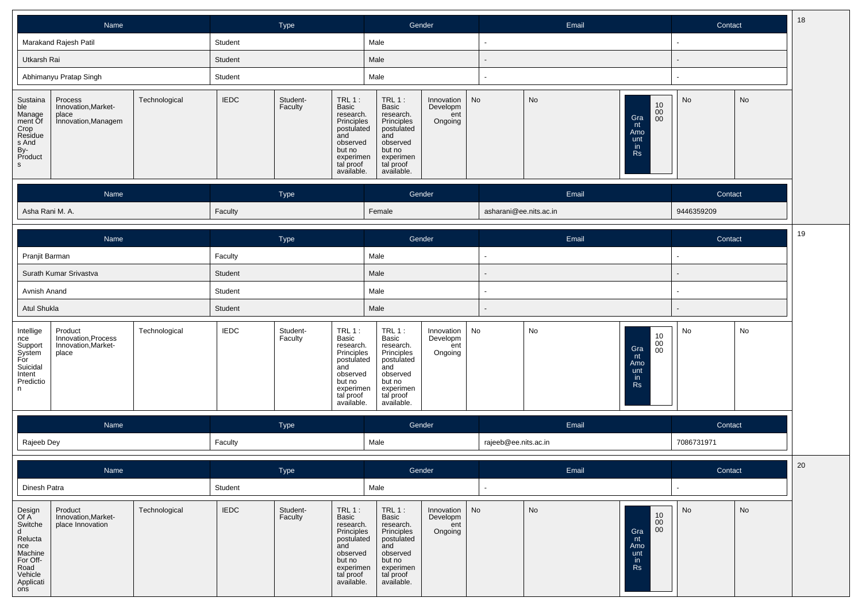|                                                                                                              | Name                                                           |               |             | Type                |                                                                                                                                 | Gender                                                                                                                        |                                          |    | Email                  |                                                                                      | Contact    |    |
|--------------------------------------------------------------------------------------------------------------|----------------------------------------------------------------|---------------|-------------|---------------------|---------------------------------------------------------------------------------------------------------------------------------|-------------------------------------------------------------------------------------------------------------------------------|------------------------------------------|----|------------------------|--------------------------------------------------------------------------------------|------------|----|
|                                                                                                              | Marakand Rajesh Patil                                          |               | Student     |                     |                                                                                                                                 | Male                                                                                                                          |                                          |    |                        |                                                                                      |            |    |
| Utkarsh Rai                                                                                                  |                                                                |               | Student     |                     |                                                                                                                                 | Male                                                                                                                          |                                          |    |                        |                                                                                      |            |    |
|                                                                                                              | Abhimanyu Pratap Singh                                         | Student       |             |                     | Male                                                                                                                            |                                                                                                                               |                                          |    |                        |                                                                                      |            |    |
| Sustaina<br>ble<br>Manage<br>manage<br>ment Of<br>Crop<br>Residue<br>s And<br>By-<br>Product<br><sub>S</sub> | Process<br>Innovation, Market-<br>place<br>Innovation, Managem | Technological | <b>IEDC</b> | Student-<br>Faculty | TRL $1:$<br>Basic<br>research.<br>Principles<br>postulated<br>and<br>observed<br>but no<br>experimen<br>tal proof<br>available. | TRL 1:<br>Basic<br>research.<br>Principles<br>postulated<br>and<br>observed<br>but no<br>experimen<br>tal proof<br>available. | Innovation<br>Developm<br>ent<br>Ongoing | No | No                     | $\begin{array}{c} 10 \\ 00 \\ 00 \end{array}$<br>Gra<br>nt<br>Amo<br>unt<br>in<br>Rs | No         | No |
|                                                                                                              | Name                                                           |               |             | Type                |                                                                                                                                 | Gender                                                                                                                        |                                          |    | Email                  |                                                                                      | Contact    |    |
| Asha Rani M. A.                                                                                              |                                                                |               | Faculty     |                     |                                                                                                                                 | Female                                                                                                                        |                                          |    | asharani@ee.nits.ac.in |                                                                                      | 9446359209 |    |

|                                                                                      | Name                                                           |               |             | Type                |                                                                                                                                 | Gender                                                                                                                        |                                          |    | Email |                                                        | Contact |    |  |
|--------------------------------------------------------------------------------------|----------------------------------------------------------------|---------------|-------------|---------------------|---------------------------------------------------------------------------------------------------------------------------------|-------------------------------------------------------------------------------------------------------------------------------|------------------------------------------|----|-------|--------------------------------------------------------|---------|----|--|
| Pranjit Barman                                                                       |                                                                |               | Faculty     |                     | Male                                                                                                                            |                                                                                                                               |                                          |    |       |                                                        |         |    |  |
|                                                                                      | Surath Kumar Srivastva<br>Student<br>Avnish Anand<br>Student   |               |             |                     |                                                                                                                                 | Male                                                                                                                          |                                          |    |       |                                                        |         |    |  |
|                                                                                      | Atul Shukla<br>Student                                         |               |             |                     |                                                                                                                                 | Male                                                                                                                          |                                          |    |       |                                                        |         |    |  |
|                                                                                      |                                                                |               |             |                     |                                                                                                                                 | Male                                                                                                                          |                                          |    |       |                                                        |         |    |  |
| Intellige<br>nce<br>Support<br>System<br>For<br>Suicidal<br>Intent<br>Predictio<br>n | Product<br>Innovation, Process<br>Innovation, Market-<br>place | Technological | <b>IEDC</b> | Student-<br>Faculty | $TRL1$ :<br>Basic<br>research.<br>Principles<br>postulated<br>and<br>observed<br>but no<br>experimen<br>tal proof<br>available. | TRL 1:<br>Basic<br>research.<br>Principles<br>postulated<br>and<br>observed<br>but no<br>experimen<br>tal proof<br>available. | Innovation<br>Developm<br>ent<br>Ongoing | No | No    | 10<br>00<br>Gra<br>00<br>nt<br>Amo<br>unt<br>in.<br>Rs | No      | No |  |

| <b>Name</b> | Type    | Gender | Email                | <b>Contact</b> |
|-------------|---------|--------|----------------------|----------------|
| Rajeeb Dey  | Faculty | Male   | rajeeb@ee.nits.ac.in | 7086731971     |

|                                                                                                                | Name                                               |               |             | Type                |                                                                                                                                 |                                                                                                                                 | Gender                                        | Email |                                           | Contact |    | 20 |
|----------------------------------------------------------------------------------------------------------------|----------------------------------------------------|---------------|-------------|---------------------|---------------------------------------------------------------------------------------------------------------------------------|---------------------------------------------------------------------------------------------------------------------------------|-----------------------------------------------|-------|-------------------------------------------|---------|----|----|
| Dinesh Patra                                                                                                   |                                                    |               | Student     |                     |                                                                                                                                 | Male                                                                                                                            |                                               |       |                                           |         |    |    |
| Design<br>Of A<br>Switche<br>d<br>Relucta<br>nce<br>Machine<br>For Off-<br>Road<br>Vehicle<br>Applicati<br>ons | Product<br>Innovation, Market-<br>place Innovation | Technological | <b>IEDC</b> | Student-<br>Faculty | $TRL1$ :<br>Basic<br>research.<br>Principles<br>postulated<br>and<br>observed<br>but no<br>experimen<br>tal proof<br>available. | $TRL1$ :<br>Basic<br>research.<br>Principles<br>postulated<br>and<br>observed<br>but no<br>experimen<br>tal proof<br>available. | Innovation   No<br>Developm<br>ent<br>Ongoing | No    | 10<br>00<br>00<br>Gra<br>Amo<br>unt<br>Rs | No      | No |    |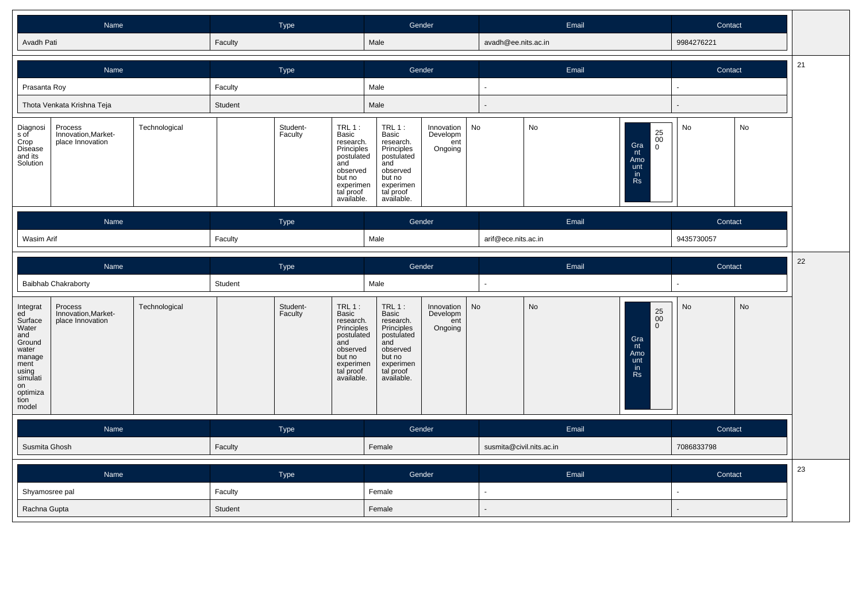| Name <sup>®</sup> | Type <sup>1</sup> | Gender | Email               | Contact    |
|-------------------|-------------------|--------|---------------------|------------|
| Avadh Pati        | Faculty           | Male   | avadh@ee.nits.ac.in | 9984276221 |

|                                                            | Name                                               |               |         | Type                |                                                                                                                                 |                                                                                                                                  | Gender                                        |  | Email |                                                                                  | Contact |    |
|------------------------------------------------------------|----------------------------------------------------|---------------|---------|---------------------|---------------------------------------------------------------------------------------------------------------------------------|----------------------------------------------------------------------------------------------------------------------------------|-----------------------------------------------|--|-------|----------------------------------------------------------------------------------|---------|----|
| Prasanta Roy                                               |                                                    |               | Faculty |                     |                                                                                                                                 | Male                                                                                                                             |                                               |  |       |                                                                                  |         |    |
|                                                            | Thota Venkata Krishna Teja<br>Student              |               |         | Male                |                                                                                                                                 |                                                                                                                                  |                                               |  |       |                                                                                  |         |    |
| Diagnosi<br>s of<br>Crop<br>Disease<br>and its<br>Solution | Process<br>Innovation, Market-<br>place Innovation | Technological |         | Student-<br>Faculty | $TRL1$ :<br>Basic<br>research.<br>Principles<br>postulated<br>and<br>observed<br>but no<br>experimen<br>tal proof<br>available. | $TRL 1$ :<br>Basic<br>research.<br>Principles<br>postulated<br>and<br>observed<br>but no<br>experimen<br>tal proof<br>available. | Innovation   No<br>Developm<br>ent<br>Ongoing |  | No    | $\substack{25 \\ 00}$<br>Gra<br>$\Omega$<br>nt<br>Amo<br>unt<br>in.<br><b>Rs</b> | No      | No |
|                                                            | Name                                               |               |         | Type                |                                                                                                                                 |                                                                                                                                  | Gender                                        |  | Email |                                                                                  | Contact |    |
| Wasim Arif                                                 | Faculty                                            |               |         |                     | Male                                                                                                                            |                                                                                                                                  | arif@ece.nits.ac.in                           |  |       | 9435730057                                                                       |         |    |

|                                                                                                                                        | Name                                               |               |         | Type                |                                                                                                                                 | Gender                                                                                                                          |                                                     | Email                    |                                                                                                  |            | 22<br>Contact |  |
|----------------------------------------------------------------------------------------------------------------------------------------|----------------------------------------------------|---------------|---------|---------------------|---------------------------------------------------------------------------------------------------------------------------------|---------------------------------------------------------------------------------------------------------------------------------|-----------------------------------------------------|--------------------------|--------------------------------------------------------------------------------------------------|------------|---------------|--|
|                                                                                                                                        | <b>Baibhab Chakraborty</b>                         |               | Student |                     |                                                                                                                                 | Male                                                                                                                            |                                                     |                          |                                                                                                  |            |               |  |
| Integrat<br>ed<br>Surface<br>Water<br>and<br>Ground<br>water<br>manage<br>ment<br>using<br>simulati<br>on<br>optimiza<br>tion<br>model | Process<br>Innovation, Market-<br>place Innovation | Technological |         | Student-<br>Faculty | $TRL1$ :<br>Basic<br>research.<br>Principles<br>postulated<br>and<br>observed<br>but no<br>experimen<br>tal proof<br>available. | $TRL1$ :<br>Basic<br>research.<br>Principles<br>postulated<br>and<br>observed<br>but no<br>experimen<br>tal proof<br>available. | Innovation $\vert$ No<br>Developm<br>ent<br>Ongoing | <b>No</b>                | $\underset{0}{\overset{25}{\text{00}}}$<br>Gra<br>nt<br>Amo<br>unt<br>$\mathsf{in}$<br><b>Rs</b> | No         | No            |  |
|                                                                                                                                        | Name                                               |               |         | Type                |                                                                                                                                 |                                                                                                                                 | Gender                                              | Email                    |                                                                                                  | Contact    |               |  |
|                                                                                                                                        | Susmita Ghosh                                      |               | Faculty |                     |                                                                                                                                 | Female                                                                                                                          |                                                     | susmita@civil.nits.ac.in |                                                                                                  | 7086833798 |               |  |

| Name           | <b>Type</b> | Gender | Email | Contact | 23 |
|----------------|-------------|--------|-------|---------|----|
| Shyamosree pal | Faculty     | Female |       |         |    |
| Rachna Gupta   | Student     | Female |       |         |    |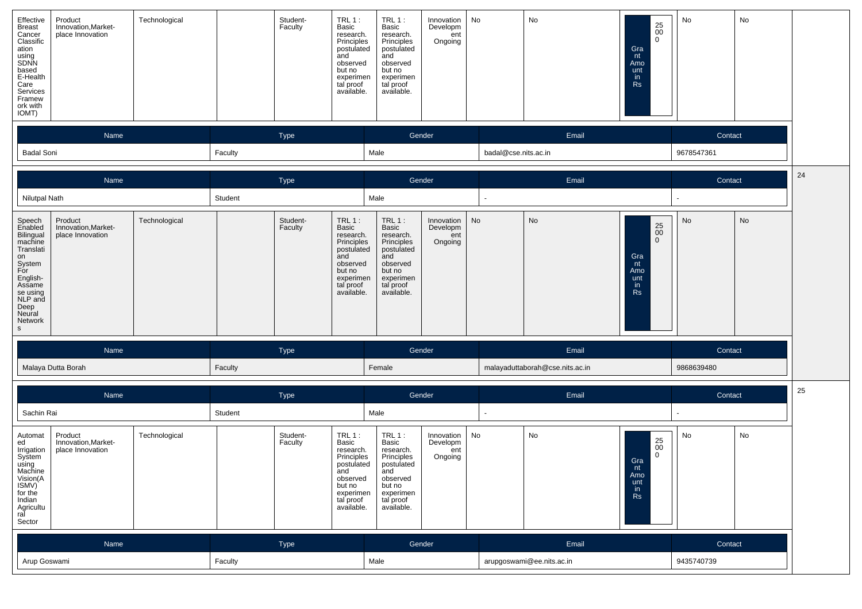| Effective<br>Technological<br>Product<br><b>Breast</b><br>Innovation, Market-<br>Cancer<br>place Innovation<br>Classific<br>ation<br>using<br>SDNN<br>based<br>E-Health<br>Care<br>Services<br>Framew<br>ork with<br>IOMT)          | <b>TRL 1:</b><br>Student-<br>Faculty<br>Basic<br>research.<br>Principles<br>postulated<br>and<br>observed<br>but no<br>experimen<br>tal proof<br>available. | <b>TRL 1:</b><br>Innovation<br>Developm<br>Basic<br>research.<br>ent<br>Principles<br>Ongoing<br>postulated<br>and<br>observed<br>but no<br>experimen<br>tal proof<br>available. | No<br>No<br>$\substack{25 \\ 00}$<br>$\mathbf{0}$<br>Gra<br>nt<br>Amo<br>unt<br>in<br><b>Rs</b>              | No<br>No                 |
|-------------------------------------------------------------------------------------------------------------------------------------------------------------------------------------------------------------------------------------|-------------------------------------------------------------------------------------------------------------------------------------------------------------|----------------------------------------------------------------------------------------------------------------------------------------------------------------------------------|--------------------------------------------------------------------------------------------------------------|--------------------------|
| Name                                                                                                                                                                                                                                | Type                                                                                                                                                        | Gender                                                                                                                                                                           | Email                                                                                                        | Contact                  |
| <b>Badal Soni</b>                                                                                                                                                                                                                   | Faculty                                                                                                                                                     | Male                                                                                                                                                                             | badal@cse.nits.ac.in                                                                                         | 9678547361               |
| Name                                                                                                                                                                                                                                | Type                                                                                                                                                        | Gender                                                                                                                                                                           | Email                                                                                                        | 24<br>Contact            |
| <b>Nilutpal Nath</b>                                                                                                                                                                                                                | Student                                                                                                                                                     | Male                                                                                                                                                                             | $\blacksquare$                                                                                               | $\overline{\phantom{0}}$ |
| Technological<br>Product<br>Speech<br>Enabled<br>Bilingual<br>machine<br>Innovation, Market-<br>place Innovation<br>Translati<br>on<br>System<br>For<br>English-<br>Assame<br>se using<br>NLP and<br>Deep<br>Neural<br>Network<br>s | Student-<br>$TRL1$ :<br>Faculty<br>Basic<br>research.<br>Principles<br>postulated<br>and<br>observed<br>but no<br>experimen<br>tal proof<br>available.      | $TRL1$ :<br>Innovation<br>Basic<br>Developm<br>research.<br>ent<br>Principles<br>Ongoing<br>postulated<br>and<br>observed<br>but no<br>experimen<br>tal proof<br>available.      | No<br>No<br>$\substack{25 \\ 00}$<br>$\mathbf 0$<br>Gra<br>nt<br>Amo<br>unt<br>in<br><b>Rs</b>               | No<br>No                 |
| Name                                                                                                                                                                                                                                | Type                                                                                                                                                        | Gender                                                                                                                                                                           | Email                                                                                                        | Contact                  |
| Malaya Dutta Borah                                                                                                                                                                                                                  | Faculty                                                                                                                                                     | Female                                                                                                                                                                           | malayaduttaborah@cse.nits.ac.in                                                                              | 9868639480               |
| Name                                                                                                                                                                                                                                | Type                                                                                                                                                        | Gender                                                                                                                                                                           | Email                                                                                                        | 25<br>Contact            |
| Sachin Rai                                                                                                                                                                                                                          | Student                                                                                                                                                     | Male                                                                                                                                                                             | $\blacksquare$                                                                                               |                          |
| Product<br>Technological<br>Automat<br>ed<br>Innovation, Market-<br>Irrigation<br>place Innovation<br>System<br>using<br>Machine<br>Vision(A<br>ISMV)<br>for the<br>Indian<br>Agricultu<br>ral<br>Sector                            | <b>TRL 1:</b><br>Student-<br>Faculty<br>Basic<br>research.<br>Principles<br>postulated<br>and<br>observed<br>but no<br>experimen<br>tal proof<br>available. | $TRL1$ :<br>Innovation<br>Basic<br>Developm<br>research.<br>ent<br>Ongoing<br>Principles<br>postulated<br>and<br>observed<br>but no<br>experimen<br>tal proof<br>available.      | No<br>No<br>$\substack{25 \\ 00}$<br>0<br>Gra<br>nt<br>Amo<br>unt<br>$\mathop{\sf lin}\limits_{\mathsf{Rs}}$ | No<br>No                 |
| Name                                                                                                                                                                                                                                | Type                                                                                                                                                        | Gender                                                                                                                                                                           | Email                                                                                                        | Contact                  |
| Arup Goswami                                                                                                                                                                                                                        | Faculty                                                                                                                                                     | Male                                                                                                                                                                             | arupgoswami@ee.nits.ac.in                                                                                    | 9435740739               |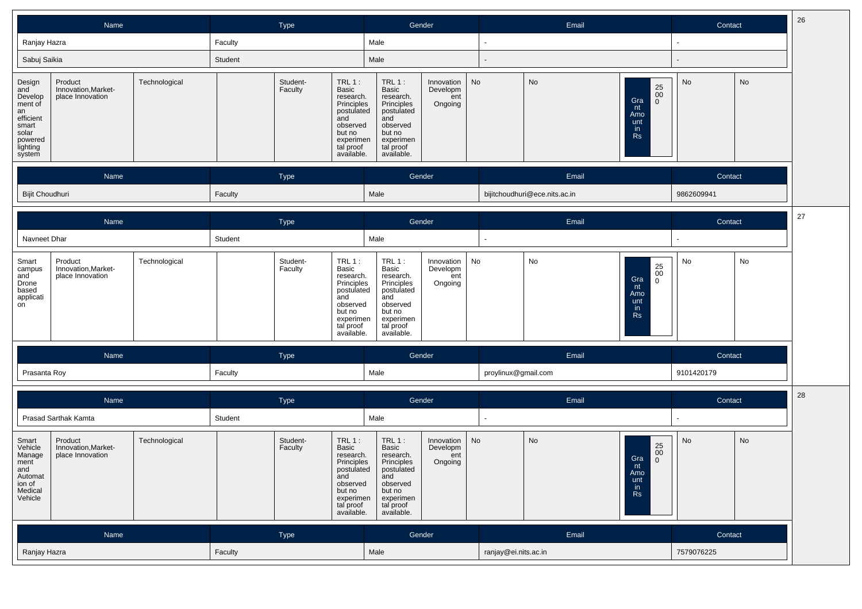| Name                                                                                                      |                                                    |               |         | Type                       |                                                                                                                          | Gender                                                                                                                          |                                          |                      | Email                         | Contact                                                                            | 26      |    |    |
|-----------------------------------------------------------------------------------------------------------|----------------------------------------------------|---------------|---------|----------------------------|--------------------------------------------------------------------------------------------------------------------------|---------------------------------------------------------------------------------------------------------------------------------|------------------------------------------|----------------------|-------------------------------|------------------------------------------------------------------------------------|---------|----|----|
| Ranjay Hazra                                                                                              |                                                    |               | Faculty |                            |                                                                                                                          | Male                                                                                                                            |                                          | $\sim$               |                               |                                                                                    | $\sim$  |    |    |
| Sabuj Saikia                                                                                              |                                                    |               | Student |                            |                                                                                                                          | Male                                                                                                                            |                                          |                      |                               |                                                                                    |         |    |    |
| Design<br>and<br>Develop<br>ment of<br>an<br>efficient<br>smart<br>solar<br>powered<br>lighting<br>system | Product<br>Innovation, Market-<br>place Innovation | Technological |         | Student-<br>Faculty<br>and | $TRL1$ :<br>Basic<br>research.<br>Principles<br>postulated<br>observed<br>but no<br>experimen<br>tal proof<br>available. | TRL $1:$<br>Basic<br>research.<br>Principles<br>postulated<br>and<br>observed<br>but no<br>experimen<br>tal proof<br>available. | Innovation<br>Developm<br>ent<br>Ongoing | No                   | No                            | $\underset{0}{\overset{25}{\text{00}}}$<br>Gra<br>nt<br>Amo<br>unt<br>in.<br>Rs    | No      | No |    |
|                                                                                                           | Name                                               |               |         | Type                       |                                                                                                                          | Gender                                                                                                                          |                                          |                      | Email                         |                                                                                    | Contact |    |    |
| Bijit Choudhuri                                                                                           |                                                    |               | Faculty |                            |                                                                                                                          | Male                                                                                                                            |                                          |                      | bijitchoudhuri@ece.nits.ac.in | 9862609941                                                                         |         |    |    |
|                                                                                                           | Name                                               |               |         | Type                       |                                                                                                                          | Gender                                                                                                                          |                                          |                      | Email                         |                                                                                    | Contact |    | 27 |
| Navneet Dhar                                                                                              |                                                    |               | Student |                            |                                                                                                                          | Male                                                                                                                            |                                          |                      |                               |                                                                                    |         |    |    |
| Smart<br>campus<br>and<br>Drone<br>based<br>applicati<br>on                                               | Product<br>Innovation, Market-<br>place Innovation | Technological |         | Student-<br>Faculty<br>and | $TRL1$ :<br>Basic<br>research.<br>Principles<br>postulated<br>observed<br>but no<br>experimen<br>tal proof<br>available. | $TRL1$ :<br>Basic<br>research.<br>Principles<br>postulated<br>and<br>observed<br>but no<br>experimen<br>tal proof<br>available. | Innovation<br>Developm<br>ent<br>Ongoing | No                   | No                            | $\substack{25 \\ 00}$<br>Gra<br>$\mathbf 0$<br>nt<br>Amo<br>unt<br>in<br><b>Rs</b> | No      | No |    |
|                                                                                                           | Name                                               |               |         | Type                       |                                                                                                                          | Gender                                                                                                                          |                                          |                      | Email                         |                                                                                    | Contact |    |    |
| Prasanta Roy                                                                                              |                                                    |               | Faculty |                            |                                                                                                                          | Male                                                                                                                            |                                          | proylinux@gmail.com  |                               | 9101420179                                                                         |         |    |    |
|                                                                                                           | Name                                               |               |         | Type                       |                                                                                                                          | Gender                                                                                                                          |                                          |                      | Email                         |                                                                                    | Contact |    | 28 |
|                                                                                                           | Prasad Sarthak Kamta                               |               | Student |                            |                                                                                                                          | Male                                                                                                                            |                                          |                      |                               |                                                                                    |         |    |    |
| Smart<br>Vehicle<br>Manage<br>ment<br>and<br>Automat<br>ion of<br>Medical<br>Vehicle                      | Product<br>Innovation, Market-<br>place Innovation | Technological |         | Student-<br>Faculty<br>and | $TRL1$ :<br>Basic<br>research.<br>Principles<br>postulated<br>observed<br>but no<br>experimen<br>tal proof<br>available. | TRL $1:$<br>Basic<br>research.<br>Principles<br>postulated<br>and<br>observed<br>but no<br>experimen<br>tal proof<br>available. | Innovation<br>Developm<br>ent<br>Ongoing | No                   | No                            | $\substack{25 \\ 00}$<br>Gra $nt$<br>$\mathbf 0$<br>טווור<br>unt<br>in<br>Rs       | No      | No |    |
|                                                                                                           | Name                                               |               |         | Type                       |                                                                                                                          | Gender                                                                                                                          |                                          | Email                |                               |                                                                                    | Contact |    |    |
| Ranjay Hazra                                                                                              |                                                    |               | Faculty |                            |                                                                                                                          | Male                                                                                                                            |                                          | ranjay@ei.nits.ac.in |                               | 7579076225                                                                         |         |    |    |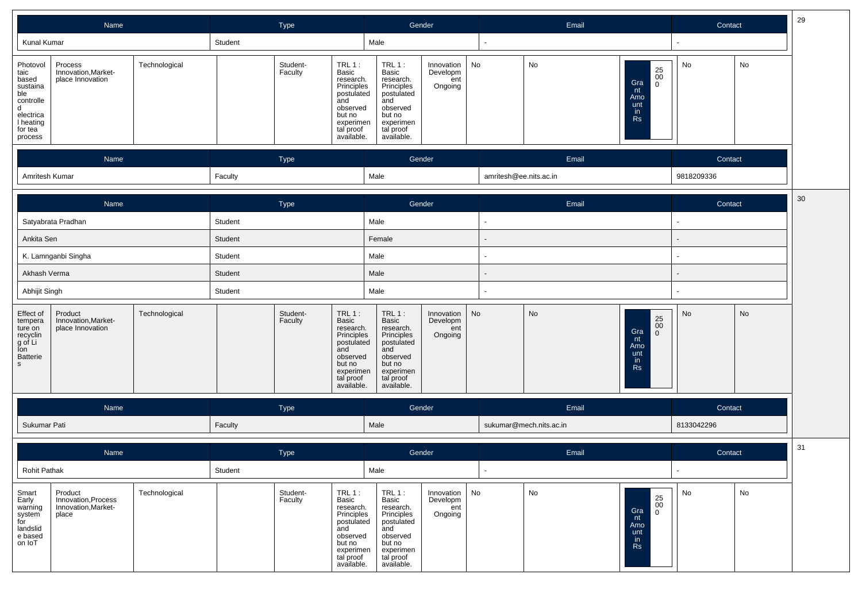| Name                                                                                                                                                                                  | Type                                                                                                                                                   | Gender                                                                                                                                                                            | Email                                                                                           | 29<br>Contact |  |
|---------------------------------------------------------------------------------------------------------------------------------------------------------------------------------------|--------------------------------------------------------------------------------------------------------------------------------------------------------|-----------------------------------------------------------------------------------------------------------------------------------------------------------------------------------|-------------------------------------------------------------------------------------------------|---------------|--|
| Kunal Kumar                                                                                                                                                                           | Student                                                                                                                                                | Male                                                                                                                                                                              |                                                                                                 |               |  |
| Process<br>Technological<br>Photovol<br>Innovation, Market-<br>taic<br>place Innovation<br>based<br>sustaina<br>ble<br>controlle<br>d<br>electrica<br>I heating<br>for tea<br>process | Student-<br>$TRL1$ :<br>Faculty<br>Basic<br>research.<br>Principles<br>postulated<br>and<br>observed<br>but no<br>experimen<br>tal proof<br>available. | $TRL1$ :<br>No<br>Innovation<br>Basic<br>Developm<br>research.<br>ent<br>Principles<br>Ongoing<br>postulated<br>and<br>observed<br>but no<br>experimen<br>tal proof<br>available. | No<br>$\substack{25 \ 00}$<br>Gra<br>$\mathbf 0$<br>nt<br>Amo<br>unt<br>in<br><b>Rs</b>         | No<br>No      |  |
| Name                                                                                                                                                                                  | Type                                                                                                                                                   | Gender                                                                                                                                                                            | Email                                                                                           | Contact       |  |
| Amritesh Kumar                                                                                                                                                                        | Faculty                                                                                                                                                | Male                                                                                                                                                                              | amritesh@ee.nits.ac.in                                                                          | 9818209336    |  |
| Name                                                                                                                                                                                  | Type                                                                                                                                                   | Gender                                                                                                                                                                            | Email                                                                                           | 30<br>Contact |  |
| Satyabrata Pradhan                                                                                                                                                                    | Student                                                                                                                                                | Male                                                                                                                                                                              |                                                                                                 |               |  |
| Ankita Sen                                                                                                                                                                            | Student                                                                                                                                                | Female                                                                                                                                                                            |                                                                                                 |               |  |
| K. Lamnganbi Singha                                                                                                                                                                   | Student                                                                                                                                                | Male                                                                                                                                                                              |                                                                                                 |               |  |
| Akhash Verma                                                                                                                                                                          | Student                                                                                                                                                | Male                                                                                                                                                                              |                                                                                                 |               |  |
| Abhijit Singh                                                                                                                                                                         | Student                                                                                                                                                | Male                                                                                                                                                                              |                                                                                                 |               |  |
| Product<br>Technological<br>Effect of<br>Innovation, Market-<br>tempera<br>place Innovation<br>ture on<br>recyclin<br>g of Li<br>Ion<br>Batterie<br>$\mathsf{s}$                      | Student-<br>$TRL1$ :<br>Basic<br>Faculty<br>research.<br>Principles<br>postulated<br>and<br>observed<br>but no<br>experimen<br>tal proof<br>available. | $TRL1$ :<br>No<br>Innovation<br>Basic<br>Developm<br>research.<br>ent<br>Principles<br>postulated<br>Ongoing<br>and<br>observed<br>but no<br>experimen<br>tal proof<br>available. | No<br>$\substack{25 \\ 00}$<br>Gra<br>$\mathbf 0$<br>nt<br>Amo<br>unt<br><i>in</i><br><b>Rs</b> | No<br>No      |  |
| Name                                                                                                                                                                                  | Type                                                                                                                                                   | Gender                                                                                                                                                                            | Email                                                                                           | Contact       |  |
| Sukumar Pati                                                                                                                                                                          | Faculty                                                                                                                                                | Male                                                                                                                                                                              | sukumar@mech.nits.ac.in                                                                         | 8133042296    |  |
| Name                                                                                                                                                                                  | Type                                                                                                                                                   | Gender                                                                                                                                                                            | Email                                                                                           | 31<br>Contact |  |
| Rohit Pathak                                                                                                                                                                          | Student                                                                                                                                                | Male                                                                                                                                                                              |                                                                                                 |               |  |
| Technological<br>Smart<br>Product<br>Early<br>Innovation, Process<br>Innovation, Market-<br>warning<br>system<br>place<br>for<br>landslid<br>e based<br>on IoT                        | $TRL1$ :<br>Student-<br>Basic<br>Faculty<br>research.<br>Principles<br>postulated<br>and<br>observed<br>but no<br>experimen<br>tal proof<br>available. | $TRL1$ :<br>No<br>Innovation<br>Developm<br>Basic<br>research.<br>ent<br>Principles<br>Ongoing<br>postulated<br>and<br>observed<br>but no<br>experimen<br>tal proof<br>available. | No<br>25<br>0 <sup>0</sup><br>Gra<br>$\mathbf 0$<br>nt<br>Amo<br>unt<br>in<br><b>Rs</b>         | No<br>No      |  |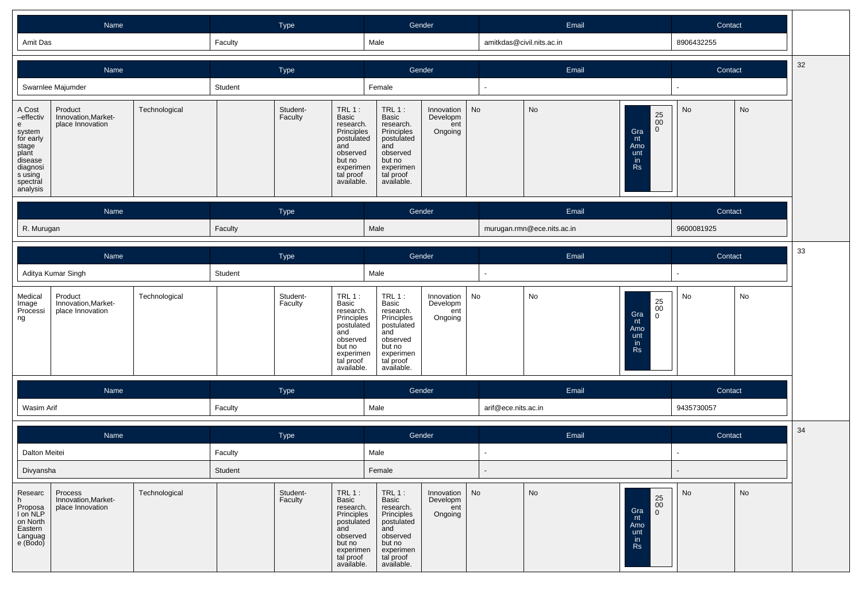| Amit Das<br>Male<br>06432255<br>nitkdas@civil.nits.ac.in<br>Faculty | Name | ⊺ype | Gender | -<br>Email | Contact |  |  |
|---------------------------------------------------------------------|------|------|--------|------------|---------|--|--|
|                                                                     |      |      |        |            |         |  |  |

|                                                                                                                             | Name                                               |               | Type    |                     |                                                                                                                                             | Gender                                                                                                                          |                                            |           |                            | Email                                      |                         | Contact    | 32        |    |
|-----------------------------------------------------------------------------------------------------------------------------|----------------------------------------------------|---------------|---------|---------------------|---------------------------------------------------------------------------------------------------------------------------------------------|---------------------------------------------------------------------------------------------------------------------------------|--------------------------------------------|-----------|----------------------------|--------------------------------------------|-------------------------|------------|-----------|----|
|                                                                                                                             | Swarnlee Majumder                                  |               | Student |                     |                                                                                                                                             | Female                                                                                                                          |                                            |           |                            |                                            |                         |            |           |    |
| A Cost<br>-effectiv<br>e<br>system<br>for early<br>stage<br>plant<br>disease<br>diagnosi<br>s using<br>spectral<br>analysis | Product<br>Innovation, Market-<br>place Innovation | Technological |         | Student-<br>Faculty | <b>TRL 1:</b><br><b>Basic</b><br>research.<br>Principles<br>postulated<br>and<br>observed<br>but no<br>experimen<br>tal proof<br>available. | $TRL1$ :<br>Basic<br>research.<br>Principles<br>postulated<br>and<br>observed<br>but no<br>experimen<br>tal proof<br>available. | Innovation<br>Developm<br>ent<br>Ongoing   | <b>No</b> | No                         | Gra<br>nt<br>Amo<br>unt<br>in<br><b>Rs</b> | 25<br>00<br>$\mathbf 0$ | No         | <b>No</b> |    |
|                                                                                                                             | Name                                               |               |         | Type                |                                                                                                                                             |                                                                                                                                 | Gender                                     |           |                            | Email                                      |                         | Contact    |           |    |
| R. Murugan                                                                                                                  |                                                    |               | Faculty |                     |                                                                                                                                             | Male                                                                                                                            |                                            |           | murugan.rmn@ece.nits.ac.in |                                            |                         | 9600081925 |           |    |
|                                                                                                                             | Name                                               |               |         | Type                |                                                                                                                                             |                                                                                                                                 | Gender                                     |           |                            | Email                                      |                         | Contact    |           | 33 |
|                                                                                                                             | Aditya Kumar Singh                                 |               | Student |                     |                                                                                                                                             | Male                                                                                                                            |                                            |           |                            |                                            |                         |            |           |    |
| Medical<br>Image<br>Processi<br>ng                                                                                          | Product<br>Innovation, Market-<br>place Innovation | Technological |         | Student-<br>Faculty | $TRL1$ :<br>Basic<br>research.<br>Principles                                                                                                | TRL $1:$<br>Basic<br>research.<br>Principles                                                                                    | Innovation  <br>Developm<br>ent<br>Ongoing | No        | No                         | Gra<br>nt                                  | 25<br>$00\,$<br>0       | No         | No        |    |

|                                                                              | Name                                               |               |         | Type                |                                                                                                                                 |                                                                                                                                 | Gender                                        | Email | Contact                                    |     |    |
|------------------------------------------------------------------------------|----------------------------------------------------|---------------|---------|---------------------|---------------------------------------------------------------------------------------------------------------------------------|---------------------------------------------------------------------------------------------------------------------------------|-----------------------------------------------|-------|--------------------------------------------|-----|----|
| Dalton Meitei                                                                |                                                    |               | Faculty |                     |                                                                                                                                 | Male                                                                                                                            |                                               |       |                                            |     |    |
|                                                                              | Divyansha                                          |               | Student |                     |                                                                                                                                 | Female                                                                                                                          |                                               |       |                                            |     |    |
| Researc<br>Proposa<br>I on NLP<br>on North<br>Eastern<br>Languag<br>e (Bodo) | Process<br>Innovation, Market-<br>place Innovation | Technological |         | Student-<br>Faculty | $TRL1$ :<br>Basic<br>research.<br>Principles<br>postulated<br>and<br>observed<br>but no<br>experimen<br>tal proof<br>available. | TRL $1:$<br>Basic<br>research.<br>Principles<br>postulated<br>and<br>observed<br>but no<br>experimen<br>tal proof<br>available. | Innovation   No<br>Developm<br>ent<br>Ongoing | No    | 25<br>00<br>Gra<br>Amo<br>unt<br>in.<br>Rs | No. | No |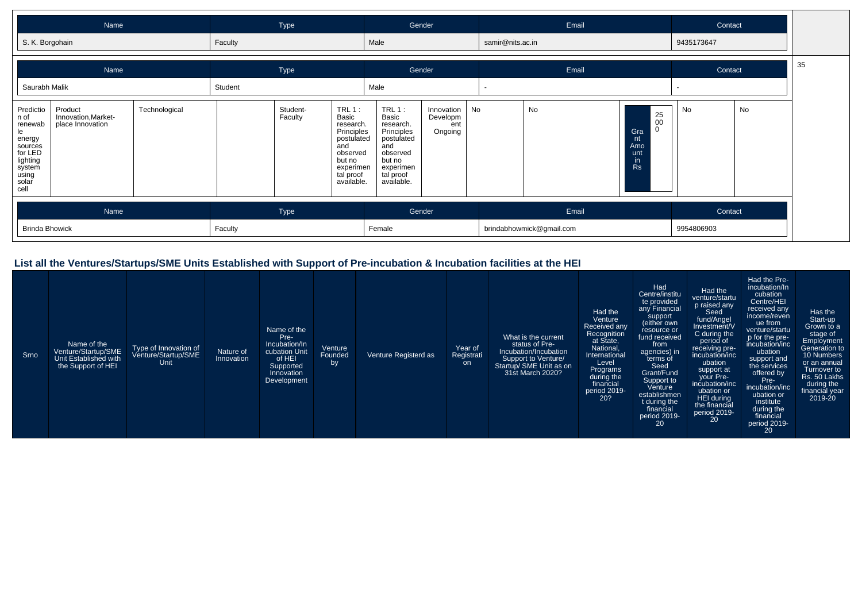| Name            | lype    | Gender | Email            | Contact    |
|-----------------|---------|--------|------------------|------------|
| S. K. Borgohain | Faculty | Male   | samir@nits.ac.in | 9435173647 |

т

|                                                                                                                                     | Name                                               |               | Type<br>Student |                     |                                                                                                                                 | Gender                                                                                                                                   |                                               |  | Email                             | Contact                                                                            |              |                       |  |  |
|-------------------------------------------------------------------------------------------------------------------------------------|----------------------------------------------------|---------------|-----------------|---------------------|---------------------------------------------------------------------------------------------------------------------------------|------------------------------------------------------------------------------------------------------------------------------------------|-----------------------------------------------|--|-----------------------------------|------------------------------------------------------------------------------------|--------------|-----------------------|--|--|
| Saurabh Malik<br>Predictio<br>n of<br>renewab<br>le<br>energy<br>sources<br>for LED<br>lighting<br>system<br>using<br>solar<br>cell | Product<br>Innovation, Market-<br>place Innovation | Technological |                 | Student-<br>Faculty | $TRL1$ :<br>Basic<br>research.<br>Principles<br>postulated<br>and<br>observed<br>but no<br>experimen<br>tal proof<br>available. | Male<br>$TRL 1$ :<br>Basic<br>research.<br>Principles<br>postulated<br>and<br>observed<br>but no<br>experimen<br>tal proof<br>available. | Innovation   No<br>Developm<br>ent<br>Ongoing |  | No                                | $\begin{array}{c} 25 \\ 00 \end{array}$<br>Gra<br>Amo<br>unt<br>$\mathsf{I}$<br>Rs | $\sim$<br>No | No                    |  |  |
| <b>Brinda Bhowick</b>                                                                                                               | Name                                               |               | Faculty         | Type                |                                                                                                                                 |                                                                                                                                          | Gender                                        |  | Email<br>brindabhowmick@gmail.com |                                                                                    |              | Contact<br>9954806903 |  |  |

#### **List all the Ventures/Startups/SME Units Established with Support of Pre-incubation & Incubation facilities at the HEI**

| Srno | Name of the<br>Venture/Startup/SME<br>Unit Established with<br>the Support of HEI | Type of Innovation of<br>Venture/Startup/SME<br>Unit | Nature of<br>Innovation | Name of the<br>Pre-<br>Incubation/In<br>cubation Unit<br>of HEI<br>Supported<br>Innovation<br>Development | Venture<br>Founded<br>by | Venture Registerd as | Year of<br>Registrati<br><b>on</b> | What is the current<br>status of Pre-<br>Incubation/Incubation<br>Support to Venture/<br>Startup/ SME Unit as on<br>31st March 2020? | Had the<br>Venture<br>Received any<br>Recognition<br>at State,<br>National,<br>International<br>Level<br>Programs<br>during the<br>financial<br>period 2019-<br>20? | Had<br>Centre/institu<br>te provided<br>any Financial<br>support<br>(either own<br>resource or<br>fund received<br>from<br>agencies) in<br>terms of<br>Seed<br>Grant/Fund<br>Support to<br>Venture<br>establishmen<br>t during the<br>financial<br>period 2019-<br>20 | Had the<br>venture/startu<br>p raised any<br>Seed<br>fund/Angel<br>Investment/V<br>C during the<br>period of<br>receiving pre-<br>incubation/inc<br>ubation<br>support at<br>your Pre-<br>incubation/inc<br>ubation or<br>HEI during<br>the financial<br>period $2019 -$<br>20 | Had the Pre-<br>incubation/In<br>cubation<br>Centre/HEI<br>received any<br>income/reven<br>ue from<br>venture/startu<br>p for the pre-<br>incubation/inc<br>ubation<br>support and<br>the services<br>offered by<br>Pre-<br>incubation/inc<br>ubation or<br>institute<br>during the<br>financial<br>period 2019-<br>20 | Has the<br>Start-up<br>Grown to a<br>stage of<br>Employment<br>Generation to<br>10 Numbers<br>or an annual<br>Turnover to<br>Rs. 50 Lakhs<br>during the<br>financial year<br>2019-20 |
|------|-----------------------------------------------------------------------------------|------------------------------------------------------|-------------------------|-----------------------------------------------------------------------------------------------------------|--------------------------|----------------------|------------------------------------|--------------------------------------------------------------------------------------------------------------------------------------|---------------------------------------------------------------------------------------------------------------------------------------------------------------------|-----------------------------------------------------------------------------------------------------------------------------------------------------------------------------------------------------------------------------------------------------------------------|--------------------------------------------------------------------------------------------------------------------------------------------------------------------------------------------------------------------------------------------------------------------------------|------------------------------------------------------------------------------------------------------------------------------------------------------------------------------------------------------------------------------------------------------------------------------------------------------------------------|--------------------------------------------------------------------------------------------------------------------------------------------------------------------------------------|
|------|-----------------------------------------------------------------------------------|------------------------------------------------------|-------------------------|-----------------------------------------------------------------------------------------------------------|--------------------------|----------------------|------------------------------------|--------------------------------------------------------------------------------------------------------------------------------------|---------------------------------------------------------------------------------------------------------------------------------------------------------------------|-----------------------------------------------------------------------------------------------------------------------------------------------------------------------------------------------------------------------------------------------------------------------|--------------------------------------------------------------------------------------------------------------------------------------------------------------------------------------------------------------------------------------------------------------------------------|------------------------------------------------------------------------------------------------------------------------------------------------------------------------------------------------------------------------------------------------------------------------------------------------------------------------|--------------------------------------------------------------------------------------------------------------------------------------------------------------------------------------|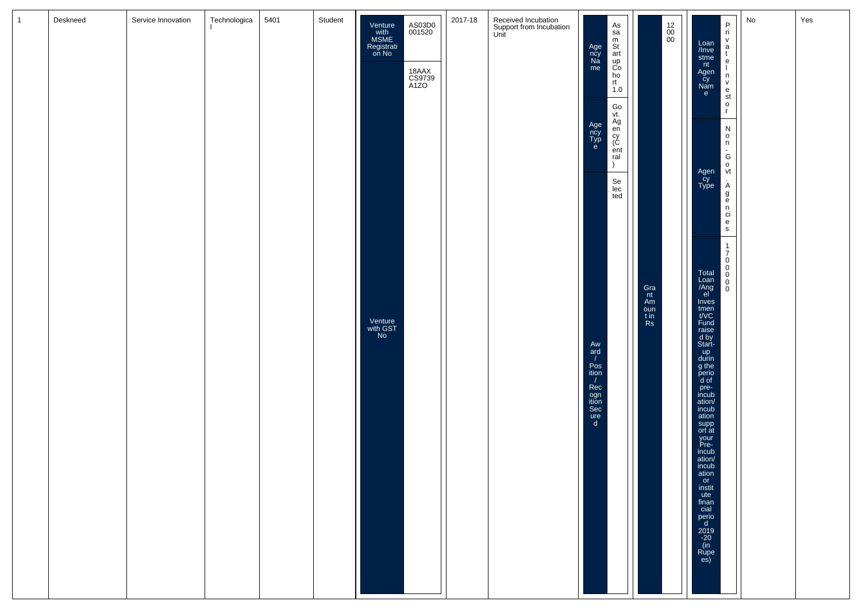| 1 | Deskneed | Service Innovation | Technologica | 5401 | Student | Venture<br>with<br>MSME<br>Registrati<br>on No | AS03D0<br>001520<br>18AAX<br>CS9739<br>A1ZO | 2017-18 | Received Incubation<br>Support from Incubation<br>Unit | Age<br>ncy<br>Na<br>me<br>Age<br>ncy<br>Typ<br>e                                                       | As<br>sa<br>m<br>St<br>art<br>up<br>Co<br>ho<br>rt<br>1.0<br>Go<br>vt.<br>Ag<br>en<br>cy<br>C<br>ent<br>ral<br>$\lambda$<br>Se<br>lec<br>ted | $\begin{array}{c} 12 \\00 \\00 \end{array}$ | Loan<br>/Inve<br>stme<br>nt<br>Agen<br>cy<br>Nam<br>e<br>Agen<br>cy<br>Type                                                                                                                                                                                                                                                                                                                                                                        | $_{\rm{ri}}^{\rm{P}}$<br>vatelnvestor<br>$\begin{array}{c} N \\ 0 \\ n \end{array}$<br>$G$<br>$O$<br>$Vt$<br>A<br>g<br>e<br>n<br>ci | No | Yes |
|---|----------|--------------------|--------------|------|---------|------------------------------------------------|---------------------------------------------|---------|--------------------------------------------------------|--------------------------------------------------------------------------------------------------------|----------------------------------------------------------------------------------------------------------------------------------------------|---------------------------------------------|----------------------------------------------------------------------------------------------------------------------------------------------------------------------------------------------------------------------------------------------------------------------------------------------------------------------------------------------------------------------------------------------------------------------------------------------------|-------------------------------------------------------------------------------------------------------------------------------------|----|-----|
|   |          |                    |              |      |         | Venture<br>with GST<br>No                      |                                             |         |                                                        | Aw<br>ard<br>$\prime$<br>Pos<br>ition<br>$\prime$<br>Rec<br>ogn<br>ition<br>Sec<br>ure<br>$\mathsf{d}$ |                                                                                                                                              | Gra<br>nt<br>Am<br>oun<br>$\frac{t}{Rs}$    | $\frac{e}{s}$<br>$\begin{bmatrix} 1 \\ 7 \\ 0 \\ 0 \\ 0 \\ 0 \\ 0 \\ \end{bmatrix}$<br>Total<br>Loan<br>/Ang<br>Inves<br>tmen<br>t/VC<br>Fund<br>raise<br>d by<br>Start-<br>$\frac{up}{g}$ the<br>perio<br>d of<br>pre-<br>incub<br>ation/<br>incub<br>ation<br>supp<br>ort at<br>your<br>Pre-<br>incub<br>$\frac{\text{ation}}{\text{in} \text{cub}}$<br>instit<br>ute<br>finan<br>man<br>cial<br>perio<br>d<br>2019<br>-20<br>(in<br>Rupe<br>es) |                                                                                                                                     |    |     |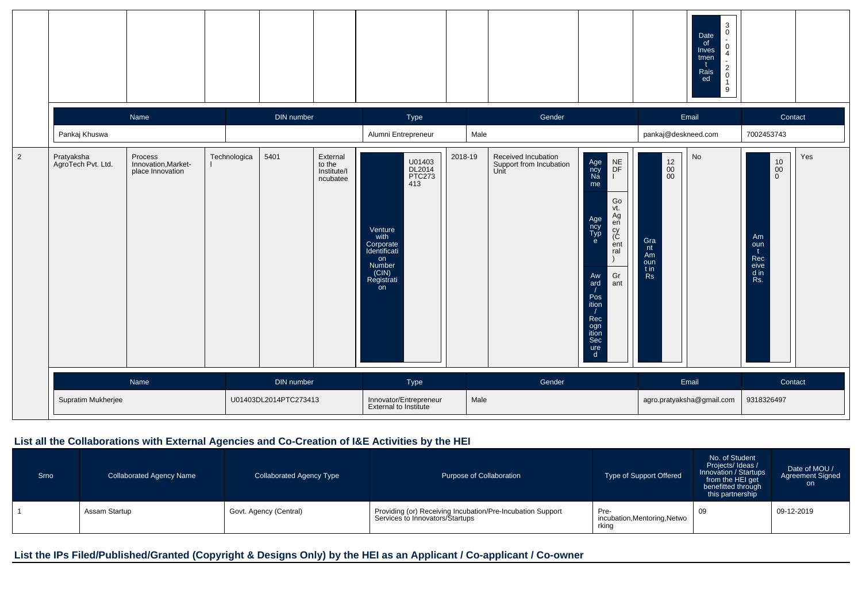|                |                                  |                                                    |              |                       |                                               |                                                                                                                                |         |                                                        |                                                                                                                                                                                                                   | $\mathbf{3}$<br>0<br>Date<br>$\blacksquare$<br>of<br>0<br>Inves<br>$\overline{4}$<br>tmen<br>t<br>$\overline{\mathbf{c}}$<br>Rais<br>$\begin{smallmatrix}0\1\end{smallmatrix}$<br>ed<br>9 |                                                                                                 |     |
|----------------|----------------------------------|----------------------------------------------------|--------------|-----------------------|-----------------------------------------------|--------------------------------------------------------------------------------------------------------------------------------|---------|--------------------------------------------------------|-------------------------------------------------------------------------------------------------------------------------------------------------------------------------------------------------------------------|-------------------------------------------------------------------------------------------------------------------------------------------------------------------------------------------|-------------------------------------------------------------------------------------------------|-----|
|                |                                  | Name                                               |              | DIN number            |                                               | Type                                                                                                                           |         | Gender                                                 |                                                                                                                                                                                                                   | Email                                                                                                                                                                                     | Contact                                                                                         |     |
|                | Pankaj Khuswa                    |                                                    |              |                       |                                               | Alumni Entrepreneur                                                                                                            | Male    |                                                        |                                                                                                                                                                                                                   | pankaj@deskneed.com                                                                                                                                                                       | 7002453743                                                                                      |     |
| $\overline{2}$ | Pratyaksha<br>AgroTech Pvt. Ltd. | Process<br>Innovation, Market-<br>place Innovation | Technologica | 5401                  | External<br>to the<br>Institute/I<br>ncubatee | U01403<br>DL2014<br>PTC273<br>413<br>Venture<br>with<br>Corporate<br>Identificati<br>on<br>Number<br>(CIN)<br>Registrati<br>on | 2018-19 | Received Incubation<br>Support from Incubation<br>Unit | $NE$ DF<br>Age<br>ncy<br>Na<br>me<br>Go<br>vt.<br>Ag<br>Age<br>ncy<br>Typ<br>e<br>$e\bar{n}$<br>cy<br>(C<br>ent<br>ral<br>Gr<br>Aw<br>ard<br>ant<br>Pos<br>ition<br>Rec<br>ogn<br>ition<br>Sec<br>$\frac{ure}{d}$ | No<br>$\begin{array}{c} 12 \\00 \\00 \end{array}$<br>Gra<br>nt<br>Am<br>oun<br>t in<br>Rs                                                                                                 | $\begin{array}{c} 10 \\ 00 \\ 0 \end{array}$<br>Am<br>oun<br>t<br>Rec<br>eive<br>$\frac{d}{ds}$ | Yes |
|                |                                  | Name                                               |              | DIN number            |                                               | Type                                                                                                                           |         | Gender                                                 |                                                                                                                                                                                                                   | Email                                                                                                                                                                                     | Contact                                                                                         |     |
|                | Supratim Mukherjee               |                                                    |              | U01403DL2014PTC273413 |                                               | Innovator/Entrepreneur<br>External to Institute                                                                                | Male    |                                                        |                                                                                                                                                                                                                   | agro.pratyaksha@gmail.com                                                                                                                                                                 | 9318326497                                                                                      |     |

# **List all the Collaborations with External Agencies and Co-Creation of I&E Activities by the HEI**

| Srno | <b>Collaborated Agency Name</b> | <b>Collaborated Agency Type</b> | Purpose of Collaboration                                                                      | Type of Support Offered                       | No. of Student<br>Projects/Ideas/<br>Innovation / Startups<br>from the HEI get<br>benefitted through<br>this partnership | Date of MOU /<br><b>Agreement Signed</b><br>on |
|------|---------------------------------|---------------------------------|-----------------------------------------------------------------------------------------------|-----------------------------------------------|--------------------------------------------------------------------------------------------------------------------------|------------------------------------------------|
|      | Assam Startup                   | Govt. Agency (Central)          | Providing (or) Receiving Incubation/Pre-Incubation Support<br>Services to Innovators/Startups | Pre-<br>incubation, Mentoring, Netwo<br>rking | 09                                                                                                                       | 09-12-2019                                     |

# **List the IPs Filed/Published/Granted (Copyright & Designs Only) by the HEI as an Applicant / Co-applicant / Co-owner**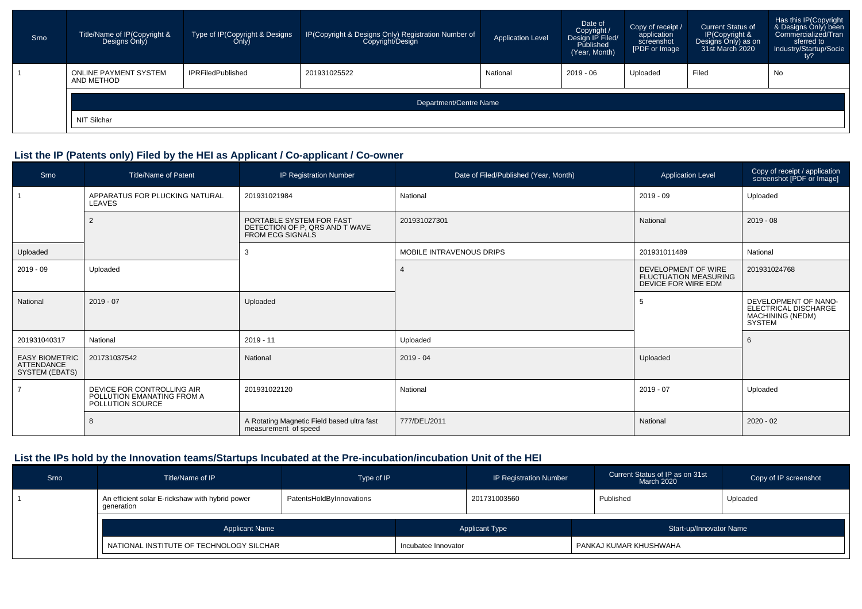| Srno | Title/Name of IP(Copyright &<br>Designs Only) | Type of IP(Copyright & Designs<br>Only) | IP(Copyright & Designs Only) Registration Number of<br>Copyright/Design | Application Level | Date of<br>Copyright /<br>Design IP Filed/<br>Published<br>(Year, Month) | Copy of receipt /<br>application<br>screenshot<br>[PDF or Image | <b>Current Status of</b><br>IP(Copyright &<br>Designs Only) as on<br>31st March 2020 | Has this IP(Copyright<br>& Designs Only) been<br>Commercialized/Tran<br>sferred to<br>Industry/Startup/Socie<br>ty? |  |
|------|-----------------------------------------------|-----------------------------------------|-------------------------------------------------------------------------|-------------------|--------------------------------------------------------------------------|-----------------------------------------------------------------|--------------------------------------------------------------------------------------|---------------------------------------------------------------------------------------------------------------------|--|
|      | <b>ONLINE PAYMENT SYSTEM</b><br>AND METHOD    | <b>IPRFiledPublished</b>                | 201931025522                                                            | National          | $2019 - 06$                                                              | Uploaded                                                        | Filed                                                                                | No                                                                                                                  |  |
|      | Department/Centre Name                        |                                         |                                                                         |                   |                                                                          |                                                                 |                                                                                      |                                                                                                                     |  |
|      | NIT Silchar                                   |                                         |                                                                         |                   |                                                                          |                                                                 |                                                                                      |                                                                                                                     |  |

# **List the IP (Patents only) Filed by the HEI as Applicant / Co-applicant / Co-owner**

| Srno                                                         | <b>Title/Name of Patent</b>                                                  | IP Registration Number                                                                | Date of Filed/Published (Year, Month) | <b>Application Level</b>                                                   | Copy of receipt / application<br>screenshot [PDF or Image]                               |
|--------------------------------------------------------------|------------------------------------------------------------------------------|---------------------------------------------------------------------------------------|---------------------------------------|----------------------------------------------------------------------------|------------------------------------------------------------------------------------------|
|                                                              | APPARATUS FOR PLUCKING NATURAL<br>LEAVES                                     | 201931021984                                                                          | National                              | $2019 - 09$                                                                | Uploaded                                                                                 |
|                                                              | $\overline{2}$                                                               | PORTABLE SYSTEM FOR FAST<br>DETECTION OF P, QRS AND T WAVE<br><b>FROM ECG SIGNALS</b> | 201931027301                          | National                                                                   | $2019 - 08$                                                                              |
| Uploaded                                                     |                                                                              | 3                                                                                     | <b>MOBILE INTRAVENOUS DRIPS</b>       | 201931011489                                                               | National                                                                                 |
| $2019 - 09$                                                  | Uploaded                                                                     |                                                                                       |                                       | DEVELOPMENT OF WIRE<br><b>FLUCTUATION MEASURING</b><br>DEVICE FOR WIRE EDM | 201931024768                                                                             |
| National                                                     | $2019 - 07$                                                                  | Uploaded                                                                              |                                       | 5                                                                          | DEVELOPMENT OF NANO-<br>ELECTRICAL DISCHARGE<br><b>MACHINING (NEDM)</b><br><b>SYSTEM</b> |
| 201931040317                                                 | National                                                                     | $2019 - 11$                                                                           | Uploaded                              |                                                                            | 6                                                                                        |
| <b>EASY BIOMETRIC</b><br><b>ATTENDANCE</b><br>SYSTEM (EBATS) | 201731037542                                                                 | National                                                                              | $2019 - 04$                           | Uploaded                                                                   |                                                                                          |
|                                                              | DEVICE FOR CONTROLLING AIR<br>POLLUTION EMANATING FROM A<br>POLLUTION SOURCE | 201931022120                                                                          | National                              | $2019 - 07$                                                                | Uploaded                                                                                 |
|                                                              | 8                                                                            | A Rotating Magnetic Field based ultra fast<br>measurement of speed                    | 777/DEL/2011                          | National                                                                   | $2020 - 02$                                                                              |

# **List the IPs hold by the Innovation teams/Startups Incubated at the Pre-incubation/incubation Unit of the HEI**

| Srno | Title/Name of IP                                                                          | Type of IP |                     | <b>IP Registration Number</b>                    | Current Status of IP as on 31st<br>March 2020 | Copy of IP screenshot |
|------|-------------------------------------------------------------------------------------------|------------|---------------------|--------------------------------------------------|-----------------------------------------------|-----------------------|
|      | An efficient solar E-rickshaw with hybrid power<br>PatentsHoldByInnovations<br>qeneration |            |                     | 201731003560                                     | Published                                     | Uploaded              |
|      | <b>Applicant Name</b><br>NATIONAL INSTITUTE OF TECHNOLOGY SILCHAR                         |            |                     | <b>Applicant Type</b><br>Start-up/Innovator Name |                                               |                       |
|      |                                                                                           |            | Incubatee Innovator |                                                  | PANKAJ KUMAR KHUSHWAHA                        |                       |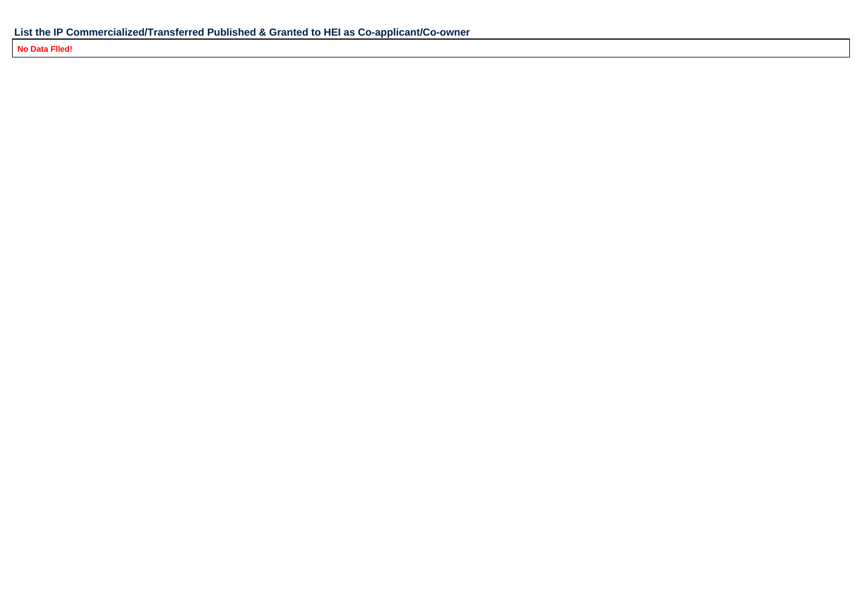**No Data Flled!**